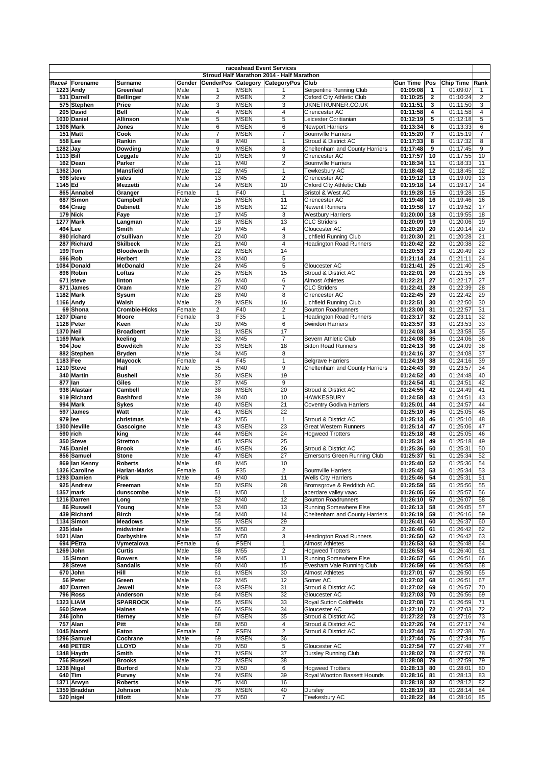|                       |                              |                         |                |                |                            | raceahead Event Services                  |                                                        |                                         |                              |                |
|-----------------------|------------------------------|-------------------------|----------------|----------------|----------------------------|-------------------------------------------|--------------------------------------------------------|-----------------------------------------|------------------------------|----------------|
|                       |                              |                         |                |                |                            | Stroud Half Marathon 2014 - Half Marathon |                                                        |                                         |                              |                |
| Race#                 | Forename<br>1223 Andy        | Surname<br>Greenleaf    | Gender<br>Male |                | <b>MSEN</b>                | GenderPos Category CategoryPos Club       | Serpentine Running Club                                | <b>Gun Time</b><br>Pos<br>01:09:08<br>1 | <b>Chip Time</b><br>01:09:07 | Rank<br>1      |
|                       | 531 Darrell                  | Bellinger               | Male           | $\overline{2}$ | <b>MSEN</b>                | $\overline{2}$                            | Oxford City Athletic Club                              | 01:10:25<br>$\mathbf{2}$                | 01:10:24                     | $\overline{2}$ |
|                       | 575 Stephen                  | Price                   | Male           | 3              | <b>MSEN</b>                | 3                                         | UKNETRUNNER.CO.UK                                      | 01:11:51<br>3                           | 01:11:50                     | 3              |
|                       | 205 David                    | <b>Bell</b>             | Male           | 4              | <b>MSEN</b>                | $\overline{4}$                            | Cirencester AC                                         | 01:11:58<br>4                           | 01:11:58                     | 4              |
|                       | 1030 Daniel                  | <b>Allinson</b>         | Male           | 5              | <b>MSEN</b>                | 5                                         | Leicester Coritianian                                  | 01:12:19<br>5                           | 01:12:18                     | 5              |
|                       | 1306 Mark                    | Jones                   | Male           | 6              | <b>MSEN</b>                | 6                                         | <b>Newport Harriers</b>                                | 01:13:34<br>6                           | 01:13:33                     | 6              |
|                       | 151 Matt                     | Cook                    | Male           | $\overline{7}$ | <b>MSEN</b>                | $\overline{7}$<br>1                       | <b>Bournville Harriers</b>                             | 01:15:20<br>7                           | 01:15:19                     | $\overline{7}$ |
| $\overline{1282}$ Jay | 558 Lee                      | Rankin<br>Dowding       | Male<br>Male   | 8<br>9         | M40<br><b>MSEN</b>         | 8                                         | Stroud & District AC<br>Cheltenham and County Harriers | 01:17:33<br>8<br>01:17:48<br>9          | 01:17:32<br>01:17:45         | 8<br>9         |
| 1113 Bill             |                              | Leggate                 | Male           | 10             | <b>MSEN</b>                | 9                                         | Cirencester AC                                         | 01:17:57<br>10                          | 01:17:55                     | 10             |
|                       | 162 Dean                     | Parker                  | Male           | 11             | M40                        | $\overline{2}$                            | <b>Bournville Harriers</b>                             | 01:18:34<br>11                          | 01:18:33                     | 11             |
| 1362 Jon              |                              | Mansfield               | Male           | 12             | M45                        | $\mathbf{1}$                              | Tewkesbury AC                                          | 01:18:48<br>12                          | 01:18:45                     | 12             |
|                       | 598 steve                    | vates                   | Male           | 13             | M45                        | $\overline{2}$                            | Cirencester AC                                         | 01:19:12<br>13                          | 01:19:09                     | 13             |
| 1145 Ed               |                              | <b>Mezzetti</b>         | Male           | 14             | <b>MSEN</b>                | 10                                        | <b>Oxford City Athletic Club</b>                       | 01:19:18<br>14                          | 01:19:17                     | 14             |
|                       | 865 Annabel                  | Granger                 | Female         | $\mathbf{1}$   | F40                        | $\mathbf{1}$                              | Bristol & West AC                                      | 01:19:28<br>15                          | 01:19:28                     | 15             |
|                       | 687 Simon                    | Campbell                | Male           | 15             | <b>MSEN</b>                | 11                                        | Cirencester AC                                         | 01:19:48<br>16                          | 01:19:46                     | 16             |
|                       | 684 Craig                    | <b>Dabinett</b>         | Male           | 16             | <b>MSEN</b>                | 12                                        | <b>Newent Runners</b>                                  | 01:19:58<br>17                          | 01:19:52                     | 17             |
|                       | 179 Nick<br><b>1277 Mark</b> | Faye                    | Male<br>Male   | 17<br>18       | M45<br><b>MSEN</b>         | 3<br>13                                   | <b>Westbury Harriers</b><br><b>CLC Striders</b>        | 01:20:00<br>18<br>01:20:09<br>19        | 01:19:55<br>01:20:06         | 18<br>19       |
|                       | 494 Lee                      | Langman<br><b>Smith</b> | Male           | 19             | M45                        | $\overline{4}$                            | Gloucester AC                                          | 01:20:20<br>20                          | 01:20:14                     | 20             |
|                       | 890 richard                  | o'sullivan              | Male           | 20             | M40                        | 3                                         | <b>Lichfield Running Club</b>                          | 01:20:30<br>21                          | 01:20:28                     | 21             |
|                       | 287 Richard                  | <b>Skilbeck</b>         | Male           | 21             | M40                        | $\overline{4}$                            | <b>Headington Road Runners</b>                         | 01:20:42<br>22                          | 01:20:38                     | 22             |
|                       | 199 Tom                      | Bloodworth              | Male           | 22             | <b>MSEN</b>                | 14                                        |                                                        | 01:20:53<br>23                          | 01:20:49                     | 23             |
| 596                   | Rob                          | <b>Herbert</b>          | Male           | 23             | M40                        | 5                                         |                                                        | 01:21:14<br>24                          | 01:21:11                     | 24             |
|                       | 1084 Donald                  | <b>McDonald</b>         | Male           | 24             | M45                        | 5                                         | Gloucester AC                                          | 01:21:41<br>25                          | 01:21:40                     | 25             |
|                       | 896 Robin                    | Loftus                  | Male           | 25             | <b>MSEN</b>                | 15                                        | Stroud & District AC                                   | 01:22:01<br>26                          | 01:21:55                     | 26             |
| 671                   | steve                        | linton                  | Male           | 26             | M40                        | 6                                         | <b>Almost Athletes</b>                                 | 01:22:21<br>27                          | 01:22:17                     | 27             |
| 871                   | James                        | Oram                    | Male           | 27             | M40                        | $\overline{7}$                            | <b>CLC Striders</b>                                    | 01:22:41<br>28                          | 01:22:39                     | 28             |
| 1166                  | 1182 Mark                    | Sysum<br>Walsh          | Male<br>Male   | 28<br>29       | M40<br><b>MSEN</b>         | 8<br>16                                   | Cirencester AC<br><b>Lichfield Running Club</b>        | 01:22:45<br>29<br>01:22:51<br>30        | 01:22:42<br>01:22:50         | 29<br>30       |
|                       | Andy<br>69 Shona             | <b>Crombie-Hicks</b>    | Female         | $\overline{2}$ | F40                        | $\overline{2}$                            | <b>Bourton Roadrunners</b>                             | 01:23:00<br>31                          | 01:22:57                     | 31             |
|                       | 1207 Diane                   | Moore                   | Female         | 3              | F35                        | $\mathbf{1}$                              | <b>Headington Road Runners</b>                         | 01:23:17<br>32                          | 01:23:11                     | 32             |
|                       | 1128 Peter                   | Keen                    | Male           | 30             | M45                        | 6                                         | Swindon Harriers                                       | 01:23:57<br>33                          | 01:23:53                     | 33             |
| <b>1370 Neil</b>      |                              | <b>Broadbent</b>        | Male           | 31             | <b>MSEN</b>                | 17                                        |                                                        | 01:24:03<br>34                          | 01:23:58                     | 35             |
|                       | 1169 Mark                    | keeling                 | Male           | 32             | M45                        | $\overline{7}$                            | Severn Athletic Club                                   | 01:24:08<br>35                          | 01:24:06                     | 36             |
| 504                   | Joe                          | <b>Bowditch</b>         | Male           | 33             | <b>MSEN</b>                | 18                                        | <b>Bitton Road Runners</b>                             | 01:24:13<br>36                          | 01:24:09                     | 38             |
|                       | 882 Stephen                  | <b>Bryden</b>           | Male           | 34             | M45                        | 8                                         |                                                        | 01:24:16<br>37                          | 01:24:08                     | 37             |
| 1183 Fee              |                              | Maycock                 | Female         | 4              | F45                        | 1                                         | <b>Belgrave Harriers</b>                               | 01:24:19<br>38                          | 01:24:16                     | 39             |
|                       | 1210 Steve                   | Hall                    | Male           | 35             | M40                        | 9                                         | Cheltenham and County Harriers                         | 01:24:43<br>39                          | 01:23:57                     | 34             |
| 877                   | 340 Martin<br><b>l</b> lan   | <b>Bushell</b><br>Giles | Male<br>Male   | 36<br>37       | <b>MSEN</b><br>M45         | 19<br>9                                   |                                                        | 01:24:52<br>40<br>01:24:54<br>41        | 01:24:48<br>01:24:51         | 40<br>42       |
|                       | 938 Alastair                 | Cambell                 | Male           | 38             | <b>MSEN</b>                | 20                                        | Stroud & District AC                                   | 01:24:55<br>42                          | 01:24:49                     | 41             |
|                       | 919 Richard                  | <b>Bashford</b>         | Male           | 39             | M40                        | 10                                        | <b>HAWKESBURY</b>                                      | 01:24:58<br>43                          | 01:24:51                     | 43             |
|                       | 994 Mark                     | <b>Sykes</b>            | Male           | 40             | <b>MSEN</b>                | 21                                        | <b>Coventry Godiva Harriers</b>                        | 01:25:01<br>44                          | 01:24:57                     | 44             |
| 597                   | James                        | Watt                    | Male           | 41             | <b>MSEN</b>                | 22                                        |                                                        | 01:25:10<br>45                          | 01:25:05                     | 45             |
|                       | 979 lee                      | christmas               | Male           | 42             | M55                        | $\mathbf{1}$                              | Stroud & District AC                                   | 01:25:13<br>46                          | 01:25:10                     | 48             |
|                       | 1300 Neville                 | Gascoigne               | Male           | 43             | <b>MSEN</b>                | 23                                        | <b>Great Western Runners</b>                           | 01:25:14<br>47                          | 01:25:06                     | 47             |
|                       | 590 rich<br>350 Steve        | king<br><b>Stretton</b> | Male<br>Male   | 44<br>45       | <b>MSEN</b><br><b>MSEN</b> | 24<br>25                                  | <b>Hogweed Trotters</b>                                | 01:25:18<br>48<br>01:25:31<br>49        | 01:25:05<br>01:25:18         | 46<br>49       |
|                       | 745 Daniel                   | <b>Brook</b>            | Male           | 46             | <b>MSEN</b>                | 26                                        | Stroud & District AC                                   | 01:25:36<br>50                          | 01:25:31                     | 50             |
|                       | 856 Samuel                   | <b>Stone</b>            | Male           | 47             | <b>MSEN</b>                | 27                                        | Emersons Green Running Club                            | 01:25:37<br>51                          | 01:25:34                     | 52             |
|                       | 869 Ian Kenny                | <b>Roberts</b>          | Male           | 48             | M45                        | 10                                        |                                                        | 01:25:40<br>52                          | 01:25:36                     | 54             |
|                       | 1326 Caroline                | <b>Harlan-Marks</b>     | Female         | 5              | F35                        | $\overline{2}$                            | <b>Bournville Harriers</b>                             | 01:25:42<br>53                          | 01:25:34                     | 53             |
|                       | 1293 Damien                  | Pick                    | Male           | 49             | M40                        | 11                                        | <b>Wells City Harriers</b>                             | 01:25:46 54                             | 01:25:31                     | 51             |
|                       | 925 Andrew                   | Freeman                 | Male           | 50             | <b>MSEN</b>                | 28                                        | Bromsgrove & Redditch AC                               | 01:25:59<br>55                          | 01:25:56                     | 55             |
|                       | 1357 mark                    | dunscombe               | Male           | 51             | M50<br>M40                 | $\mathbf{1}$                              | aberdare valley vaac<br><b>Bourton Roadrunners</b>     | 01:26:05 56<br>01:26:10                 | 01:25:57<br>01:26:07         | 56             |
|                       | 1216 Darren<br>86 Russell    | Long<br>Youna           | Male<br>Male   | 52<br>53       | M40                        | 12<br>13                                  | Running Somewhere Else                                 | 57<br>01:26:13<br>58                    | 01:26:05                     | 58<br>57       |
|                       | 439 Richard                  | <b>Birch</b>            | Male           | 54             | M40                        | 14                                        | Cheltenham and County Harriers                         | 01:26:19<br>59                          | 01:26:16                     | 59             |
|                       | 1134 Simon                   | <b>Meadows</b>          | Male           | 55             | <b>MSEN</b>                | 29                                        |                                                        | 01:26:41<br>60                          | 01:26:37                     | 60             |
|                       | 235 dale                     | midwinter               | Male           | 56             | M50                        | $\overline{c}$                            |                                                        | 01:26:46<br>61                          | 01:26:42                     | 62             |
|                       | 1021 Alan                    | Darbyshire              | Male           | 57             | M50                        | 3                                         | <b>Headington Road Runners</b>                         | 01:26:50<br>62                          | 01:26:42                     | 63             |
|                       | 694 PEtra                    | Vymetalova              | Female         | 6              | <b>FSEN</b>                | 1                                         | <b>Almost Athletes</b>                                 | 01:26:53<br>63                          | 01:26:48                     | 64             |
|                       | 1269 John                    | Curtis                  | Male           | 58             | M55                        | $\overline{2}$                            | <b>Hogweed Trotters</b>                                | 01:26:53<br>64                          | 01:26:40                     | 61             |
|                       | 15 Simon                     | <b>Bowers</b>           | Male           | 59             | M45                        | 11                                        | Running Somewhere Else                                 | 01:26:57<br>65                          | 01:26:51                     | 66             |
|                       | 28 Steve<br>670 John         | <b>Sandalls</b><br>Hill | Male<br>Male   | 60<br>61       | M40<br><b>MSEN</b>         | 15<br>30                                  | Evesham Vale Running Club<br><b>Almost Athletes</b>    | 01:26:59<br>66<br>01:27:01<br>67        | 01:26:53<br>01:26:50         | 68<br>65       |
|                       | 56 Peter                     | Green                   | Male           | 62             | M45                        | 12                                        | Somer AC                                               | 01:27:02<br>68                          | 01:26:51                     | 67             |
|                       | 407 Darren                   | Jewell                  | Male           | 63             | <b>MSEN</b>                | 31                                        | Stroud & District AC                                   | 01:27:02<br>69                          | 01:26:57                     | 70             |
|                       | 796 Ross                     | Anderson                | Male           | 64             | <b>MSEN</b>                | 32                                        | Gloucester AC                                          | 01:27:03<br>70                          | 01:26:56                     | 69             |
|                       | 1323 LIAM                    | <b>SPARROCK</b>         | Male           | 65             | <b>MSEN</b>                | 33                                        | Royal Sutton Coldfields                                | 01:27:08<br>71                          | 01:26:59                     | 71             |
|                       | 560 Steve                    | Haines                  | Male           | 66             | <b>MSEN</b>                | 34                                        | Gloucester AC                                          | 01:27:10<br>72                          | 01:27:03                     | 72             |
|                       | 246 john                     | tierney                 | Male           | 67             | <b>MSEN</b>                | 35                                        | Stroud & District AC                                   | 01:27:22<br>73                          | 01:27:16                     | 73             |
|                       | 757 Alan                     | Pitt                    | Male           | 68             | M50                        | 4                                         | Stroud & District AC                                   | 01:27:26<br>74                          | 01:27:17                     | 74             |
|                       | 1045 Naomi                   | Eaton                   | Female         | $\overline{7}$ | <b>FSEN</b>                | $\boldsymbol{2}$                          | Stroud & District AC                                   | 01:27:44<br>75                          | 01:27:38                     | 76             |
|                       | 1296 Samuel                  | Cochrane                | Male           | 69             | <b>MSEN</b>                | 36                                        |                                                        | 01:27:44<br>76                          | 01:27:34                     | 75             |
|                       | 448 PETER                    | LLOYD                   | Male           | 70             | M50                        | 5                                         | Gloucester AC                                          | 01:27:54<br>77                          | 01:27:48                     | 77             |
|                       | 1348 Haydn<br>756 Russell    | Smith<br><b>Brooks</b>  | Male<br>Male   | 71<br>72       | <b>MSEN</b><br><b>MSEN</b> | 37<br>38                                  | Dursley Running Club                                   | 01:28:02<br>78<br>01:28:08<br>79        | 01:27:57<br>01:27:59         | 78<br>79       |
|                       | 1238 Nigel                   | <b>Burford</b>          | Male           | 73             | M50                        | 6                                         | <b>Hogweed Trotters</b>                                | 01:28:13<br>80                          | 01:28:01                     | 80             |
|                       | 640 Tim                      | Purvey                  | Male           | 74             | <b>MSEN</b>                | 39                                        | Royal Wootton Bassett Hounds                           | 01:28:16<br>81                          | 01:28:13                     | 83             |
|                       | 1371 Arwyn                   | <b>Roberts</b>          | Male           | 75             | M40                        | 16                                        |                                                        | 01:28:18<br>82                          | 01:28:12                     | 82             |
|                       | 1359 Braddan                 | Johnson                 | Male           | 76             | <b>MSEN</b>                | 40                                        | Dursley                                                | 01:28:19<br>83                          | 01:28:14                     | 84             |
|                       | 520 nigel                    | tillott                 | Male           | 77             | M50                        | $\overline{7}$                            | Tewkesbury AC                                          | 01:28:22<br>84                          | 01:28:16                     | 85             |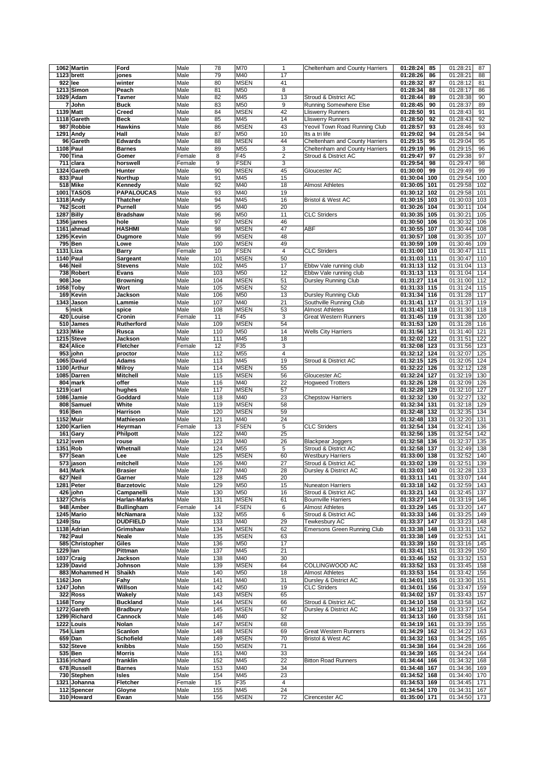|          | 1062 Martin      | Ford              | Male   | 78  | <b>M70</b>  | $\mathbf{1}$            | Cheltenham and County Harriers | 01:28:24<br>85  |    | 01:28:21<br>87  |
|----------|------------------|-------------------|--------|-----|-------------|-------------------------|--------------------------------|-----------------|----|-----------------|
|          | 1123 brett       | jones             | Male   | 79  | M40         | 17                      |                                | 01:28:26<br>86  |    | 01:28:21<br>88  |
|          | 922 lee          | winter            | Male   | 80  | <b>MSEN</b> | 41                      |                                | 01:28:32<br>87  |    | 01:28:12<br>81  |
|          | 1213 Simon       | Peach             | Male   | 81  | M50         | 8                       |                                | 01:28:34<br>88  |    | 01:28:17<br>86  |
|          | 1029 Adam        | <b>Tavner</b>     | Male   | 82  | M45         | 13                      | Stroud & District AC           | 01:28:44<br>89  |    | 01:28:38<br>90  |
|          | 7 John           | <b>Buck</b>       | Male   | 83  | M50         | 9                       | Running Somewhere Else         | 01:28:45<br>90  |    | 01:28:37<br>89  |
|          |                  | Creed             |        |     | <b>MSEN</b> |                         |                                |                 |    |                 |
|          | 1139 Matt        |                   | Male   | 84  |             | 42                      | <b>Lliswerry Runners</b>       | 01:28:50<br>91  |    | 01:28:43<br>91  |
|          | 1118 Gareth      | Beck              | Male   | 85  | M45         | 14                      | <b>Lliswerry Runners</b>       | 01:28:50<br>92  |    | 01:28:43<br>92  |
|          | 987 Robbie       | <b>Hawkins</b>    | Male   | 86  | <b>MSEN</b> | 43                      | Yeovil Town Road Running Club  | 01:28:57<br>93  |    | 01:28:46<br>93  |
|          | 1291 Andy        | Hall              | Male   | 87  | M50         | 10                      | Its a tri life                 | 01:29:02<br>94  |    | 01:28:54<br>94  |
|          | 96 Gareth        | <b>Edwards</b>    | Male   | 88  | <b>MSEN</b> | 44                      | Cheltenham and County Harriers | 01:29:15        | 95 | 01:29:04<br>95  |
|          | <b>1108 Paul</b> | <b>Barnes</b>     | Male   | 89  | M55         | 3                       | Cheltenham and County Harriers | 01:29:19<br>96  |    | 01:29:15<br>96  |
|          | 700 Tina         | Gomer             | Female | 8   | F45         | 2                       | Stroud & District AC           | 01:29:47<br>97  |    | 01:29:38<br>97  |
|          | 711 clara        | horswell          | Female | 9   | <b>FSEN</b> | 3                       |                                | 01:29:54        | 98 | 01:29:47<br>98  |
|          | 1324 Gareth      | Hunter            | Male   | 90  | <b>MSEN</b> | 45                      | Gloucester AC                  | 01:30:00<br>99  |    | 01:29:49<br>99  |
|          | 833 Paul         | Northup           | Male   | 91  | M45         | 15                      |                                | 01:30:04<br>100 |    | 01:29:54<br>100 |
|          | 518 Mike         | Kennedy           | Male   | 92  | M40         | 18                      | <b>Almost Athletes</b>         | 01:30:05<br>101 |    | 01:29:58<br>102 |
|          | 1001 TASOS       | <b>PAPALOUCAS</b> | Male   | 93  | M40         | 19                      |                                | 01:30:12<br>102 |    | 01:29:58<br>101 |
|          |                  |                   |        | 94  | M45         |                         |                                |                 |    |                 |
|          | 1318 Andy        | Thatcher          | Male   |     |             | 16                      | Bristol & West AC              | 01:30:15<br>103 |    | 01:30:03<br>103 |
|          | 762 Scott        | Purnell           | Male   | 95  | M40         | 20                      |                                | 01:30:26<br>104 |    | 01:30:11<br>104 |
|          | 1287 Billy       | <b>Bradshaw</b>   | Male   | 96  | M50         | 11                      | <b>CLC Striders</b>            | 01:30:35<br>105 |    | 01:30:21<br>105 |
|          | 1356 james       | hole              | Male   | 97  | <b>MSEN</b> | 46                      |                                | 01:30:50<br>106 |    | 01:30:32<br>106 |
|          | 1161 ahmad       | <b>HASHMI</b>     | Male   | 98  | <b>MSEN</b> | 47                      | ABF                            | 01:30:55<br>107 |    | 01:30:44<br>108 |
|          | 1295 Kevin       | <b>Dugmore</b>    | Male   | 99  | <b>MSEN</b> | 48                      |                                | 01:30:57<br>108 |    | 01:30:35<br>107 |
|          | 795 Ben          | Lowe              | Male   | 100 | <b>MSEN</b> | 49                      |                                | 01:30:59<br>109 |    | 109<br>01:30:46 |
|          | 1131 Liza        | <b>Barry</b>      | Female | 10  | <b>FSEN</b> | 4                       | <b>CLC Striders</b>            | 01:31:00<br>110 |    | 01:30:47<br>111 |
|          | <b>1140 Paul</b> | Sargeant          | Male   | 101 | <b>MSEN</b> | 50                      |                                | 01:31:03<br>111 |    | 01:30:47<br>110 |
|          | 646 Neil         | <b>Stevens</b>    | Male   | 102 | M45         | 17                      | Ebbw Vale running club         | 01:31:13<br>112 |    | 01:31:04<br>113 |
|          | 738 Robert       | <b>Evans</b>      | Male   | 103 | M50         | 12                      | Ebbw Vale running club         | 01:31:13<br>113 |    | 01:31:04<br>114 |
|          | 908 Joe          | <b>Browning</b>   | Male   | 104 | <b>MSEN</b> | 51                      | Dursley Running Club           | 01:31:27<br>114 |    | 01:31:00<br>112 |
|          | $1058$ Toby      | Wort              | Male   | 105 | <b>MSEN</b> | 52                      |                                | 01:31:33<br>115 |    | 01:31:24<br>115 |
|          | 169 Kevin        | Jackson           | Male   | 106 | M50         | 13                      | Dursley Running Club           | 01:31:34<br>116 |    | 01:31:28<br>117 |
|          | 1343 Jason       | Lammie            | Male   | 107 | M40         | 21                      | Southville Running Club        | 01:31:41<br>117 |    | 01:31:37<br>119 |
|          | 5 nick           | spice             | Male   | 108 | <b>MSEN</b> | 53                      | <b>Almost Athletes</b>         | 01:31:43<br>118 |    | 01:31:30<br>118 |
|          |                  |                   |        |     | F45         | 3                       | <b>Great Western Runners</b>   |                 |    |                 |
|          | 420 Louise       | Cronin            | Female | 11  |             |                         |                                | 01:31:45<br>119 |    | 01:31:38<br>120 |
|          | 510 James        | Rutherford        | Male   | 109 | <b>MSEN</b> | 54                      |                                | 01:31:53<br>120 |    | 01:31:28<br>116 |
|          | 1233 Mike        | Rusca             | Male   | 110 | M50         | 14                      | <b>Wells City Harriers</b>     | 01:31:56<br>121 |    | 121<br>01:31:40 |
|          | 1215 Steve       | Jackson           | Male   | 111 | M45         | 18                      |                                | 01:32:02<br>122 |    | 01:31:51<br>122 |
|          | 824 Alice        | Fletcher          | Female | 12  | F35         | 3                       |                                | 01:32:08<br>123 |    | 01:31:56<br>123 |
|          | 953 john         | proctor           | Male   | 112 | M55         | $\overline{\mathbf{4}}$ |                                | 01:32:12<br>124 |    | 01:32:07<br>125 |
|          | 1065 David       | Adams             | Male   | 113 | M45         | 19                      | Stroud & District AC           | 01:32:15<br>125 |    | 01:32:05<br>124 |
|          | 1100 Arthur      | <b>Milroy</b>     | Male   | 114 | <b>MSEN</b> | 55                      |                                | 01:32:22<br>126 |    | 01:32:12<br>128 |
|          | 1085 Darren      | <b>Mitchell</b>   | Male   | 115 | <b>MSEN</b> | 56                      | Gloucester AC                  | 01:32:24<br>127 |    | 01:32:19<br>130 |
|          | 804 mark         | offer             | Male   | 116 | M40         | 22                      | <b>Hogweed Trotters</b>        | 01:32:26<br>128 |    | 01:32:09<br>126 |
|          | 1219 carl        | hughes            | Male   | 117 | <b>MSEN</b> | 57                      |                                | 01:32:28<br>129 |    | 01:32:10<br>127 |
|          | 1086 Jamie       | Goddard           | Male   | 118 | M40         | 23                      | <b>Chepstow Harriers</b>       | 01:32:32<br>130 |    | 01:32:27<br>132 |
|          | 808 Samuel       | White             | Male   | 119 | <b>MSEN</b> | 58                      |                                | 01:32:34<br>131 |    | 01:32:18<br>129 |
|          | 916 Ben          | Harrison          | Male   | 120 | <b>MSEN</b> | 59                      |                                | 01:32:48<br>132 |    | 01:32:35<br>134 |
|          | 1152 Muir        | <b>Mathieson</b>  | Male   | 121 | M40         | 24                      |                                | 01:32:48<br>133 |    | 01:32:20<br>131 |
|          | 1200 Karlien     | Heyrman           | Female | 13  | <b>FSEN</b> | 5                       | <b>CLC Striders</b>            | 01:32:54 134    |    | 01:32:41<br>136 |
|          | 161 Gary         | Philpott          | Male   | 122 | M40         | 25                      |                                | 01:32:56<br>135 |    | 01:32:54<br>142 |
|          | 1212 sven        | rouse             | Male   | 123 | M40         | 26                      | <b>Blackpear Joggers</b>       | 01:32:58<br>136 |    | 01:32:37<br>135 |
|          | 1351 Rob         | Whetnall          | Male   | 124 | M55         | 5                       | Stroud & District AC           | 01:32:58<br>137 |    | 01:32:49<br>138 |
|          | 577 Sean         | Lee               | Male   | 125 | <b>MSEN</b> | 60                      | <b>Westbury Harriers</b>       | 01:33:00<br>138 |    | 01:32:52<br>140 |
|          | 573 jason        | mitchell          | Male   | 126 | M40         | 27                      | Stroud & District AC           | 01:33:02<br>139 |    | 01:32:51<br>139 |
|          | 841 Mark         | <b>Brasier</b>    | Male   | 127 | M40         | 28                      | Dursley & District AC          | 01:33:03<br>140 |    | 01:32:28<br>133 |
|          | 627 Neil         | Garner            | Male   | 128 | M45         | 20                      |                                | 01:33:11 141    |    | 01:33:07 144    |
|          | 1281 Peter       | <b>Barzetovic</b> | Male   | 129 | M50         | 15                      | <b>Nuneaton Harriers</b>       | 01:33:18 142    |    | 01:32:59<br>143 |
|          | 426 john         | Campanelli        | Male   | 130 | M50         | 16                      | Stroud & District AC           | 01:33:21<br>143 |    | 01:32:45<br>137 |
|          | 1327 Chris       | Harlan-Marks      | Male   | 131 | <b>MSEN</b> | 61                      | <b>Bournville Harriers</b>     | 01:33:27 144    |    | 01:33:19<br>146 |
|          | 948 Amber        | <b>Bullingham</b> | Female | 14  | <b>FSEN</b> | 6                       | <b>Almost Athletes</b>         | 01:33:29 145    |    | 01:33:20<br>147 |
|          | 1245 Mario       | McNamara          | Male   | 132 | M55         | 6                       | Stroud & District AC           | 01:33:33 146    |    | 01:33:25<br>149 |
|          |                  |                   |        |     |             |                         |                                | 01:33:37        |    |                 |
| 1249 Stu |                  | <b>DUDFIELD</b>   | Male   | 133 | M40         | 29                      | Tewkesbury AC                  | 147             |    | 01:33:23<br>148 |
|          | 1138 Adrian      | Grimshaw          | Male   | 134 | <b>MSEN</b> | 62                      | Emersons Green Running Club    | 01:33:38<br>148 |    | 01:33:31<br>152 |
|          | 782 Paul         | Neale             | Male   | 135 | <b>MSEN</b> | 63                      |                                | 01:33:38 149    |    | 01:32:53<br>141 |
|          | 585 Christopher  | Giles             | Male   | 136 | M50         | 17                      |                                | 01:33:39 150    |    | 01:33:16<br>145 |
| 1229 Ian |                  | Pittman           | Male   | 137 | M45         | 21                      |                                | 01:33:41<br>151 |    | 01:33:29<br>150 |
|          | 1037 Craig       | Jackson           | Male   | 138 | M40         | 30                      |                                | 01:33:46 152    |    | 01:33:32<br>153 |
|          | 1239 David       | Johnson           | Male   | 139 | <b>MSEN</b> | 64                      | COLLINGWOOD AC                 | 01:33:52 153    |    | 01:33:45<br>158 |
|          | 883 Mohammed H   | <b>Shaikh</b>     | Male   | 140 | M50         | 18                      | <b>Almost Athletes</b>         | 01:33:53<br>154 |    | 01:33:42<br>156 |
|          | 1162 Jon         | Fahy              | Male   | 141 | M40         | 31                      | Dursley & District AC          | 01:34:01<br>155 |    | 01:33:30<br>151 |
|          | 1247 John        | Willson           | Male   | 142 | M50         | 19                      | <b>CLC Striders</b>            | 01:34:01<br>156 |    | 01:33:47<br>159 |
|          | 322 Ross         | <b>Wakely</b>     | Male   | 143 | <b>MSEN</b> | 65                      |                                | 01:34:02 157    |    | 01:33:43<br>157 |
|          | 1168 Tony        | <b>Buckland</b>   | Male   | 144 | <b>MSEN</b> | 66                      | Stroud & District AC           | 01:34:10 158    |    | 01:33:58<br>162 |
|          | 1272 Gareth      | <b>Bradbury</b>   | Male   | 145 | <b>MSEN</b> | 67                      | Dursley & District AC          | 01:34:12 159    |    | 01:33:37<br>154 |
|          | 1299 Richard     | Cannock           | Male   | 146 | M40         | 32                      |                                | 01:34:13 160    |    | 01:33:58<br>161 |
|          | 1222 Louis       | Nolan             | Male   | 147 | <b>MSEN</b> | 68                      |                                | 01:34:19 161    |    | 01:33:39<br>155 |
|          | 754 Liam         | <b>Scanlon</b>    | Male   | 148 | <b>MSEN</b> | 69                      | <b>Great Western Runners</b>   | 01:34:29 162    |    | 01:34:22<br>163 |
|          | 659 Dan          | Schofield         | Male   | 149 | <b>MSEN</b> | 70                      | Bristol & West AC              | 01:34:32 163    |    | 01:34:25<br>165 |
|          | 532 Steve        | knibbs            | Male   | 150 | <b>MSEN</b> | 71                      |                                | 01:34:38 164    |    | 01:34:28<br>166 |
|          | 535 Ben          | <b>Morris</b>     | Male   | 151 | M40         | 33                      |                                | 01:34:39 165    |    | 01:34:24<br>164 |
|          | 1316 richard     | franklin          | Male   | 152 | M45         | 22                      | <b>Bitton Road Runners</b>     | 01:34:44 166    |    | 01:34:32<br>168 |
|          | 678 Russell      | <b>Barnes</b>     | Male   | 153 | M40         | 34                      |                                | 01:34:48 167    |    | 01:34:36<br>169 |
|          | 730 Stephen      | Isles             | Male   | 154 | M45         | 23                      |                                | 01:34:52<br>168 |    | 01:34:40<br>170 |
|          | 1321 Johanna     | Fletcher          | Female | 15  | F35         | 4                       |                                | 01:34:53 169    |    | 01:34:45<br>171 |
|          | 112 Spencer      | Gloyne            | Male   | 155 | M45         | 24                      |                                | 01:34:54<br>170 |    | 01:34:31<br>167 |
|          |                  | Ewan              | Male   | 156 | <b>MSEN</b> | 72                      | Cirencester AC                 | 01:35:00 171    |    | 01:34:50 173    |
|          | 310 Howard       |                   |        |     |             |                         |                                |                 |    |                 |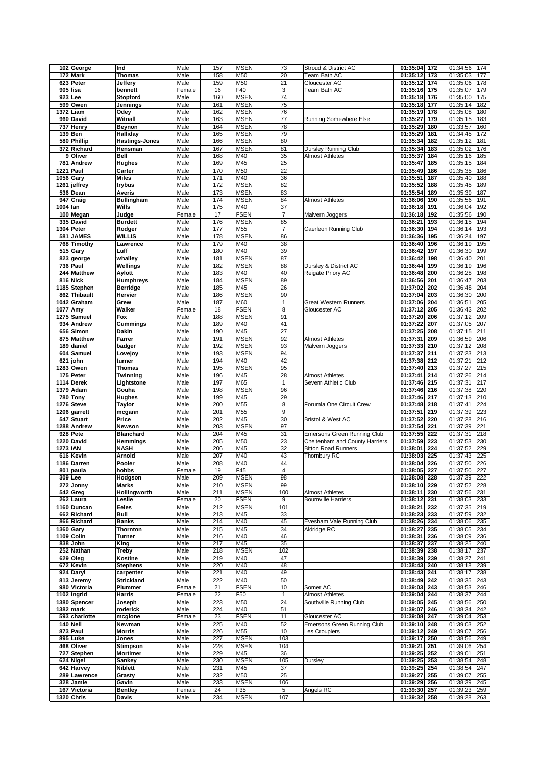|          | 102 George                 | Ind                     | Male           | 157       | <b>MSEN</b>        | 73             | Stroud & District AC           | 01:35:04<br>172                 | 01:34:56<br>174                    |
|----------|----------------------------|-------------------------|----------------|-----------|--------------------|----------------|--------------------------------|---------------------------------|------------------------------------|
|          | 172 Mark                   | <b>Thomas</b>           | Male           | 158       | M50                | 20             | Team Bath AC                   | 01:35:12<br>173                 | 01:35:03<br>177                    |
|          | 623 Peter                  | Jeffery                 | Male           | 159       | M50                | 21             | Gloucester AC                  | 01:35:12 174                    | 01:35:06<br>178                    |
|          |                            | bennett                 |                | 16        | F40                |                |                                |                                 |                                    |
|          | 905 lisa                   |                         | Female         |           |                    | 3              | Team Bath AC                   | 01:35:16<br>175                 | 01:35:07<br>179                    |
|          | 923 Lee                    | Stopford                | Male           | 160       | <b>MSEN</b>        | 74             |                                | 01:35:18<br>176                 | 01:35:00<br>175                    |
|          | 599 Owen                   | Jennings                | Male           | 161       | <b>MSEN</b>        | 75             |                                | 01:35:18<br>177                 | 01:35:14<br>182                    |
|          | 1372 Liam                  | Odey                    | Male           | 162       | <b>MSEN</b>        | 76             |                                | 01:35:19<br>178                 | 01:35:08<br>180                    |
|          | 960 David                  | Witnall                 | Male           | 163       | <b>MSEN</b>        | 77             | Running Somewhere Else         | 01:35:27<br>179                 | 01:35:15<br>183                    |
|          | 737 Henry                  | Beynon                  | Male           | 164       | <b>MSEN</b>        | 78             |                                | 01:35:29<br>180                 | 01:33:57<br>160                    |
|          | 139 Ben                    | Halliday                | Male           | 165       | <b>MSEN</b>        | 79             |                                | 01:35:29<br>181                 | 01:34:45<br>172                    |
|          | 580 Phillip                | <b>Hastings-Jones</b>   | Male           | 166       | <b>MSEN</b>        | 80             |                                | 01:35:34<br>182                 | 01:35:12<br>181                    |
|          | 372 Richard                | Hensman                 | Male           | 167       | <b>MSEN</b>        | 81             | Dursley Running Club           | 01:35:34<br>183                 | 01:35:02<br>176                    |
|          |                            |                         |                |           |                    |                |                                |                                 |                                    |
|          | 9 Oliver                   | Bell                    | Male           | 168       | M40                | 35             | <b>Almost Athletes</b>         | 01:35:37<br>184                 | 01:35:16<br>185                    |
|          | 781 Andrew                 | Hughes                  | Male           | 169       | M45                | 25             |                                | 01:35:47<br>185                 | 01:35:15<br>184                    |
|          | 1221 Paul                  | Carter                  | Male           | 170       | M50                | 22             |                                | 01:35:49<br>186                 | 01:35:35<br>186                    |
|          | 1056 Gary                  | <b>Miles</b>            | Male           | 171       | M40                | 36             |                                | 01:35:51<br>187                 | 01:35:40<br>188                    |
|          | 1261 jeffrey               | trybus                  | Male           | 172       | <b>MSEN</b>        | 82             |                                | 01:35:52<br>188                 | 01:35:45<br>189                    |
|          | 536 Dean                   | Averis                  | Male           | 173       | <b>MSEN</b>        | 83             |                                | 01:35:54<br>189                 | 01:35:39<br>187                    |
|          | 947 Craig                  | <b>Bullingham</b>       | Male           | 174       | <b>MSEN</b>        | 84             | <b>Almost Athletes</b>         | 01:36:06<br>190                 | 01:35:56<br>191                    |
| 1004 lan |                            | Wills                   | Male           | 175       | M40                | 37             |                                | 01:36:18<br>191                 | 01:36:04<br>192                    |
|          | 100 Megan                  | Judge                   | Female         | 17        | <b>FSEN</b>        | $\overline{7}$ | Malvern Joggers                | 01:36:18<br>192                 | 01:35:56<br>190                    |
|          | 335 David                  | <b>Burdett</b>          | Male           | 176       | <b>MSEN</b>        | 85             |                                | 01:36:21<br>193                 | 01:36:15<br>194                    |
|          | 1304 Peter                 |                         |                | 177       | M55                | $\overline{7}$ |                                |                                 |                                    |
|          |                            | Rodger                  | Male           |           |                    |                | Caerleon Running Club          | 01:36:30<br>194                 | 01:36:14<br>193                    |
|          | 581 JAMES                  | WILLIS                  | Male           | 178       | <b>MSEN</b>        | 86             |                                | 01:36:36<br>195                 | 01:36:24<br>197                    |
|          | 768 Timothy                | Lawrence                | Male           | 179       | M40                | 38             |                                | 01:36:40<br>196                 | 01:36:19<br>195                    |
|          | 515 Gary                   | Luff                    | Male           | 180       | M40                | 39             |                                | 01:36:42<br>197                 | 01:36:30<br>199                    |
|          | 823 george                 | whalley                 | Male           | 181       | <b>MSEN</b>        | 87             |                                | 01:36:42<br>198                 | 01:36:40<br>201                    |
|          | 736 Paul                   | Wellings                | Male           | 182       | <b>MSEN</b>        | 88             | Dursley & District AC          | 01:36:44<br>199                 | 01:36:19<br>196                    |
|          | 244 Matthew                | Aylott                  | Male           | 183       | M40                | 40             | Reigate Priory AC              | 01:36:48<br>200                 | 01:36:28<br>198                    |
|          | 816 Nick                   | <b>Humphreys</b>        | Male           | 184       | <b>MSEN</b>        | 89             |                                | 01:36:56<br>201                 | 01:36:47<br>203                    |
|          | 1185 Stephen               | Berridge                | Male           | 185       | M45                | 26             |                                | 01:37:02<br>202                 | 01:36:48<br>204                    |
|          | 862 Thibault               | Hervier                 | Male           | 186       | <b>MSEN</b>        | 90             |                                | 01:37:04<br>203                 | 01:36:30<br>200                    |
|          | 1042 Graham                | Grew                    | Male           | 187       | M60                | $\mathbf{1}$   | <b>Great Western Runners</b>   | 01:37:06<br>204                 | 01:36:51<br>205                    |
|          |                            |                         |                |           |                    |                |                                |                                 |                                    |
|          | 1077 Amy                   | Walker                  | Female         | 18        | <b>FSEN</b>        | 8              | Gloucester AC                  | 205<br>01:37:12                 | 01:36:43<br>202                    |
|          | 1275 Samuel                | Fox                     | Male           | 188       | <b>MSEN</b>        | 91             |                                | 01:37:20<br>206                 | 01:37:12<br>209                    |
|          | 934 Andrew                 | Cummings                | Male           | 189       | M40                | 41             |                                | 01:37:22<br>207                 | 01:37:05<br>207                    |
|          | 656 Simon                  | Dakin                   | Male           | 190       | M45                | 27             |                                | 01:37:25<br>208                 | 01:37:15<br>211                    |
|          | 875 Matthew                | Farrer                  | Male           | 191       | <b>MSEN</b>        | 92             | <b>Almost Athletes</b>         | 01:37:31<br>209                 | 01:36:59<br>206                    |
|          | 189 daniel                 | badger                  | Male           | 192       | <b>MSEN</b>        | 93             | Malvern Joggers                | 01:37:33<br>210                 | 01:37:12<br>208                    |
|          | 604 Samuel                 | Lovejoy                 | Male           | 193       | <b>MSEN</b>        | 94             |                                | 01:37:37<br>211                 | 01:37:23<br>213                    |
|          | 621 john                   | turner                  | Male           | 194       | M40                | 42             |                                | 01:37:38<br>212                 | 01:37:21<br>212                    |
|          | 1283 Owen                  | Thomas                  | Male           | 195       | <b>MSEN</b>        | 95             |                                | 01:37:40<br>213                 | 01:37:27<br>215                    |
|          | 175 Peter                  | Twinning                | Male           | 196       | M45                | 28             | <b>Almost Athletes</b>         | 01:37:41<br>214                 | 01:37:26<br>214                    |
|          | 1114 Derek                 | Lightstone              | Male           | 197       | M65                | 1              | Severn Athletic Club           | 01:37:46 215                    | 01:37:31<br>217                    |
|          |                            |                         |                |           |                    |                |                                |                                 |                                    |
|          | 1379 Adam                  | Gouha                   | Male           | 198       | <b>MSEN</b>        | 96             |                                | 01:37:46<br>216                 | 01:37:38<br>220                    |
|          | 780 Tony                   | Hughes                  | Male           | 199       | M45                | 29             |                                | 01:37:46<br>217                 | 01:37:13<br>210                    |
|          | 1276 Steve                 | Taylor                  | Male           | 200       | M55                | 8              | Forumla One Circuit Crew       | 01:37:48 218                    | 224<br>01:37:41                    |
|          | 1206 garrett               | mcgann                  | Male           | 201       | M55                | 9              |                                | 01:37:51<br>219                 | 01:37:39<br>223                    |
|          | 547 Stuart                 | Price                   | Male           | 202       | M45                | 30             | Bristol & West AC              | 01:37:52<br>220                 | 01:37:28<br>216                    |
|          | 1288 Andrew                | Newson                  | Male           | 203       | <b>MSEN</b>        | 97             |                                | 01:37:54<br>221                 | 01:37:39<br>221                    |
|          | 928 Pete                   | <b>Blanchard</b>        | Male           | 204       | M45                | 31             | Emersons Green Running Club    | 01:37:55<br>222                 | 01:37:31<br>218                    |
|          | 1220 David                 | Hemmings                | Male           | 205       | M50                | 23             | Cheltenham and County Harriers | 01:37:59<br>223                 | 01:37:53<br>230                    |
|          | 1273 IAN                   | <b>NASH</b>             | Male           | 206       | M45                | 32             | <b>Bitton Road Runners</b>     | 01:38:01<br>224                 | 01:37:52<br>229                    |
|          | 616 Kevin                  | Arnold                  | Male           | 207       | M40                | 43             | Thornbury RC                   | 01:38:03<br>225                 | 225<br>01:37:43                    |
|          | 1186 Darren                | Pooler                  | Male           | 208       | M40                | 44             |                                | 01:38:04<br>226                 | 01:37:50<br>226                    |
|          | $\overline{801}$ paula     | hobbs                   | Female         | 19        | F45                | 4              |                                | 01:38:05<br>227                 | 01:37:50<br>227                    |
|          |                            |                         |                |           |                    |                |                                |                                 |                                    |
|          | 309 Lee                    | Hodgson                 | Male           | 209       | <b>MSEN</b>        | 98             |                                | 01:38:08 228                    | 01:37:39 222                       |
|          | 272 Jonny                  | <b>Marks</b>            | Male           | 210       | <b>MSEN</b>        | 99             |                                | 01:38:10 229                    | 01:37:52<br>228                    |
|          | 542 Greg                   | Hollingworth            | Male           | 211       | <b>MSEN</b>        | 100            | <b>Almost Athletes</b>         | 01:38:11 230                    | 01:37:56 231                       |
|          | 262 Laura                  | Leslie                  | Female         | 20        | <b>FSEN</b>        | 9              | <b>Bournville Harriers</b>     | 01:38:12 231                    | 01:38:03 233                       |
|          | 1160 Duncan                | Eeles                   | Male           | 212       | <b>MSEN</b>        | 101            |                                | 01:38:21<br>232                 | 01:37:35<br>219                    |
|          | 662 Richard                | Bull                    | Male           | 213       | M45                | 33             |                                | 01:38:23 233                    | 01:37:59<br>232                    |
|          | 866 Richard                | Banks                   | Male           | 214       | M40                | 45             | Evesham Vale Running Club      | 01:38:26 234                    | 01:38:06<br>235                    |
|          | 1360 Gary                  | Thornton                | Male           | 215       | M45                | 34             | Aldridge RC                    | 01:38:27<br>235                 | 01:38:05<br>234                    |
|          | 1109 Colin                 | Turner                  | Male           | 216       | M40                | 46             |                                | 01:38:31<br>236                 | 01:38:09<br>236                    |
|          | 838 John                   | King                    | Male           | 217       | M45                | 35             |                                | 01:38:37<br>237                 | 01:38:25<br>240                    |
|          | 252 Nathan                 | Treby                   | Male           | 218       | <b>MSEN</b>        | 102            |                                | 01:38:39<br>238                 | 01:38:17<br>237                    |
|          | 629 Oleg                   | Kostine                 | Male           | 219       | M40                | 47             |                                | 01:38:39 239                    | 01:38:27<br>241                    |
|          | 672 Kevin                  | <b>Stephens</b>         | Male           | 220       | M40                | 48             |                                | 01:38:43 240                    | 01:38:18<br>239                    |
|          | 924 Daryl                  | carpenter               | Male           | 221       | M40                | 49             |                                | 01:38:43 241                    | 01:38:17<br>238                    |
|          | 813 Jeremy                 | Strickland              | Male           | 222       | M40                | 50             |                                | 01:38:49 242                    | 01:38:35<br>243                    |
|          |                            |                         |                |           |                    |                |                                |                                 |                                    |
|          | 980 Victoria               | Plummer                 | Female         | 21        | <b>FSEN</b>        | 10             | Somer AC                       | 01:39:03 243                    | 01:38:53<br>246                    |
|          | 1102 Ingrid                | Harris                  | Female         | 22        | F50                | $\mathbf{1}$   | <b>Almost Athletes</b>         | 01:39:04 244                    | 01:38:37<br>244                    |
|          | 1380 Spencer               | Joseph                  | Male           | 223       | M50                | 24             | Southville Running Club        | 01:39:05 245                    | 01:38:56<br>250                    |
|          | 1382 mark                  | roderick                | Male           | 224       | M40                | 51             |                                | 01:39:07 246                    | 01:38:34<br>242                    |
|          | 593 charlotte              | mcglone                 | Female         | 23        | <b>FSEN</b>        | 11             | Gloucester AC                  | 01:39:08 247                    | 01:39:04 253                       |
|          | 140 Neil                   | Newman                  | Male           | 225       | M40                | 52             | Emersons Green Running Club    | 01:39:10 248                    | 01:39:03<br>252                    |
|          | 873 Paul                   | Morris                  | Male           | 226       | M55                | 10             | Les Croupiers                  | 01:39:12 249                    | 01:39:07<br>256                    |
|          | 895 Luke                   | Jones                   | Male           | 227       | <b>MSEN</b>        | 103            |                                | 01:39:17<br>250                 | 01:38:56<br>249                    |
|          | 468 Oliver                 | <b>Stimpson</b>         | Male           | 228       | <b>MSEN</b>        | 104            |                                | 01:39:21<br>251                 | 01:39:06<br>254                    |
|          | 727 Stephen                | Mortimer                | Male           | 229       | M45                | 36             |                                | 01:39:25 252                    | 01:39:01<br>251                    |
|          | 624 Nigel                  | Sankey                  | Male           | 230       | <b>MSEN</b>        | 105            | Dursley                        | 01:39:25 253                    | 01:38:54<br>248                    |
|          |                            |                         | Male           | 231       |                    |                |                                |                                 |                                    |
|          |                            |                         |                |           | M45                | 37             |                                | 01:39:25 254                    | 01:38:54<br>247                    |
|          | 642 Harvey                 | Niblett                 |                |           |                    |                |                                |                                 |                                    |
|          | 289 Lawrence               | Grasty                  | Male           | 232       | M50                | 25             |                                | 01:39:27<br>255                 | 01:39:07<br>255                    |
|          | 328 Jamie                  | Gavin                   | Male           | 233       | <b>MSEN</b>        | 106            |                                | 01:39:29 256                    | 01:38:39<br>245                    |
|          | 167 Victoria<br>1320 Chris | <b>Bentley</b><br>Davis | Female<br>Male | 24<br>234 | F35<br><b>MSEN</b> | 5<br>107       | Angels RC                      | 01:39:30<br>257<br>01:39:32 258 | 01:39:23<br>259<br>01:39:28<br>263 |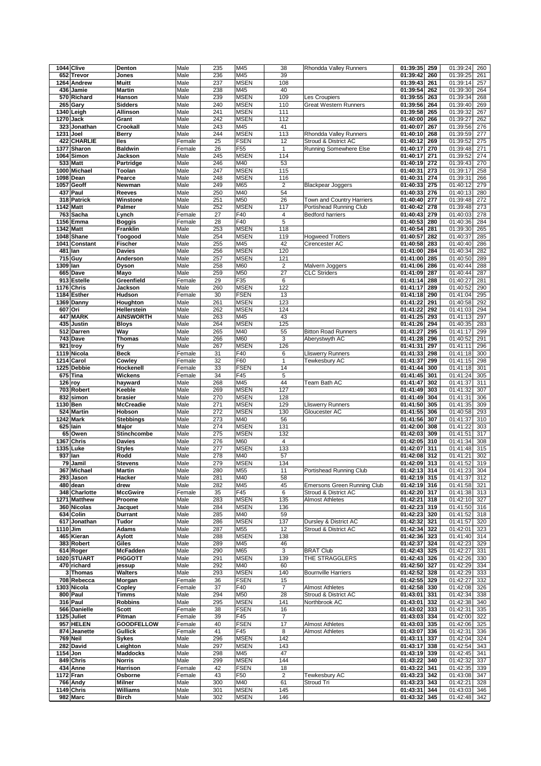|                  | 1044 Clive         | Denton                    | Male             | 235        | M45                | 38                    | Rhondda Valley Runners                             | 01:39:35                 | 259        | 01:39:24<br>260                    |
|------------------|--------------------|---------------------------|------------------|------------|--------------------|-----------------------|----------------------------------------------------|--------------------------|------------|------------------------------------|
|                  | 652 Trevor         | Jones                     | Male             | 236        | M45                | 39                    |                                                    | 01:39:42                 | 260        | 01:39:25<br>261                    |
|                  | 1264 Andrew        | Muitt                     | Male             | 237        | <b>MSEN</b>        | 108                   |                                                    | 01:39:43                 | 261        | 01:39:14<br>257                    |
|                  | 436 Jamie          | <b>Martin</b>             | Male             | 238        | M45                | 40                    |                                                    | 01:39:54                 | 262        | 01:39:30<br>264                    |
|                  | 570 Richard        | Hanson                    | Male             | 239        | <b>MSEN</b>        | 109                   | Les Croupiers                                      | 01:39:55                 | 263        | 01:39:34<br>268                    |
|                  | 265 Gary           | <b>Sidders</b>            | Male             | 240        | <b>MSEN</b>        | 110                   | <b>Great Western Runners</b>                       | 01:39:56                 | 264        | 01:39:40<br>269                    |
|                  | 1340 Leigh         | Allinson                  | Male             | 241        | <b>MSEN</b>        | 111                   |                                                    | 01:39:58                 | 265        | 01:39:32<br>267                    |
|                  | 1270 Jack          | Grant                     | Male             | 242        | <b>MSEN</b>        | 112                   |                                                    | 01:40:00                 | 266        | 01:39:27<br>262                    |
|                  | 323 Jonathan       | Crookall                  | Male             | 243        | M45                | 41                    |                                                    | 01:40:07                 | 267        | 01:39:56<br>276                    |
| 1231 Joel        |                    | Berry                     | Male             | 244        | <b>MSEN</b>        | 113                   | Rhondda Valley Runners                             | 01:40:10                 | 268        | 01:39:59<br>277                    |
|                  | 422 CHARLIE        | lles                      | Female           | 25         | <b>FSEN</b>        | 12                    | Stroud & District AC                               | 01:40:12                 | 269        | 01:39:52<br>275                    |
|                  | 1377 Sharon        | <b>Baldwin</b>            | Female           | 26         | F <sub>55</sub>    | $\mathbf{1}$          | Running Somewhere Else                             | 01:40:17                 | 270        | 01:39:48<br>271                    |
|                  | 1064 Simon         | Jackson                   | Male             | 245        | <b>MSEN</b>        | 114                   |                                                    | 01:40:17                 | 271        | 274<br>01:39:52                    |
|                  | 533 Matt           | Partridge                 | Male             | 246        | M40                | 53                    |                                                    | 01:40:19                 | 272        | 01:39:43<br>270                    |
|                  | 1000 Michael       | Toolan                    | Male             | 247        | <b>MSEN</b>        | 115                   |                                                    | 01:40:31                 | 273        | 01:39:17<br>258                    |
|                  | 1098 Dean          | Pearce                    | Male             | 248        | <b>MSEN</b>        | 116                   |                                                    | 01:40:31                 | 274        | 01:39:31<br>266                    |
|                  | 1057 Geoff         | Newman                    | Male             | 249        | M65                | $\overline{2}$        | <b>Blackpear Joggers</b>                           | 01:40:33                 | 275        | 01:40:12<br>279                    |
|                  | 437 Paul           | <b>Reeves</b>             | Male             | 250        | M40                | 54                    |                                                    | 01:40:33                 | 276        | 01:40:13<br>280                    |
|                  | 318 Patrick        | Winstone                  | Male             | 251        | M50                | 26                    | Town and Country Harriers                          | 01:40:40                 | 277        | 01:39:48<br>272                    |
| 1142 Matt<br>763 |                    | Palmer                    | Male<br>Female   | 252<br>27  | <b>MSEN</b><br>F40 | 117<br>$\overline{4}$ | Portishead Running Club<br><b>Bedford harriers</b> | 01:40:42<br>01:40:43     | 278<br>279 | 273<br>01:39:48<br>278             |
|                  | Sacha<br>1156 Emma | Lynch                     | Female           | 28         | F40                | 5                     |                                                    | 01:40:53                 | 280        | 01:40:03<br>01:40:36<br>284        |
| 1342 Matt        |                    | <b>Boggis</b><br>Franklin | Male             | 253        | <b>MSEN</b>        | 118                   |                                                    | 01:40:54                 | 281        | 01:39:30<br>265                    |
|                  | 1048 Shane         | Toogood                   | Male             | 254        | <b>MSEN</b>        | 119                   | <b>Hogweed Trotters</b>                            | 01:40:57                 | 282        | 01:40:37<br>285                    |
|                  | 1041 Constant      | <b>Fischer</b>            | Male             | 255        | M45                | 42                    | Cirencester AC                                     | 01:40:58                 | 283        | 01:40:40<br>286                    |
| 481 Ian          |                    | <b>Davies</b>             | Male             | 256        | <b>MSEN</b>        | 120                   |                                                    | 01:41:00                 | 284        | 01:40:34<br>282                    |
|                  | 715 Guy            | Anderson                  | Male             | 257        | <b>MSEN</b>        | 121                   |                                                    | 01:41:00                 | 285        | 01:40:50<br>289                    |
| 1309 Ian         |                    | Dyson                     | Male             | 258        | M60                | $\overline{2}$        | Malvern Joggers                                    | 01:41:06                 | 286        | 01:40:44<br>288                    |
|                  | 665 Dave           | Mayo                      | Male             | 259        | M50                | 27                    | <b>CLC Striders</b>                                | 01:41:09                 | 287        | 01:40:44<br>287                    |
|                  | 913 Estelle        | Greenfield                | Female           | 29         | $\overline{F}35$   | 6                     |                                                    | 01:41:14                 | 288        | 01:40:27<br>281                    |
|                  | 1176 Chris         | <b>Jackson</b>            | Male             | 260        | <b>MSEN</b>        | 122                   |                                                    | 01:41:17                 | 289        | 01:40:52<br>290                    |
|                  | 1184 Esther        | Hudson                    | Female           | 30         | <b>FSEN</b>        | 13                    |                                                    | 01:41:18                 | 290        | 01:41:04<br>295                    |
|                  | 1369 Danny         | Houghton                  | Male             | 261        | <b>MSEN</b>        | 123                   |                                                    | 01:41:22                 | 291        | 01:40:58<br>292                    |
| 607 Ori          |                    | Hellerstein               | Male             | 262        | <b>MSEN</b>        | 124                   |                                                    | 01:41:22                 | 292        | 01:41:03<br>294                    |
|                  | 447 MARK           | <b>AINSWORTH</b>          | Male             | 263        | M45                | 43                    |                                                    | 01:41:25                 | 293        | 01:41:13<br>297                    |
| 435              | Justin             | <b>Bloys</b>              | Male             | 264        | <b>MSEN</b>        | 125                   |                                                    | 01:41:26                 | 294        | 01:40:35<br>283                    |
|                  | 512 Darren         | Way                       | Male             | 265        | M40                | 55                    | <b>Bitton Road Runners</b>                         | 01:41:27                 | 295        | 01:41:17<br>299                    |
|                  | 743 Dave           | Thomas                    | Male             | 266        | M60                | 3                     | Aberystwyth AC                                     | 01:41:28                 | 296        | 01:40:52<br>291                    |
|                  | 921 troy           | fry                       | Male             | 267        | <b>MSEN</b>        | 126                   |                                                    | 01:41:31                 | 297        | 01:41:11<br>296                    |
|                  | 1119 Nicola        | <b>Beck</b>               | Female           | 31         | F40                | 6                     | <b>Lliswerry Runners</b>                           | 01:41:33                 | 298        | 01:41:18<br>300                    |
|                  | 1214 Carol         | Cowley                    | Female           | 32         | F60                | $\mathbf{1}$          | Tewkesbury AC                                      | 01:41:37                 | 299        | 01:41:15<br>298                    |
|                  | 1225 Debbie        | Hockenell                 | Female           | 33         | <b>FSEN</b>        | 14                    |                                                    | 01:41:44                 | 300        | 01:41:18<br>301                    |
| $126$ roy        | 675 Tina           | Wickens                   | Female<br>Male   | 34<br>268  | F45<br>M45         | 5<br>44               | Team Bath AC                                       | 01:41:45<br>01:41:47     | 301<br>302 | 01:41:24<br>305<br>01:41:37<br>311 |
|                  | 703 Robert         | hayward<br>Keeble         | Male             | 269        | <b>MSEN</b>        | 127                   |                                                    | 01:41:49                 | 303        | 01:41:32<br>307                    |
|                  | 832 simon          | brasier                   | Male             | 270        | <b>MSEN</b>        | 128                   |                                                    | 01:41:49                 | 304        | 01:41:31<br>306                    |
| 1130 Ben         |                    | <b>McCreadie</b>          | Male             | 271        | <b>MSEN</b>        | 129                   | <b>Lliswerry Runners</b>                           | 01:41:50                 | 305        | 01:41:35<br>309                    |
|                  | 524 Martin         | Hobson                    | Male             | 272        | <b>MSEN</b>        | 130                   | Gloucester AC                                      | 01:41:55                 | 306        | 01:40:58<br>293                    |
|                  | 1242 Mark          | <b>Stebbings</b>          | Male             | 273        | M40                | 56                    |                                                    | 01:41:56                 | 307        | 01:41:37<br>310                    |
|                  | 625 lain           | Major                     | Male             | 274        | <b>MSEN</b>        | 131                   |                                                    | 01:42:00                 | 308        | 01:41:22<br>303                    |
|                  | 65 Owen            |                           |                  |            | <b>MSEN</b>        | 132                   |                                                    |                          |            |                                    |
|                  |                    | <b>Stinchcombe</b>        | Male             | 275        |                    |                       |                                                    | 01:42:03                 | 309        | 01:41:51<br>317                    |
|                  | 1367 Chris         | <b>Davies</b>             | Male             | 276        | M60                | $\overline{4}$        |                                                    | 01:42:05                 | 310        | 01:41:34<br>308                    |
|                  | 1335 Luke          | <b>Styles</b>             | Male             | 277        | <b>MSEN</b>        | 133                   |                                                    | 01:42:07                 | 311        | 01:41:48<br>315                    |
| 937 Ian          |                    | Rodd                      | Male             | 278        | M40                | 57                    |                                                    | 01:42:08                 | 312        | 01:41:21<br>302                    |
|                  | 79 Jamil           | <b>Stevens</b>            | Male             | 279        | <b>MSEN</b>        | 134                   |                                                    | 01:42:09                 | 313        | 01:41:52<br>319                    |
|                  | 367 Michael        | <b>Martin</b>             | Male             | 280        | M <sub>55</sub>    | 11                    | Portishead Running Club                            | 01:42:13                 | 314        | 01:41:23<br>304                    |
|                  | 293 Jason          | Hacker                    | Male             | 281        | M40                | 58                    |                                                    | 01:42:19 315             |            | 01:41:37<br>312                    |
|                  | 480 dean           | drew                      | Male             | 282        | M45                | 45                    | <b>Emersons Green Running Club</b>                 | 01:42:19 316             |            | 01:41:58<br>321                    |
|                  | 348 Charlotte      | <b>MccGwire</b>           | Female           | 35         | F45                | 6                     | Stroud & District AC                               | 01:42:20 317             |            | 01:41:38<br>313                    |
|                  | 1271 Matthew       | Proome                    | Male             | 283        | <b>MSEN</b>        | 135                   | <b>Almost Athletes</b>                             | 01:42:21                 | 318        | 01:42:10<br>327                    |
|                  | 360 Nicolas        | Jacquet                   | Male             | 284        | <b>MSEN</b>        | 136                   |                                                    | 01:42:23                 | 319        | 01:41:50<br>316                    |
|                  | 634 Colin          | <b>Durrant</b>            | Male             | 285        | M40                | 59                    |                                                    | 01:42:23 320             |            | 01:41:52<br>318                    |
| $1110$ Jim       | 617 Jonathan       | Tudor<br><b>Adams</b>     | Male<br>Male     | 286<br>287 | MSEN<br>M55        | 137<br>12             | Dursley & District AC<br>Stroud & District AC      | 01:42:32                 | 321<br>322 | 01:41:57<br>320<br>01:42:01<br>323 |
|                  | 465 Kieran         | Aylott                    | Male             | 288        | <b>MSEN</b>        | 138                   |                                                    | 01:42:34<br>01:42:36     | 323        | 01:41:40<br>314                    |
|                  | 383 Robert         | Giles                     | Male             | 289        | M45                | 46                    |                                                    | 01:42:37                 | 324        | 01:42:23<br>329                    |
|                  | 614 Roger          | <b>McFadden</b>           | Male             | 290        | M65                | $\mathsf 3$           | <b>BRAT Club</b>                                   | 01:42:43                 | 325        | 01:42:27<br>331                    |
|                  | 1020 STUART        | <b>PIGGOTT</b>            | Male             | 291        | <b>MSEN</b>        | 139                   | THE STRAGGLERS                                     | 01:42:43                 | 326        | 01:42:26<br>330                    |
|                  | 470 richard        | jessup                    | Male             | 292        | M40                | 60                    |                                                    | 01:42:50                 | 327        | 01:42:29<br>334                    |
|                  | 3 Thomas           | <b>Walters</b>            | Male             | 293        | <b>MSEN</b>        | 140                   | <b>Bournville Harriers</b>                         | 01:42:52                 | 328        | 01:42:29<br>333                    |
|                  | 708 Rebecca        | Morgan                    | Female           | 36         | <b>FSEN</b>        | 15                    |                                                    | 01:42:55                 | 329        | 01:42:27<br>332                    |
|                  | 1303 Nicola        | Copley                    | Female           | 37         | F40                | $\overline{7}$        | <b>Almost Athletes</b>                             | 01:42:58                 | 330        | 01:42:08<br>326                    |
|                  | 800 Paul           | Timms                     | Male             | 294        | M50                | 28                    | Stroud & District AC                               | 01:43:01                 | 331        | 01:42:34<br>338                    |
|                  | 316 Paul           | <b>Robbins</b>            | Male             | 295        | <b>MSEN</b>        | 141                   | Northbrook AC                                      | 01:43:01                 | 332        | 01:42:38<br>340                    |
|                  | 566 Danielle       | Scott                     | Female           | 38         | <b>FSEN</b>        | 16                    |                                                    | 01:43:02                 | 333        | 01:42:31<br>335                    |
|                  | 1125 Juliet        | Pitman                    | Female           | 39         | F45                | $\boldsymbol{7}$      |                                                    | 01:43:03                 | 334        | 01:42:00<br>322                    |
|                  | 957 HELEN          | <b>GOODFELLOW</b>         | Female           | 40         | <b>FSEN</b>        | 17                    | <b>Almost Athletes</b>                             | 01:43:03                 | 335        | 01:42:06<br>325                    |
|                  | 874 Jeanette       | <b>Gullick</b>            | Female           | 41         | F45                | 8                     | <b>Almost Athletes</b>                             | 01:43:07                 | 336        | 01:42:31<br>336                    |
|                  | 769 Neil           | <b>Sykes</b>              | Male             | 296        | <b>MSEN</b>        | 142                   |                                                    | 01:43:11                 | 337        | 01:42:04<br>324                    |
|                  | 282 David          | Leighton                  | Male             | 297        | <b>MSEN</b>        | 143                   |                                                    | 01:43:17                 | 338        | 01:42:54<br>343                    |
| 1154 Jon         |                    | <b>Maddocks</b>           | Male             | 298        | M45                | 47                    |                                                    | 01:43:19                 | 339        | 01:42:45<br>341                    |
|                  | 849 Chris          | <b>Norris</b>             | Male             | 299        | <b>MSEN</b>        | 144                   |                                                    | 01:43:22                 | 340<br>341 | 01:42:32<br>337                    |
| 1172 Fran        | 434 Anne           | Harrison<br>Osborne       | Female<br>Female | 42<br>43   | <b>FSEN</b><br>F50 | 18<br>$\overline{c}$  | Tewkesbury AC                                      | 01:43:22<br>01:43:23 342 |            | 01:42:35<br>339<br>01:43:08<br>347 |
|                  | 766 Andy           | <b>Milner</b>             | Male             | 300        | M40                | 61                    | Stroud Tri                                         | 01:43:23                 | 343        | 01:42:21<br>328                    |
|                  | 1149 Chris         | Williams                  | Male             | 301        | <b>MSEN</b>        | 145                   |                                                    | 01:43:31                 | 344        | 01:43:03<br>346                    |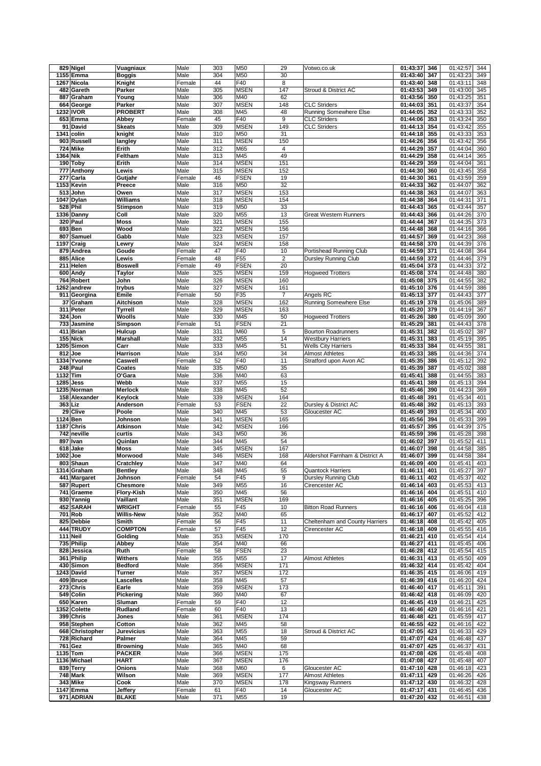|          | 829 Nigel               | Vuagniaux                        | Male           | 303        | M50                        | 29                    | Votwo.co.uk                                | 01:43:37                  | 346        | 01:42:57<br>344                    |
|----------|-------------------------|----------------------------------|----------------|------------|----------------------------|-----------------------|--------------------------------------------|---------------------------|------------|------------------------------------|
|          | 1155 Emma               | <b>Boggis</b>                    | Male           | 304        | M50                        | 30                    |                                            | 01:43:40                  | 347        | 01:43:23<br>349                    |
|          | 1267 Nicola             | Knight                           | Female         | 44         | F40                        | 8                     |                                            | 01:43:40                  | 348        | 01:43:11<br>348                    |
|          | 482 Gareth              | Parker                           | Male           | 305        | <b>MSEN</b>                | 147                   | Stroud & District AC                       | 01:43:53                  | 349        | 01:43:00<br>345                    |
| 887      | Graham                  | Young                            | Male           | 306        | M40                        | 62                    |                                            | 01:43:56                  | 350        | 01:43:25<br>351                    |
|          | 664 George              | Parker                           | Male           | 307        | <b>MSEN</b>                | 148                   | <b>CLC Striders</b>                        | 01:44:03                  | 351        | 01:43:37<br>354                    |
|          | 1232 IVOR               | <b>PROBERT</b>                   | Male           | 308        | M45                        | 48                    | Running Somewhere Else                     | 01:44:05                  | 352        | 01:43:33<br>352                    |
|          | 653 Emma                | Abbey                            | Female         | 45         | F40                        | 9                     | <b>CLC Striders</b>                        | 01:44:06                  | 353        | 01:43:24<br>350                    |
|          | 91 David                | <b>Skeats</b>                    | Male           | 309        | <b>MSEN</b>                | 149                   | <b>CLC Striders</b>                        | 01:44:13                  | 354        | 01:43:42<br>355                    |
|          | 1341 colin              | knight                           | Male           | 310        | M50                        | 31                    |                                            | 01:44:18                  | 355        | 01:43:33<br>353                    |
|          | 903 Russell             | langley                          | Male           | 311        | <b>MSEN</b>                | 150                   |                                            | 01:44:26                  | 356        | 01:43:42<br>356                    |
|          | 724 Mike                | Erith                            | Male           | 312        | M65                        | 4                     |                                            | 01:44:29                  | 357        | 01:44:04<br>360                    |
| 1364 Nik |                         | Feltham                          | Male           | 313        | M45                        | 49                    |                                            | 01:44:29                  | 358        | 01:44:14<br>365                    |
|          | 190 Toby                | Erith                            | Male           | 314        | <b>MSEN</b>                | 151                   |                                            | 01:44:29                  | 359        | 01:44:04<br>361                    |
|          | 777 Anthony             | Lewis                            | Male           | 315        | <b>MSEN</b>                | 152                   |                                            | 01:44:30                  | 360        | 01:43:45<br>358                    |
|          | 277 Carla               | Gutjahr                          | Female         | 46         | <b>FSEN</b>                | 19                    |                                            | 01:44:30                  | 361        | 01:43:59<br>359                    |
|          | 1153 Kevin              | Preece                           | Male           | 316        | M50                        | 32                    |                                            | 01:44:33                  | 362        | 01:44:07<br>362                    |
|          | 513 John                | Owen                             | Male           | 317        | <b>MSEN</b>                | 153                   |                                            | 01:44:38                  | 363        | 01:44:07<br>363                    |
|          | 1047 Dylan              | Williams                         | Male           | 318        | <b>MSEN</b>                | 154                   |                                            | 01:44:38                  | 364        | 01:44:31<br>371                    |
|          | 528 Phil                | <b>Stimpson</b>                  | Male           | 319        | M50                        | 33                    |                                            | 01:44:43                  | 365        | 01:43:44<br>357                    |
|          | 1336 Danny              | Coll                             | Male           | 320        | M55                        | 13                    | <b>Great Western Runners</b>               | 01:44:43                  | 366        | 01:44:26<br>370                    |
|          | 320 Paul                | <b>Moss</b>                      | Male           | 321        | <b>MSEN</b>                | 155                   |                                            | 01:44:44                  | 367        | 01:44:35<br>373                    |
|          | 693 Ben                 | Wood                             | Male           | 322        | <b>MSEN</b>                | 156                   |                                            | 01:44:48                  | 368        | 01:44:16<br>366                    |
|          | 807 Samuel              | Gabb                             | Male           | 323        | <b>MSEN</b>                | 157                   |                                            | 01:44:57                  | 369        | 01:44:23<br>368                    |
|          | 1197 Craig              | Lewry                            | Male           | 324        | <b>MSEN</b>                | 158                   |                                            | 01:44:58                  | 370        | 01:44:39<br>376                    |
|          | 879 Andrea              | Goude                            | Female         | 47         | F40                        | 10                    | Portishead Running Club                    | 01:44:59                  | 371        | 01:44:08<br>364                    |
|          | 885 Alice               | Lewis                            | Female         | 48         | F55                        | $\overline{2}$        | Dursley Running Club                       | 01:44:59                  | 372        | 01:44:46<br>379                    |
|          | 211 Helen               | <b>Boswell</b>                   | Female         | 49         | <b>FSEN</b>                | 20                    |                                            | 01:45:04                  | 373        | 01:44:33<br>372                    |
|          | 600 Andy                | Taylor                           | Male           | 325        | <b>MSEN</b>                | 159                   | <b>Hogweed Trotters</b>                    | 01:45:08                  | 374        | 01:44:48<br>380                    |
|          | 764 Robert              | John                             | Male           | 326        | <b>MSEN</b><br><b>MSEN</b> | 160                   |                                            | 01:45:08                  | 375        | 01:44:55<br>382                    |
|          | 1262 andrew             | trybus                           | Male           | 327        |                            | 161<br>$\overline{7}$ |                                            | 01:45:10                  | 376        | 01:44:59<br>386                    |
| 37       | 911 Georgina<br>Graham  | Emile                            | Female<br>Male | 50<br>328  | F35<br><b>MSEN</b>         | 162                   | Angels RC<br><b>Running Somewhere Else</b> | 01:45:13<br>01:45:19      | 377<br>378 | 01:44:43<br>377<br>01:45:06<br>389 |
|          | 311 Peter               | Aitchison<br><b>Tyrrell</b>      | Male           | 329        | <b>MSEN</b>                | 163                   |                                            | 01:45:20                  | 379        | 01:44:19<br>367                    |
|          | 324 Jon                 | Woolls                           | Male           | 330        | M45                        | 50                    | <b>Hogweed Trotters</b>                    | 01:45:26                  | 380        | 01:45:09<br>390                    |
|          | 733 Jasmine             | Simpson                          | Female         | 51         | <b>FSEN</b>                | 21                    |                                            | 01:45:29                  | 381        | 01:44:43<br>378                    |
|          | 411 Brian               | Hulcup                           | Male           | 331        | M60                        | 5                     | <b>Bourton Roadrunners</b>                 | 01:45:31                  | 382        | 01:45:02<br>387                    |
|          | 155 Nick                | <b>Marshall</b>                  | Male           | 332        | M55                        | 14                    | <b>Westbury Harriers</b>                   | 01:45:31                  | 383        | 01:45:19<br>395                    |
|          | 1205 Simon              | Carr                             | Male           | 333        | M45                        | 51                    | <b>Wells City Harriers</b>                 | 01:45:33                  | 384        | 01:44:55<br>381                    |
|          | 812 Joe                 | Harrison                         | Male           | 334        | M50                        | 34                    | <b>Almost Athletes</b>                     | 01:45:33                  | 385        | 01:44:36<br>374                    |
|          | 1334 Yvonne             | Caswell                          | Female         | 52         | F40                        | 11                    | Stratford upon Avon AC                     | 01:45:35                  | 386        | 01:45:12<br>392                    |
|          | 248 Paul                | Coates                           | Male           | 335        | M50                        | 35                    |                                            | 01:45:39                  | 387        | 01:45:02<br>388                    |
| 1132 Tim |                         | O'Gara                           | Male           | 336        | M40                        | 63                    |                                            | 01:45:41                  | 388        | 01:44:55<br>383                    |
|          | 1285 Jess               | Webb                             | Male           | 337        | M55                        | 15                    |                                            | 01:45:41                  | 389        | 01:45:13<br>394                    |
|          | 1235 Norman             | <b>Merlock</b>                   | Male           | 338        | M45                        | 52                    |                                            | 01:45:46                  | 390        | 01:44:23<br>369                    |
|          | 158 Alexander           | Keylock                          | Male           | 339        | <b>MSEN</b>                | 164                   |                                            | 01:45:48                  | 391        | 01:45:34<br>401                    |
|          | 363 Liz                 | Anderson                         | Female         | 53         | <b>FSEN</b>                | 22                    | Dursley & District AC                      | 01:45:48                  | 392        | 01:45:13<br>393                    |
|          | 29 Clive                | Poole                            | Male           | 340        | M45                        | 53                    | Gloucester AC                              | 01:45:49                  | 393        | 01:45:34<br>400                    |
|          | 1124 Ben                | Johnson                          | Male           | 341        | <b>MSEN</b>                | 165                   |                                            | 01:45:56                  | 394        | 01:45:33<br>399                    |
|          | 1187 Chris              | Atkinson                         | Male           | 342        | <b>MSEN</b>                | 166                   |                                            | 01:45:57                  | 395        | 01:44:39<br>375                    |
|          | 742 neville             | curtis                           | Male           | 343        | M50                        | 36                    |                                            | 01:45:59                  | 396        | 01:45:28<br>398                    |
|          | 897 Ivan                | Quinlan                          | Male           | 344        | M45                        | 54                    |                                            | 01:46:02                  | 397        | 01:45:52<br>411                    |
|          | 618 Jake                | <b>Moss</b>                      | Male           | 345        | <b>MSEN</b>                | 167                   |                                            | 01:46:07                  | 398        | 01:44:58<br>385                    |
| 1002     | Joe                     | <b>Morwood</b>                   | Male           | 346        | <b>MSEN</b>                | 168                   | Aldershot Farnham & District A             | 01:46:07                  | 399        | 01:44:58<br>384                    |
|          | 803 Shaun               | Cratchley                        | Male           | 347        | M40                        | 64                    |                                            | 01:46:09                  | 400        | 01:45:41<br>403                    |
|          | 1314 Graham             | <b>Bentley</b>                   | Male           | 348        | M45                        | 55                    | <b>Quantock Harriers</b>                   | 01:46:11                  | 401        | 397<br>01:45:27                    |
|          | 441 Margaret            | Johnson                          | Female         | 54         | F45                        | 9                     | <b>Dursley Running Club</b>                | 01:46:11                  | 402        | 01:45:37<br>402                    |
|          | 587 Rupert              | <b>Chesmore</b>                  | Male           | 349        | M55                        | 16                    | Cirencester AC                             | 01:46:14                  | 403        | 01:45:53<br>413                    |
|          | 741 Graeme              | Flory-Kish                       | Male           | 350        | M45                        | 56                    |                                            | 01:46:16                  | 404        | 01:45:51<br>410                    |
|          | 930 Yannig              | Vaillant                         | Male           | 351        | <b>MSEN</b>                | 169                   |                                            | 01:46:16                  | 405        | 01:45:25<br>396                    |
|          | 452 SARAH               | <b>WRIGHT</b>                    | Female         | 55         | F45                        | 10                    | <b>Bitton Road Runners</b>                 | 01:46:16                  | 406        | 01:46:04<br>418                    |
|          | 701 Rob                 | <b>Willis-New</b>                | Male           | 352        | M40                        | 65                    |                                            | 01:46:17                  | 407        | $\overline{01}$ :45:52<br>412      |
|          | 825 Debbie              | Smith                            | Female         | 56         | F45                        | 11                    | Cheltenham and County Harriers             | 01:46:18                  | 408        | 01:45:42<br>405                    |
|          | 444 TRUDY               | <b>COMPTON</b>                   | Female         | 57         | F45                        | 12                    | Cirencester AC                             | 01:46:18                  | 409        | 01:45:55<br>416                    |
|          | 111 Neil                | Golding                          | Male           | 353        | <b>MSEN</b>                | 170                   |                                            | 01:46:21                  | 410        | 01:45:54<br>414                    |
|          | 735 Philip              | Abbey                            | Male           | 354        | M40                        | 66                    |                                            | 01:46:27                  | 411        | 01:45:45<br>406                    |
|          | 828 Jessica             | Ruth                             | Female         | 58         | <b>FSEN</b>                | 23                    | <b>Almost Athletes</b>                     | 01:46:28<br>01:46:31      | 412        | 01:45:54<br>415                    |
|          | 361 Philip<br>430 Simon | <b>Withers</b><br><b>Bedford</b> | Male<br>Male   | 355<br>356 | M55<br><b>MSEN</b>         | 17<br>171             |                                            | 01:46:32                  | 413<br>414 | 01:45:50<br>409<br>01:45:42<br>404 |
|          | 1243 David              | <b>Turner</b>                    | Male           | 357        | <b>MSEN</b>                | 172                   |                                            | 01:46:35                  | 415        | 01:46:06<br>419                    |
|          | 409 Bruce               | <b>Lascelles</b>                 | Male           | 358        | M45                        | 57                    |                                            | $\overline{01:46:39}$ 416 |            | 01:46:20<br>424                    |
|          | 273 Chris               | Earle                            | Male           | 359        | <b>MSEN</b>                | 173                   |                                            | 01:46:40 417              |            | 01:45:11<br>391                    |
|          | 549 Colin               | Pickering                        | Male           | 360        | M40                        | 67                    |                                            | 01:46:42                  | 418        | 01:46:09<br>420                    |
|          | 650 Karen               | Sluman                           | Female         | 59         | F40                        | 12                    |                                            | 01:46:45 419              |            | 01:46:21<br>425                    |
|          | 1352 Colette            | Rudland                          | Female         | 60         | F40                        | 13                    |                                            | 01:46:46 420              |            | 01:46:16<br>421                    |
|          | 399 Chris               | Jones                            | Male           | 361        | <b>MSEN</b>                | 174                   |                                            | 01:46:48                  | 421        | 01:45:59<br>417                    |
|          | 958 Stephen             | Cotton                           | Male           | 362        | M45                        | 58                    |                                            | 01:46:55 422              |            | 01:46:16<br>422                    |
|          | 668 Christopher         | <b>Jurevicius</b>                | Male           | 363        | M55                        | 18                    | Stroud & District AC                       | 01:47:05                  | 423        | 01:46:33<br>429                    |
|          | 728 Richard             | Palmer                           | Male           | 364        | M45                        | 59                    |                                            | 01:47:07                  | 424        | 01:46:48<br>437                    |
|          | 761 Gez                 | <b>Browning</b>                  | Male           | 365        | M40                        | 68                    |                                            | 01:47:07                  | 425        | 01:46:37<br>431                    |
|          | 1135 Tom                | <b>PACKER</b>                    | Male           | 366        | <b>MSEN</b>                | 175                   |                                            | 01:47:08                  | 426        | 01:45:48<br>408                    |
|          | 1136 Michael            | <b>HART</b>                      | Male           | 367        | <b>MSEN</b>                | 176                   |                                            | 01:47:08                  | 427        | 01:45:48<br>407                    |
|          | 839 Terry               | Onions                           | Male           | 368        | M60                        | 6                     | Gloucester AC                              | 01:47:10 428              |            | 01:46:18<br>423                    |
|          | 748 Mark                | Wilson                           | Male           | 369        | <b>MSEN</b>                | 177                   | <b>Almost Athletes</b>                     | 01:47:11                  | 429        | 01:46:26<br>426                    |
|          | 343 Mike                | Cook                             | Male           | 370        | <b>MSEN</b>                | 178                   | Kingsway Runners                           | 01:47:12                  | 430        | 01:46:32<br>428                    |
|          | 1147 Emma               | <b>Jeffery</b>                   | Female         | 61         | F40                        | 14                    | Gloucester AC                              | 01:47:17                  | 431        | 01:46:45<br>436                    |
|          | 971 ADRIAN              | <b>BLAKE</b>                     | Male           | 371        | M55                        | 19                    |                                            | 01:47:20 432              |            | 01:46:51<br>438                    |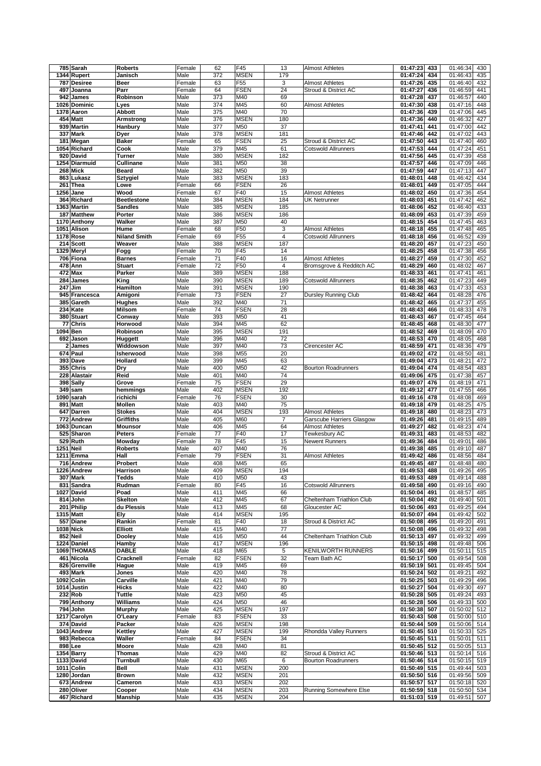|                | 785 Sarah                 | <b>Roberts</b>      | Female       | 62         | F45                        | 13             | <b>Almost Athletes</b>      | 01:47:23                 | 433 | 01:46:34<br>430                    |
|----------------|---------------------------|---------------------|--------------|------------|----------------------------|----------------|-----------------------------|--------------------------|-----|------------------------------------|
|                | 1344 Rupert               | Janisch             | Male         | 372        | <b>MSEN</b>                | 179            |                             | 01:47:24                 | 434 | 01:46:43<br>435                    |
| 787            | <b>Desiree</b>            | Beer                | Female       | 63         | F <sub>55</sub>            | 3              | <b>Almost Athletes</b>      | 01:47:26                 | 435 | 01:46:40<br>432                    |
| 497            | Joanna                    | Parr                | Female       | 64         | <b>FSEN</b>                | 24             | Stroud & District AC        | 01:47:27                 | 436 | 01:46:59<br>441                    |
|                |                           |                     |              |            |                            |                |                             |                          |     |                                    |
| 942            | James                     | Robinson            | Male         | 373        | M40                        | 69             |                             | 01:47:28                 | 437 | 440<br>01:46:57                    |
|                | 1026 Dominic              | Lyes                | Male         | 374        | M45                        | 60             | <b>Almost Athletes</b>      | 01:47:30                 | 438 | 01:47:16<br>448                    |
|                | 1378 Aaron                | <b>Abbott</b>       | Male         | 375        | M40                        | 70             |                             | 01:47:36                 | 439 | 01:47:06<br>445                    |
|                | 454 Matt                  | Armstrong           | Male         | 376        | <b>MSEN</b>                | 180            |                             | 01:47:36                 | 440 | 01:46:32<br>427                    |
|                | 939 Martin                | Hanbury             | Male         | 377        | M50                        | 37             |                             | 01:47:41                 | 441 | 01:47:00<br>442                    |
|                | 337 Mark                  | Dyer                | Male         | 378        | <b>MSEN</b>                | 181            |                             | 01:47:46                 | 442 | 01:47:02<br>443                    |
|                | 181 Megan                 | <b>Baker</b>        | Female       | 65         | <b>FSEN</b>                | 25             | Stroud & District AC        | 01:47:50                 | 443 | 01:47:40<br>460                    |
|                | 1054 Richard              | Cook                | Male         | 379        | M45                        | 61             | <b>Cotswold Allrunners</b>  | 01:47:53                 | 444 | 01:47:24<br>451                    |
|                | 920 David                 | Turner              | Male         | 380        | <b>MSEN</b>                | 182            |                             | 01:47:56                 | 445 | 01:47:39<br>458                    |
|                |                           |                     |              |            |                            |                |                             |                          |     |                                    |
|                | 1254 Diarmuid             | <b>Cullinane</b>    | Male         | 381        | M50                        | 38             |                             | 01:47:57                 | 446 | 01:47:09<br>446                    |
|                | 268 Mick                  | <b>Beard</b>        | Male         | 382        | M50                        | 39             |                             | 01:47:59                 | 447 | 01:47:13<br>447                    |
|                | 863 Lukasz                | <b>Sztygiel</b>     | Male         | 383        | <b>MSEN</b>                | 183            |                             | 01:48:01                 | 448 | 01:46:42<br>434                    |
|                | 261 Thea                  | Lowe                | Female       | 66         | <b>FSEN</b>                | 26             |                             | 01:48:01                 | 449 | 01:47:05<br>444                    |
| 1256           | Jane                      | Wood                | Female       | 67         | F40                        | 15             | <b>Almost Athletes</b>      | 01:48:02                 | 450 | 01:47:36<br>454                    |
|                | 364 Richard               | <b>Beetlestone</b>  | Male         | 384        | <b>MSEN</b>                | 184            | UK Netrunner                | 01:48:03                 | 451 | 01:47:42<br>462                    |
|                | 1363 Martin               | <b>Sandles</b>      | Male         | 385        | <b>MSEN</b>                | 185            |                             | 01:48:06                 | 452 | 01:46:40<br>433                    |
|                | 187 Matthew               | Porter              | Male         | 386        | <b>MSEN</b>                | 186            |                             | 01:48:09                 | 453 | 01:47:39<br>459                    |
|                | 1170 Anthony              | Walker              | Male         | 387        | M50                        | 40             |                             | 01:48:15                 | 454 | 01:47:45<br>463                    |
|                | 1051 Alison               | Hume                | Female       | 68         | F50                        | 3              | <b>Almost Athletes</b>      | 01:48:18                 | 455 | 01:47:48<br>465                    |
|                | 1178 Rose                 | <b>Niland Smith</b> | Female       | 69         | F55                        | $\overline{4}$ | Cotswold Allrunners         | 01:48:18                 | 456 | 01:46:52<br>439                    |
|                | 214 Scott                 |                     |              |            | <b>MSEN</b>                |                |                             |                          |     | 01:47:23                           |
|                |                           | Weaver              | Male         | 388        |                            | 187            |                             | 01:48:20                 | 457 | 450                                |
|                | 1329 Meryl                | Fogg                | Female       | 70         | F45                        | 14             |                             | 01:48:25                 | 458 | 01:47:38<br>456                    |
|                | 706 Fiona                 | <b>Barnes</b>       | Female       | 71         | F40                        | 16             | <b>Almost Athletes</b>      | 01:48:27                 | 459 | 01:47:30<br>452                    |
|                | 478 Ann                   | <b>Stuart</b>       | Female       | 72         | F50                        | 4              | Bromsgrove & Redditch AC    | 01:48:29                 | 460 | 01:48:02<br>467                    |
|                | 472 Max                   | Parker              | Male         | 389        | <b>MSEN</b>                | 188            |                             | 01:48:33                 | 461 | 01:47:41<br>461                    |
| 284            | James                     | King                | Male         | 390        | <b>MSEN</b>                | 189            | <b>Cotswold Allrunners</b>  | 01:48:35                 | 462 | 01:47:23<br>449                    |
| 247            | Jim                       | Hamilton            | Male         | 391        | <b>MSEN</b>                | 190            |                             | 01:48:38                 | 463 | 01:47:33<br>453                    |
|                | 945 Francesca             | Amigoni             | Female       | 73         | <b>FSEN</b>                | 27             | <b>Dursley Running Club</b> | 01:48:42                 | 464 | 01:48:28<br>476                    |
| 385            | Gareth                    | Hughes              | Male         | 392        | M40                        | 71             |                             | 01:48:42                 | 465 | 01:47:37<br>455                    |
|                | 234 Kate                  | <b>Milsom</b>       | Female       | 74         | <b>FSEN</b>                | 28             |                             | 01:48:43                 | 466 | 01:48:33<br>478                    |
|                | 380 Stuart                | Conway              | Male         | 393        | M50                        | 41             |                             | 01:48:43                 | 467 | 01:47:45<br>464                    |
| 77             | <b>Chris</b>              | Horwood             | Male         | 394        | M45                        | 62             |                             | 01:48:45                 | 468 | 01:48:30<br>477                    |
|                |                           |                     |              |            | <b>MSEN</b>                |                |                             |                          |     |                                    |
|                | 1094 Ben                  | Robinson            | Male         | 395        |                            | 191            |                             | 01:48:52                 | 469 | 01:48:09<br>470                    |
|                | 692 Jason                 | Huggett             | Male         | 396        | M40                        | 72             |                             | 01:48:53                 | 470 | 01:48:05<br>468                    |
| $\overline{a}$ | James                     | Widdowson           | Male         | 397        | M40                        | 73             | Cirencester AC              | 01:48:59                 | 471 | 01:48:36<br>479                    |
|                | 674 Paul                  | Isherwood           | Male         | 398        | M55                        | 20             |                             | 01:49:02                 | 472 | 01:48:50<br>481                    |
|                | 393 Dave                  | Hollard             | Male         | 399        | M45                        | 63             |                             | 01:49:04                 | 473 | 01:48:21<br>472                    |
|                | 355 Chris                 | Dry                 | Male         | 400        | M50                        | 42             | <b>Bourton Roadrunners</b>  | 01:49:04                 | 474 | 01:48:54<br>483                    |
|                | 228 Alastair              | Reid                | Male         | 401        | M40                        | 74             |                             | 01:49:06                 | 475 | 01:47:38<br>457                    |
|                | 398 Sally                 | Grove               | Female       | 75         | <b>FSEN</b>                | 29             |                             | 01:49:07                 | 476 | 01:48:19<br>471                    |
| 349            | sam                       | hemmings            | Male         | 402        | <b>MSEN</b>                | 192            |                             | 01:49:12                 | 477 | 01:47:55<br>466                    |
| 1090           | sarah                     | richichi            | Female       | 76         | <b>FSEN</b>                | 30             |                             | 01:49:16                 | 478 | 01:48:08<br>469                    |
|                | 891 Matt                  | Mollen              | Male         | 403        | M40                        | 75             |                             | 01:49:18                 | 479 | 01:48:25<br>475                    |
|                | 647 Darren                | <b>Stokes</b>       | Male         | 404        | <b>MSEN</b>                | 193            | <b>Almost Athletes</b>      | 01:49:18                 | 480 | 01:48:23<br>473                    |
|                |                           |                     |              |            |                            |                |                             |                          |     |                                    |
| 772            | Andrew                    | <b>Griffiths</b>    | Male         | 405        | M60                        | $\overline{7}$ | Garscube Harriers Glasgow   | 01:49:26                 | 481 | 01:49:15<br>489                    |
|                | 1063 Duncan               | <b>Mounsor</b>      | Male         | 406        | M45                        | 64             | <b>Almost Athletes</b>      | 01:49:27                 | 482 | 01:48:23<br>474                    |
|                | 525 Sharon                | <b>Peters</b>       | Female       | 77         | F40                        | 17             | Tewkesbury AC               | 01:49:31                 | 483 | 01:48:53<br>482                    |
|                | 529 Ruth                  | Mowday              | Female       | 78         | F45                        | 15             | Newent Runners              | 01:49:36                 | 484 | 01:49:01<br>486                    |
|                | <b>1251 Neil</b>          | <b>Roberts</b>      | Male         | 407        | M40                        | 76             |                             | 01:49:38                 | 485 | 01:49:10<br>487                    |
|                | 1211 Emma                 | Hall                | Female       | 79         | <b>FSEN</b>                | 31             | <b>Almost Athletes</b>      | 01:49:42                 | 486 | 01:48:56<br>484                    |
|                | 716 Andrew                | Probert             | Male         | 408        | M45                        | 65             |                             | 01:49:45                 | 487 | 01:48:48<br>480                    |
|                | 1226 Andrew               | Harrison            | Male         | 409        | <b>MSEN</b>                | 194            |                             | 01:49:53                 | 488 | 01:49:26<br>495                    |
|                | 307 Mark                  | <b>Tedds</b>        | Male         | 410        | M50                        | 43             |                             | 01:49:53                 | 489 | 01:49:14<br>488                    |
|                | 831 Sandra                | Rudman              | Female       | 80         | F45                        | 16             | <b>Cotswold Allrunners</b>  | 01:49:58                 | 490 | 01:49:16<br>490                    |
|                | 1027 David                | Poad                | Male         | 411        | M45                        | 66             |                             | 01:50:04                 | 491 | 01:48:57<br>485                    |
|                | 814 John                  | <b>Skelton</b>      | Male         | 412        | M45                        | 67             | Cheltenham Triathlon Club   | 01:50:04                 | 492 | 01:49:40<br>501                    |
|                | 201 Philip                | du Plessis          | Male         | 413        | M45                        | 68             | Gloucester AC               | 01:50:06                 | 493 | 01:49:25<br>494                    |
|                | 1315 Matt                 | Ely                 | Male         | 414        | <b>MSEN</b>                | 195            |                             | 01:50:07                 | 494 | 01:49:42<br>502                    |
|                | 557 Diane                 | Rankin              | Female       | 81         | F40                        | 18             | Stroud & District AC        | 01:50:08                 | 495 | 01:49:20<br>491                    |
|                | <b>1038 Nick</b>          | Elliott             |              | 415        | M40                        | 77             |                             | 01:50:08                 | 496 | 01:49:32<br>498                    |
|                |                           |                     | Male         |            |                            |                |                             |                          |     |                                    |
|                | 852 Neil                  | <b>Dooley</b>       | Male         | 416        | M50                        | 44             | Cheltenham Triathlon Club   | 01:50:13                 | 497 | 01:49:32<br>499                    |
|                | 1224 Daniel               | Hamby               | Male         | 417        | <b>MSEN</b>                | 196            |                             | 01:50:15                 | 498 | 01:49:48<br>506                    |
|                | 1069 THOMAS               | <b>DABLE</b>        | Male         | 418        | M65                        | 5              | KENILWORTH RUNNERS          | 01:50:16                 | 499 | 01:50:11<br>515                    |
|                | 461 Nicola                | Cracknell           | Female       | 82         | <b>FSEN</b>                | 32             | Team Bath AC                | 01:50:17                 | 500 | 01:49:54<br>508                    |
|                | 826 Grenville             | Hague               | Male         | 419        | M45                        | 69             |                             | 01:50:19                 | 501 | 01:49:45<br>504                    |
|                |                           |                     |              |            |                            |                |                             |                          |     |                                    |
|                | 493 Mark                  | Jones               | Male         | 420        | M40                        | 78             |                             | 01:50:24                 | 502 | 01:49:21<br>492                    |
|                | 1092 Colin                | Carville            | Male         | 421        | M40                        | 79             |                             | 01:50:25                 | 503 | 01:49:29<br>496                    |
|                | 1014 Justin               | Hicks               | Male         | 422        | M40                        | 80             |                             | 01:50:27                 | 504 | 01:49:30<br>497                    |
|                |                           | <b>Tuttle</b>       | Male         |            | M50                        | 45             |                             |                          |     | 493                                |
|                | 232 Rob                   |                     |              | 423        |                            |                |                             | 01:50:28                 | 505 | 01:49:24                           |
|                | 799 Anthony               | Williams            | Male         | 424        | M50                        | 46             |                             | 01:50:28                 | 506 | 01:49:33<br>500                    |
|                | 794 John                  | <b>Murphy</b>       | Male         | 425        | <b>MSEN</b>                | 197            |                             | 01:50:38                 | 507 | 01:50:02<br>512                    |
|                | 1217 Carolyn              | O'Leary             | Female       | 83         | <b>FSEN</b>                | 33             |                             | 01:50:43                 | 508 | 01:50:00<br>510                    |
|                | 374 David                 | Packer              | Male         | 426        | <b>MSEN</b>                | 198            |                             | 01:50:44                 | 509 | 01:50:06<br>514                    |
|                | 1043 Andrew               | Kettley             | Male         | 427        | <b>MSEN</b>                | 199            | Rhondda Valley Runners      | 01:50:45 510             |     | 01:50:33<br>525                    |
|                | 983 Rebecca               | Waller              | Female       | 84         | <b>FSEN</b>                | 34             |                             | 01:50:45                 | 511 | 01:50:01<br>511                    |
|                | 898 Lee                   | Moore               | Male         | 428        | M40                        | 81             |                             | 01:50:45                 | 512 | 01:50:05<br>513                    |
|                | 1354 Barry                | <b>Thomas</b>       | Male         | 429        | M40                        | 82             | Stroud & District AC        | 01:50:46 513             |     | $\overline{01}$ :50:14<br>516      |
|                | 1133 David                | <b>Turnbull</b>     | Male         | 430        | M65                        | 6              | <b>Bourton Roadrunners</b>  | 01:50:46                 | 514 | 01:50:15<br>519                    |
|                | 1011 Colin                | Bell                | Male         | 431        | <b>MSEN</b>                | 200            |                             | 01:50:49                 | 515 | 01:49:44<br>503                    |
|                | 1280 Jordan               | <b>Brown</b>        | Male         | 432        | <b>MSEN</b>                | 201            |                             | 01:50:50 516             |     | 01:49:56<br>509                    |
|                |                           | Cameron             |              |            |                            |                |                             |                          |     |                                    |
|                | 673 Andrew                |                     | Male         | 433        | <b>MSEN</b>                | 202            |                             | 01:50:57 517             |     | 01:50:18<br>520                    |
|                | 280 Oliver<br>467 Richard | Cooper<br>Manship   | Male<br>Male | 434<br>435 | <b>MSEN</b><br><b>MSEN</b> | 203<br>204     | Running Somewhere Else      | 01:50:59<br>01:51:03 519 | 518 | 01:50:50<br>534<br>01:49:51<br>507 |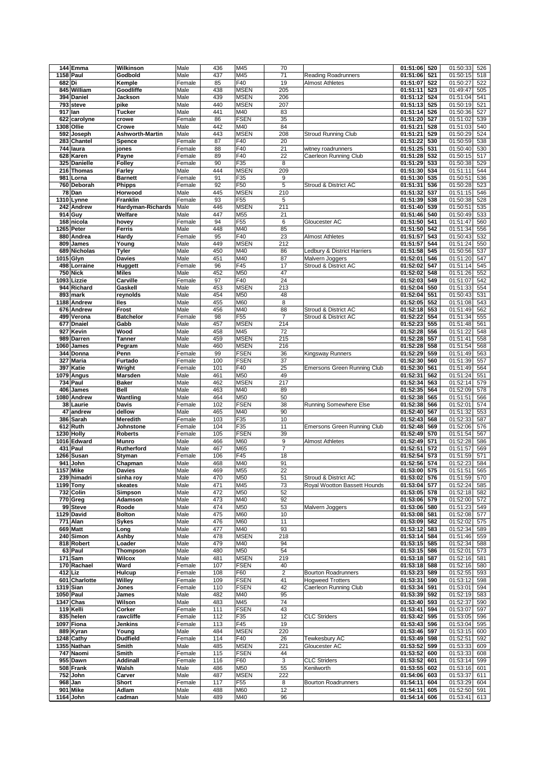|        | 144 Emma              | Wilkinson                | Male         | 436        | M45             | 70                      |                                    | 01:51:06             | 520        | 01:50:33<br>526                    |
|--------|-----------------------|--------------------------|--------------|------------|-----------------|-------------------------|------------------------------------|----------------------|------------|------------------------------------|
|        |                       |                          | Male         |            | M45             | 71                      |                                    |                      | 521        |                                    |
|        | 1158 Paul             | Godbold                  |              | 437        |                 |                         | <b>Reading Roadrunners</b>         | 01:51:06             |            | 01:50:15<br>518                    |
| 682 Di |                       | Kemple                   | Female       | 85         | F40             | 19                      | <b>Almost Athletes</b>             | 01:51:07             | 522        | 01:50:27<br>522                    |
|        | 845 William           | Goodliffe                | Male         | 438        | <b>MSEN</b>     | 205                     |                                    | 01:51:11             | 523        | 01:49:47<br>505                    |
|        | 394 Daniel            | Jackson                  | Male         | 439        | <b>MSEN</b>     | 206                     |                                    | 01:51:12             | 524        | 01:51:04<br>541                    |
|        | 793 steve             | pike                     | Male         | 440        | <b>MSEN</b>     | 207                     |                                    | 01:51:13             | 525        | 01:50:19<br>521                    |
|        | 917 lan               | <b>Tucker</b>            | Male         | 441        | M40             | 83                      |                                    | 01:51:14             | 526        | 01:50:36<br>527                    |
|        |                       |                          |              |            |                 |                         |                                    |                      |            |                                    |
|        | 622 carolyne          | crowe                    | Female       | 86         | <b>FSEN</b>     | 35                      |                                    | 01:51:20             | 527        | 01:51:02<br>539                    |
|        | 1308 Ollie            | Crowe                    | Male         | 442        | M40             | 84                      |                                    | 01:51:21             | 528        | 01:51:03<br>540                    |
|        | 592 Joseph            | <b>Ashworth-Martin</b>   | Male         | 443        | <b>MSEN</b>     | 208                     | <b>Stroud Running Club</b>         | 01:51:21             | 529        | 01:50:29<br>524                    |
|        | 283 Chantel           | Spence                   | Female       | 87         | F40             | 20                      |                                    | 01:51:22             | 530        | 01:50:59<br>538                    |
|        | 744 laura             | jones                    | Female       | 88         | F40             | 21                      | witney roadrunners                 | 01:51:25             | 531        | 01:50:40<br>530                    |
|        |                       |                          |              |            |                 |                         |                                    |                      |            |                                    |
|        | 628 Karen             | Payne                    | Female       | 89         | F40             | $\overline{22}$         | Caerleon Running Club              | 01:51:28             | 532        | 517<br>01:50:15                    |
|        | 325 Danielle          | <b>Folley</b>            | Female       | 90         | F35             | 8                       |                                    | 01:51:29             | 533        | 01:50:38<br>529                    |
|        | 216 Thomas            | Farley                   | Male         | 444        | <b>MSEN</b>     | 209                     |                                    | 01:51:30             | 534        | 01:51:11<br>544                    |
|        | 981 Lorna             | <b>Barnett</b>           | Female       | 91         | F35             | 9                       |                                    | 01:51:30             | 535        | 01:50:51<br>536                    |
|        | 760 Deborah           | <b>Phipps</b>            | Female       | 92         | F50             | 5                       | Stroud & District AC               | 01:51:31             | 536        | 01:50:28<br>523                    |
|        | 78 Dan                | Horwood                  | Male         | 445        | <b>MSEN</b>     | 210                     |                                    | 01:51:32             | 537        | 01:51:15<br>546                    |
|        |                       |                          |              |            |                 |                         |                                    |                      |            |                                    |
|        | 1310 Lynne            | Franklin                 | Female       | 93         | F <sub>55</sub> | 5                       |                                    | 01:51:39             | 538        | 01:50:38<br>528                    |
|        | 242 Andrew            | Hardyman-Richards        | Male         | 446        | <b>MSEN</b>     | 211                     |                                    | 01:51:40             | 539        | 01:50:51<br>535                    |
|        | 914 Guy               | Welfare                  | Male         | 447        | M55             | 21                      |                                    | 01:51:46             | 540        | 01:50:49<br>533                    |
|        | 168 nicola            | hovey                    | Female       | 94         | F <sub>55</sub> | 6                       | Gloucester AC                      | 01:51:50             | 541        | 01:51:47<br>560                    |
|        | 1265 Peter            | Ferris                   | Male         | 448        | M40             | 85                      |                                    | 01:51:50             | 542        | 01:51:34<br>556                    |
|        | 880 Andrea            | Hardy                    | Female       | 95         | F40             | 23                      | <b>Almost Athletes</b>             | 01:51:57             | 543        | 01:50:43<br>532                    |
|        | 809 James             | Young                    | Male         | 449        | <b>MSEN</b>     | 212                     |                                    | 01:51:57             | 544        | 01:51:24<br>550                    |
|        |                       |                          |              |            |                 |                         |                                    |                      |            |                                    |
|        | 689 Nicholas          | Tyler                    | Male         | 450        | M40             | 86                      | Ledbury & District Harriers        | 01:51:58             | 545        | 01:50:56<br>537                    |
|        | 1015 Glyn             | <b>Davies</b>            | Male         | 451        | M40             | 87                      | Malvern Joggers                    | 01:52:01             | 546        | 01:51:20<br>547                    |
|        | 498 Lorraine          | Huggett                  | Female       | 96         | F45             | 17                      | Stroud & District AC               | 01:52:02             | 547        | 01:51:14<br>545                    |
|        | 750 Nick              | <b>Miles</b>             | Male         | 452        | M50             | 47                      |                                    | 01:52:02             | 548        | 01:51:26<br>552                    |
|        | 1093 Lizzie           | Carville                 | Female       | 97         | F40             | 24                      |                                    | 01:52:03             | 549        | 01:51:07<br>542                    |
|        | 944 Richard           | Gaskell                  | Male         | 453        | <b>MSEN</b>     | 213                     |                                    | 01:52:04             | 550        | 01:51:33<br>554                    |
| 893    | mark                  | reynolds                 | Male         | 454        | M50             | 48                      |                                    | 01:52:04             | 551        | 01:50:43<br>531                    |
|        |                       |                          |              |            |                 |                         |                                    |                      |            |                                    |
|        | 1188 Andrew           | lles                     | Male         | 455        | M60             | 8                       |                                    | 01:52:05             | 552        | 01:51:08<br>543                    |
|        | 676 Andrew            | Frost                    | Male         | 456        | M40             | 88                      | Stroud & District AC               | 01:52:18             | 553        | 01:51:49<br>562                    |
|        | 499 Verona            | <b>Batchelor</b>         | Female       | 98         | F <sub>55</sub> | $\overline{7}$          | Stroud & District AC               | 01:52:22             | 554        | 01:51:34<br>555                    |
|        | 677 Dnaiel            | Gabb                     | Male         | 457        | <b>MSEN</b>     | 214                     |                                    | 01:52:23             | 555        | 01:51:48<br>561                    |
|        | 927 Kevin             | Wood                     | Male         | 458        | M45             | 72                      |                                    | 01:52:28             | 556        | 01:51:22<br>548                    |
|        | 989 Darren            | <b>Tanner</b>            | Male         | 459        | <b>MSEN</b>     | 215                     |                                    | 01:52:28             | 557        | 01:51:41<br>558                    |
| 1060   | James                 | Pegram                   | Male         | 460        | <b>MSEN</b>     | 216                     |                                    | 01:52:28             | 558        | 01:51:54<br>568                    |
|        |                       |                          |              |            |                 |                         |                                    |                      |            |                                    |
|        | 344 Donna             | Penn                     | Female       | 99         | <b>FSEN</b>     | 36                      | Kingsway Runners                   | 01:52:29             | 559        | 01:51:49<br>563                    |
|        | 327 Maria             | Furtado                  | Female       | 100        | <b>FSEN</b>     | 37                      |                                    | 01:52:30             | 560        | 01:51:39<br>557                    |
| 397    | Katie                 | Wright                   | Female       | 101        | F40             | 25                      | <b>Emersons Green Running Club</b> | 01:52:30             | 561        | 01:51:49<br>564                    |
|        | 1079 Angus            | Marsden                  | Male         | 461        | M50             | 49                      |                                    | 01:52:31             | 562        | 01:51:24<br>551                    |
|        | 734 Paul              | <b>Baker</b>             | Male         | 462        | <b>MSEN</b>     | 217                     |                                    | 01:52:34             | 563        | 01:52:14<br>579                    |
| 406    | James                 | Bell                     | Male         | 463        | M40             | 89                      |                                    | 01:52:35             | 564        | 01:52:09<br>578                    |
|        | 1080 Andrew           | Wantling                 | Male         | 464        | M50             | 50                      |                                    | 01:52:38             | 565        | 01:51:51<br>566                    |
|        | 38 Laurie             | <b>Davis</b>             | Female       | 102        | <b>FSEN</b>     | 38                      | Running Somewhere Else             | 01:52:38             | 566        | 01:52:01<br>574                    |
|        |                       |                          |              |            |                 |                         |                                    |                      |            |                                    |
| 47     | andrew                | dellow                   | Male         | 465        | M40             | 90                      |                                    | 01:52:40             | 567        | 01:51:32<br>553                    |
|        | 386 Sarah             | Meredith                 | Female       | 103        | F35             | 10                      |                                    | 01:52:43             | 568        | 01:52:33<br>587                    |
|        | 612 Ruth              | Johnstone                | Female       | 104        | F35             | 11                      | <b>Emersons Green Running Club</b> | 01:52:48             | 569        | 01:52:06<br>576                    |
|        | 1230 Holly            | <b>Roberts</b>           | Female       | 105        | <b>FSEN</b>     | 39                      |                                    | 01:52:49             | 570        | 01:51:54<br>567                    |
|        | 1016 Edward           | Munro                    | Male         | 466        | M60             | 9                       | <b>Almost Athletes</b>             | 01:52:49             | 571        | 01:52:28<br>586                    |
|        | 431 Paul              | Rutherford               | Male         | 467        | M65             | $\overline{7}$          |                                    | 01:52:51             | 572        | 01:51:57<br>569                    |
|        | 1266 Susan            | Styman                   | Female       | 106        | F45             | 18                      |                                    | 01:52:54             |            | 571<br>01:51:59                    |
|        | 941 John              |                          |              |            | M40             |                         |                                    |                      |            |                                    |
|        |                       | Chapman<br><b>Davies</b> | Male         |            |                 |                         |                                    |                      | 573        |                                    |
|        | <b>1157 Mike</b>      |                          |              | 468        |                 | 91                      |                                    | 01:52:56             | 574        | 584<br>01:52:23                    |
|        | 239 himadri           |                          | Male         | 469        | M55             | 22                      |                                    | 01:53:00             | 575        | 01:51:51<br>565                    |
|        |                       | sinha roy                | Male         | 470        | M50             | 51                      | Stroud & District AC               | 01:53:02             | 576        | 01:51:59<br>570                    |
|        | 1199 Tony             | skeates                  | Male         | 471        | M45             | 73                      | Roval Wootton Bassett Hounds       | 01:53:04             | 577        | 01:52:24<br>585                    |
|        | 732 Colin             | Simpson                  | Male         | 472        | M50             | 52                      |                                    | 01:53:05 578         |            | 01:52:18<br>582                    |
|        | $\overline{770}$ Greg | Adamson                  | Male         | 473        | M40             | 92                      |                                    | 01:53:06             | 579        | 01:52:00<br>572                    |
|        | 99 Steve              | Roode                    | Male         | 474        | M50             | 53                      | Malvern Joggers                    | 01:53:06             | 580        | 01:51:23<br>549                    |
|        |                       |                          |              |            |                 |                         |                                    |                      |            |                                    |
|        | 1129 David            | <b>Bolton</b>            | Male         | 475        | M60             | 10                      |                                    | 01:53:08 581         |            | 01:52:08<br>577                    |
|        | 771 Alan              | <b>Sykes</b>             | Male         | 476        | M60             | 11                      |                                    | 01:53:09 582         |            | 01:52:02<br>575                    |
|        | 669 Matt              | Long                     | Male         | 477        | M40             | 93                      |                                    | 01:53:12             | 583        | 01:52:34<br>589                    |
|        | 240 Simon             | Ashby                    | Male         | 478        | <b>MSEN</b>     | 218                     |                                    | 01:53:14             | 584        | 01:51:46<br>559                    |
|        | 818 Robert            | Loader                   | Male         | 479        | M40             | 94                      |                                    | 01:53:15 585         |            | 01:52:34<br>588                    |
|        | 63 Paul               | Thompson                 | Male         | 480        | M50             | 54                      |                                    | 01:53:15             | 586        | 01:52:01<br>573                    |
|        | 171 Sam               | <b>Wilcox</b>            | Male         | 481        | <b>MSEN</b>     | 219                     |                                    | 01:53:18             | 587        | 01:52:16<br>581                    |
|        | 170 Rachael           | Ward                     | Female       | 107        | FSEN            | 40                      |                                    | $01:53:18$ 588       |            | 01:52:16<br>580                    |
|        | 412 Liz               |                          | Female       |            | F60             |                         | <b>Bourton Roadrunners</b>         |                      | 589        |                                    |
|        |                       | Hulcup                   |              | 108        |                 | $\overline{\mathbf{c}}$ |                                    | 01:53:23             |            | 01:52:55<br>593                    |
|        | 601 Charlotte         | Willey                   | Female       | 109        | <b>FSEN</b>     | 41                      | <b>Hogweed Trotters</b>            | 01:53:31             | 590        | 01:53:12<br>598                    |
|        | 1319 Sian             | Jones                    | Female       | 110        | <b>FSEN</b>     | 42                      | Caerleon Running Club              | 01:53:34             | 591        | 01:53:01<br>594                    |
|        | 1050 Paul             | James                    | Male         | 482        | M40             | 95                      |                                    | 01:53:39             | 592        | 01:52:19<br>583                    |
|        | 1347 Chas             | Wilson                   | Male         | 483        | M45             | 74                      |                                    | 01:53:40             | 593        | 01:52:37<br>590                    |
|        | 119 Kelli             | Corker                   | Female       | 111        | <b>FSEN</b>     | 43                      |                                    | 01:53:41             | 594        | 01:53:07<br>597                    |
|        | 835 helen             | rawcliffe                | Female       | 112        | F35             | 12                      | <b>CLC Striders</b>                | 01:53:42             | 595        | 01:53:05<br>596                    |
|        | 1097 Fiona            | Jenkins                  | Female       | 113        | F45             | 19                      |                                    |                      | 596        | 595                                |
|        |                       |                          |              |            |                 |                         |                                    | 01:53:43             |            | 01:53:04                           |
|        | 889 Kyran             | Young                    | Male         | 484        | <b>MSEN</b>     | 220                     |                                    | 01:53:46 597         |            | 01:53:15<br>600                    |
|        | 1248 Cathy            | <b>Dudfield</b>          | Female       | 114        | F40             | 26                      | Tewkesbury AC                      | 01:53:49             | 598        | 01:52:51<br>592                    |
|        | 1355 Nathan           | Smith                    | Male         | 485        | <b>MSEN</b>     | 221                     | Gloucester AC                      | 01:53:52             | 599        | 01:53:33<br>609                    |
|        | 747 Naomi             | Smith                    | Female       | 115        | <b>FSEN</b>     | 44                      |                                    | 01:53:52             | 600        | 01:53:33<br>608                    |
|        | 955 Dawn              | <b>Addinall</b>          | Female       | 116        | F60             | 3                       | <b>CLC Striders</b>                | 01:53:52             | 601        | 01:53:14<br>599                    |
|        | 508 Frank             | Walsh                    | Male         | 486        | M50             | 55                      | Kenilworth                         | 01:53:55             | 602        | 01:53:16<br>601                    |
|        | 752 John              | Carver                   | Male         | 487        | <b>MSEN</b>     | 222                     |                                    | 01:54:06 603         |            | 01:53:37<br>611                    |
|        |                       |                          |              |            |                 |                         |                                    |                      | 604        |                                    |
|        | 968 Jan               | Short                    | Female       | 117        | F <sub>55</sub> | 8                       | <b>Bourton Roadrunners</b>         | 01:54:11             |            | 01:53:29<br>604                    |
|        | 901 Mike<br>1164 John | Adlam<br>cadman          | Male<br>Male | 488<br>489 | M60<br>M40      | 12<br>96                |                                    | 01:54:11<br>01:54:14 | 605<br>606 | 01:52:50<br>591<br>01:53:41<br>613 |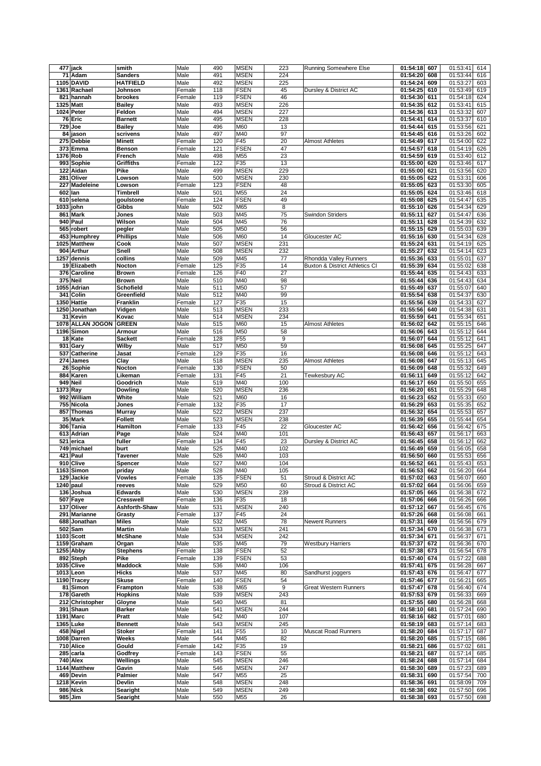|          | 477 jack                  | smith                         | Male           | 490        | <b>MSEN</b>                | 223        | <b>Running Somewhere Else</b>             | 01:54:18                 | 607        | 01:53:41<br>614                    |
|----------|---------------------------|-------------------------------|----------------|------------|----------------------------|------------|-------------------------------------------|--------------------------|------------|------------------------------------|
|          | $\overline{71}$ Adam      | <b>Sanders</b>                | Male           | 491        | <b>MSEN</b>                | 224        |                                           | 01:54:20                 | 608        | 01:53:44<br>616                    |
|          | 1105 DAVID                | <b>HATFIELD</b>               | Male           | 492        | <b>MSEN</b>                | 225        |                                           | 01:54:24                 | 609        | 01:53:27<br>603                    |
|          | 1361 Rachael              | Johnson                       | Female         | 118        | <b>FSEN</b>                | 45         | Dursley & District AC                     | 01:54:25                 | 610        | 01:53:49<br>619                    |
|          | 821 hannah                | brookes                       | Female         | 119        | <b>FSEN</b>                | 46         |                                           | 01:54:30                 | 611        | 01:54:18<br>624                    |
|          | 1325 Matt                 | <b>Bailey</b>                 | Male           | 493        | <b>MSEN</b>                | 226        |                                           | 01:54:35                 | 612        | 01:53:41<br>615                    |
|          | 1024 Peter                | Feldon                        | Male           | 494        | <b>MSEN</b>                | 227        |                                           | 01:54:36                 | 613        | 01:53:32<br>607                    |
|          | 76 Eric                   | <b>Barnett</b>                | Male           | 495        | <b>MSEN</b>                | 228        |                                           | 01:54:41                 | 614        | 01:53:37<br>610                    |
| 729      | Joe                       | <b>Bailey</b>                 | Male           | 496        | M60                        | 13         |                                           | 01:54:44                 | 615        | 01:53:56<br>621                    |
|          | 84 jason                  | scrivens                      | Male           | 497        | M40                        | 97         |                                           | 01:54:45                 | 616        | 01:53:26<br>602                    |
|          | 275 Debbie                | <b>Minett</b>                 | Female         | 120        | F45                        | 20         | Almost Athletes                           | 01:54:49                 | 617        | 01:54:00<br>622                    |
|          | 373 Emma                  | <b>Benson</b>                 | Female         | 121        | <b>FSEN</b>                | 47         |                                           | 01:54:57                 | 618        | 01:54:19<br>626                    |
|          | 1376 Rob                  | French                        | Male           | 498        | M55                        | 23         |                                           | 01:54:59                 | 619        | 01:53:40<br>612                    |
|          | 993 Sophie                | <b>Griffiths</b>              | Female         | 122        | F35                        | 13         |                                           | 01:55:00                 | 620        | 01:53:46<br>617                    |
|          | 122 Aidan                 | Pike                          | Male           | 499        | <b>MSEN</b>                | 229        |                                           | 01:55:00                 | 621        | 01:53:56<br>620                    |
|          | 281 Oliver                | Lowson                        | Male           | 500        | <b>MSEN</b>                | 230        |                                           | 01:55:05                 | 622        | 01:53:31<br>606                    |
|          | 227 Madeleine             | Lowson                        | Female         | 123        | <b>FSEN</b>                | 48         |                                           | 01:55:05                 | 623        | 01:53:30<br>605                    |
|          | 602 lan                   | Timbrell                      | Male           | 501        | M55                        | 24         |                                           | 01:55:05                 | 624        | 01:53:46<br>618                    |
|          | 610 selena                | goulstone                     | Female         | 124        | <b>FSEN</b>                | 49         |                                           | 01:55:08                 | 625        | 01:54:47<br>635                    |
| 1033     | john                      | Gibbs                         | Male           | 502        | M65                        | 8          |                                           | 01:55:10                 | 626        | 01:54:34<br>629                    |
|          | 861 Mark                  | Jones                         | Male           | 503        | M45                        | 75         | <b>Swindon Striders</b>                   | 01:55:11                 | 627        | 01:54:47<br>636                    |
|          | 940 Paul                  | Wilson                        | Male           | 504        | M45                        | 76         |                                           | 01:55:11                 | 628        | 01:54:39<br>632                    |
|          | 565 robert                | pegler                        | Male           | 505        | M50                        | 56         |                                           | 01:55:15                 | 629        | 01:55:03<br>639                    |
|          | 453 Humphrey              | <b>Phillips</b>               | Male           | 506        | M60                        | 14         | Gloucester AC                             | 01:55:16                 | 630        | 01:54:34<br>628                    |
|          | 1025 Matthew              | Cook                          | Male           | 507        | <b>MSEN</b>                | 231        |                                           | 01:55:24                 | 631        | 01:54:19<br>625                    |
|          | 904 Arthur                | Snell                         | Male           | 508        | <b>MSEN</b>                | 232        |                                           | 01:55:27                 | 632        | 01:54:14<br>623                    |
|          | 1257 dennis               | collins                       | Male           | 509        | M45                        | 77         | Rhondda Valley Runners                    | 01:55:36                 | 633        | 01:55:01<br>637                    |
|          | 19 Elizabeth              | Nocton                        | Female         | 125        | F35                        | 14         | <b>Buxton &amp; District Athletics CI</b> | 01:55:39                 | 634        | 01:55:02<br>638                    |
|          | 376 Caroline              | <b>Brown</b>                  | Female         | 126        | F40                        | 27         |                                           | 01:55:44                 | 635        | 01:54:43<br>633                    |
|          | 375 Neil                  | <b>Brown</b>                  | Male           | 510        | M40                        | 98         |                                           | 01:55:44                 | 636        | 01:54:43<br>634                    |
|          | 1055 Adrian               | <b>Schofield</b>              | Male           | 511        | M50                        | 57         |                                           | 01:55:49                 | 637        | 01:55:07<br>640                    |
|          | 341 Colin<br>1350 Hattie  | Greenfield<br><b>Franklin</b> | Male           | 512        | M40                        | 99<br>15   |                                           | 01:55:54                 | 638        | 01:54:37<br>630                    |
|          |                           |                               | Female         | 127        | F35                        |            |                                           | 01:55:56                 | 639        | 01:54:33<br>627                    |
|          | 1250 Jonathan<br>31 Kevin | Vidgen<br>Kovac               | Male<br>Male   | 513<br>514 | <b>MSEN</b><br><b>MSEN</b> | 233<br>234 |                                           | 01:55:56<br>01:55:59     | 640<br>641 | 01:54:38<br>631<br>01:55:34<br>651 |
|          | 1078 ALLAN JOGON          | <b>GREEN</b>                  | Male           | 515        | M60                        | 15         | <b>Almost Athletes</b>                    | 01:56:02                 | 642        | 01:55:15<br>646                    |
|          | 1196 Simon                | Armour                        | Male           | 516        | M50                        | 58         |                                           | 01:56:06                 | 643        | 01:55:12<br>644                    |
|          | 18 Kate                   | <b>Sackett</b>                | Female         | 128        | F <sub>55</sub>            | 9          |                                           | 01:56:07                 | 644        | 01:55:12<br>641                    |
|          | 931 Gary                  | Wilby                         | Male           | 517        | M50                        | 59         |                                           | 01:56:08                 | 645        | 01:55:25<br>647                    |
|          | 537 Catherine             | Jasat                         | Female         | 129        | F35                        | 16         |                                           | 01:56:08                 | 646        | 01:55:12<br>643                    |
|          | 274 James                 | Clay                          | Male           | 518        | <b>MSEN</b>                | 235        | <b>Almost Athletes</b>                    | 01:56:08                 | 647        | 01:55:13<br>645                    |
|          | 26 Sophie                 | Nocton                        | Female         | 130        | <b>FSEN</b>                | 50         |                                           | 01:56:09                 | 648        | 01:55:32<br>649                    |
|          | 884 Karen                 | Likeman                       | Female         | 131        | F45                        | 21         | Tewkesbury AC                             | 01:56:11                 | 649        | 01:55:12<br>642                    |
|          | 949 Neil                  | Goodrich                      | Male           | 519        | M40                        | 100        |                                           | 01:56:17                 | 650        | 01:55:50<br>655                    |
| 1373 Ray |                           | Dowling                       | Male           | 520        | <b>MSEN</b>                | 236        |                                           | 01:56:20                 | 651        | 01:55:29<br>648                    |
|          | 992 William               | White                         | Male           | 521        | M60                        | 16         |                                           | 01:56:23                 | 652        | 01:55:33<br>650                    |
|          | 755 Nicola                | Jones                         | Female         | 132        | F35                        | 17         |                                           | 01:56:29                 | 653        | 01:55:35<br>652                    |
|          | 857 Thomas                | <b>Murray</b>                 | Male           | 522        | <b>MSEN</b>                | 237        |                                           | 01:56:32                 | 654        | 01:55:53<br>657                    |
|          | 35 Mark                   | <b>Follett</b>                | Male           | 523        | <b>MSEN</b>                | 238        |                                           | 01:56:39                 | 655        | 01:55:44<br>654                    |
|          | 306 Tania                 | Hamilton                      | Female         | 133        | F45                        | 22         | Gloucester AC                             | 01:56:42                 | 656        | 01:56:42<br>675                    |
|          | 613 Adrian                | Page                          | Male           | 524        | M40                        | 101        |                                           | 01:56:43                 | 657        | 01:56:17<br>663                    |
|          | 521 erica                 | fuller                        | Female         | 134        | F45                        | 23         | Dursley & District AC                     | 01:56:45                 | 658        | 01:56:12<br>662                    |
|          | 749 michael               | burt                          | Male           | 525        | M40                        | 102        |                                           | 01:56:49                 | 659        | 01:56:05<br>658                    |
|          | 421 Paul                  | Tavener                       | Male           | 526        | M40                        | 103        |                                           | 01:56:50                 | 660        | 01:55:53<br>656                    |
|          | 910 Clive                 | Spencer                       | Male           | 527        | M40                        | 104        |                                           | 01:56:52                 | 661        | 01:55:43<br>653                    |
|          | 1163 Simon                | priday                        | Male           | 528        | M40                        | 105        |                                           | 01:56:53                 | 662        | 01:56:20<br>664                    |
|          | 129 Jackie                | Vowles                        | Female         | 135        | <b>FSEN</b>                | 51         | Stroud & District AC                      | 01:57:02                 | 663        | 01:56:07<br>660                    |
|          | 1240 paul                 | reeves                        | Male           | 529        | M50                        | 60         | Stroud & District AC                      | 01:57:02                 | 664        | 01:56:06<br>659                    |
|          | 136 Joshua                | <b>Edwards</b>                | Male           | 530        | <b>MSEN</b>                | 239        |                                           | 01:57:05                 | 665        | 01:56:38<br>672                    |
|          | 507 Faye                  | <b>Cresswell</b>              | Female         | 136        | F35                        | 18         |                                           | 01:57:06                 | 666        | 01:56:26<br>666                    |
|          | 137 Oliver                | Ashforth-Shaw                 | Male           | 531        | <b>MSEN</b>                | 240        |                                           | 01:57:12                 | 667        | 01:56:45<br>676                    |
|          | 291 Marianne              | Grasty                        | Female         | 137        | F45                        | 24         |                                           | 01:57:26                 | 668        | 01:56:08<br>661                    |
|          | 688 Jonathan              | <b>Miles</b>                  | Male           | 532        | M45                        | 78         | Newent Runners                            | 01:57:31                 | 669        | 01:56:56<br>679                    |
|          | 502 Sam                   | <b>Martin</b>                 | Male           | 533        | <b>MSEN</b>                | 241        |                                           | 01:57:34                 | 670        | 01:56:38<br>673                    |
|          | 1103 Scott                | <b>McShane</b>                | Male<br>Male   | 534        | <b>MSEN</b><br>M45         | 242<br>79  |                                           | 01:57:34<br>01:57:37     | 671        | 01:56:37<br>671<br>01:56:36        |
|          | 1159 Graham               | Organ                         |                | 535        |                            |            | <b>Westbury Harriers</b>                  |                          | 672        | 670                                |
|          | 1255 Abby<br>892 Steph    | <b>Stephens</b><br>Pike       | Female         | 138<br>139 | <b>FSEN</b><br><b>FSEN</b> | 52<br>53   |                                           | 01:57:38<br>01:57:40 674 | 673        | 01:56:54<br>678<br>01:57:22<br>688 |
|          | 1035 Clive                | <b>Maddock</b>                | Female<br>Male | 536        | M40                        | 106        |                                           | 01:57:41                 | 675        | 01:56:28<br>667                    |
|          | 1013 Leon                 | <b>Hicks</b>                  | Male           | 537        | M45                        | 80         | Sandhurst joggers                         | 01:57:43                 | 676        | 01:56:47<br>677                    |
|          | 1190 Tracey               | <b>Skuse</b>                  | Female         | 140        | <b>FSEN</b>                | 54         |                                           | 01:57:46 677             |            | 01:56:21<br>665                    |
|          | 81 Simon                  | Frampton                      | Male           | 538        | M65                        | 9          | <b>Great Western Runners</b>              | 01:57:47                 | 678        | 01:56:40<br>674                    |
|          | 178 Gareth                | <b>Hopkins</b>                | Male           | 539        | <b>MSEN</b>                | 243        |                                           | 01:57:53                 | 679        | 01:56:33<br>669                    |
|          | 212 Christopher           | Gloyne                        | Male           | 540        | M45                        | 81         |                                           | 01:57:55 680             |            | 01:56:28<br>668                    |
|          | 391 Shaun                 | <b>Barker</b>                 | Male           | 541        | <b>MSEN</b>                | 244        |                                           | 01:58:10                 | 681        | 01:57:24<br>690                    |
|          | 1191 Marc                 | Pratt                         | Male           | 542        | M40                        | 107        |                                           | 01:58:16                 | 682        | 01:57:01<br>680                    |
|          | 1365 Luke                 | <b>Bennett</b>                | Male           | 543        | MSEN                       | 245        |                                           | 01:58:19 683             |            | 01:57:14<br>683                    |
|          | 458 Nigel                 | <b>Stoker</b>                 | Female         | 141        | F55                        | 10         | Muscat Road Runners                       | 01:58:20 684             |            | 01:57:17<br>687                    |
|          | 1008 Darren               | Weeks                         | Male           | 544        | M45                        | 82         |                                           | 01:58:20                 | 685        | 01:57:15<br>686                    |
|          | 710 Alice                 | Gould                         | Female         | 142        | F35                        | 19         |                                           | 01:58:21                 | 686        | 01:57:02<br>681                    |
|          | 285 carla                 | Godfrey                       | Female         | 143        | <b>FSEN</b>                | 55         |                                           | 01:58:21                 | 687        | 01:57:14<br>685                    |
|          | 740 Alex                  | Wellings                      | Male           | 545        | <b>MSEN</b>                | 246        |                                           | 01:58:24                 | 688        | 01:57:14<br>684                    |
|          | 1144 Matthew              | Gavin                         | Male           | 546        | <b>MSEN</b>                | 247        |                                           | 01:58:30                 | 689        | 01:57:23<br>689                    |
|          | 469 Devin                 | Palmier                       | Male           | 547        | M55                        | 25         |                                           | 01:58:31                 | 690        | 01:57:54<br>700                    |
|          | 1218 Kevin                | Devlin                        | Male           | 548        | <b>MSEN</b>                | 248        |                                           | 01:58:36                 | 691        | 01:58:09<br>709                    |
|          | 986 Nick                  | Searight                      | Male           | 549        | <b>MSEN</b>                | 249        |                                           | 01:58:38                 | 692        | 01:57:50<br>696                    |
|          | 985 Jim                   | Searight                      | Male           | 550        | M55                        | 26         |                                           | 01:58:38 693             |            | 01:57:50<br>698                    |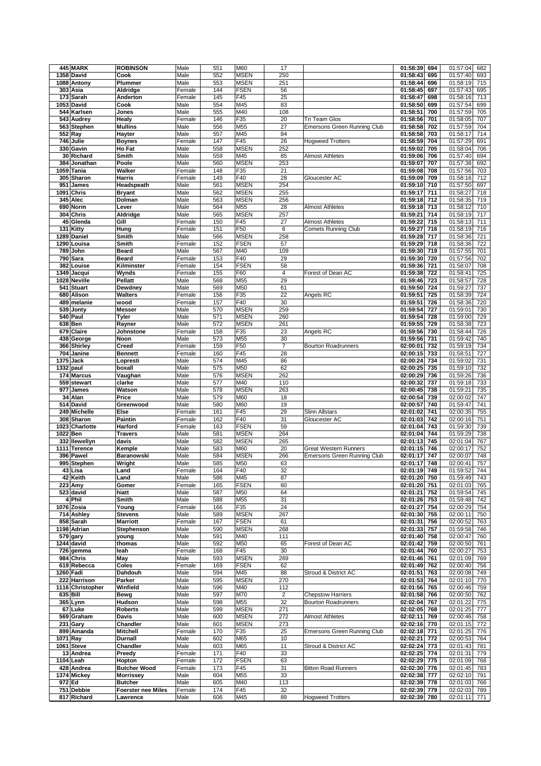|           | 445 MARK               | <b>ROBINSON</b>           | Male   | 551 | M60         | 17                      |                                    | 01:58:39     | 694 | 01:57:04<br>682 |
|-----------|------------------------|---------------------------|--------|-----|-------------|-------------------------|------------------------------------|--------------|-----|-----------------|
|           | 1358 David             | Cook                      | Male   | 552 | <b>MSEN</b> | 250                     |                                    | 01:58:43     | 695 | 01:57:40<br>693 |
|           | 1088 Antony            | Plummer                   | Male   | 553 | <b>MSEN</b> | 251                     |                                    | 01:58:44     | 696 | 01:58:19<br>715 |
|           | 303 Asia               |                           | Female | 144 | <b>FSEN</b> | 56                      |                                    | 01:58:45     |     | 695             |
|           |                        | Aldridge                  |        |     |             |                         |                                    |              | 697 | 01:57:43        |
|           | $\overline{173}$ Sarah | Anderton                  | Female | 145 | F45         | 25                      |                                    | 01:58:47     | 698 | 01:58:16<br>713 |
|           | 1053 David             | Cook                      | Male   | 554 | M45         | 83                      |                                    | 01:58:50     | 699 | 01:57:54<br>699 |
|           | 544 Karlsen            | Jones                     | Male   | 555 | M40         | 108                     |                                    | 01:58:51     | 700 | 01:57:59<br>705 |
|           | 543 Audrey             | Healy                     | Female | 146 | F35         | 20                      | Tri Team Glos                      | 01:58:56     | 701 | 01:58:05<br>707 |
|           | 563 Stephen            | <b>Mullins</b>            | Male   | 556 | M55         | 27                      | <b>Emersons Green Running Club</b> | 01:58:58     | 702 | 01:57:59<br>704 |
|           | 552 Ray                | Hayter                    | Male   | 557 | M45         | 84                      |                                    | 01:58:58     | 703 | 01:58:17<br>714 |
|           | 746 Julie              | <b>Boynes</b>             | Female | 147 | F45         | 26                      | <b>Hogweed Trotters</b>            | 01:58:59     | 704 | 01:57:29<br>691 |
|           |                        |                           |        |     |             |                         |                                    |              |     |                 |
|           | 330 Gavin              | Ho Fat                    | Male   | 558 | <b>MSEN</b> | 252                     |                                    | 01:59:02     | 705 | 01:58:04<br>706 |
|           | 30 Richard             | Smith                     | Male   | 559 | M45         | 85                      | <b>Almost Athletes</b>             | 01:59:06     | 706 | 01:57:40<br>694 |
| 384       | Jonathan               | Poole                     | Male   | 560 | <b>MSEN</b> | 253                     |                                    | 01:59:07     | 707 | 01:57:38<br>692 |
|           | 1059 Tania             | Walker                    | Female | 148 | F35         | 21                      |                                    | 01:59:08     | 708 | 01:57:56<br>703 |
|           | 305 Sharon             | <b>Harris</b>             | Female | 149 | F40         | 28                      | Gloucester AC                      | 01:59:09     | 709 | 01:58:16<br>712 |
|           | 951 James              | Headspeath                | Male   | 561 | <b>MSEN</b> | 254                     |                                    | 01:59:10     | 710 | 01:57:50<br>697 |
|           | 1091 Chris             | <b>Bryant</b>             | Male   | 562 | <b>MSEN</b> | 255                     |                                    | 01:59:17     | 711 | 01:58:27<br>718 |
|           | 345 Alec               | Dolman                    | Male   | 563 | <b>MSEN</b> | 256                     |                                    | 01:59:18     | 712 | 01:58:35<br>719 |
|           | 690 Norm               | Lever                     | Male   |     | M55         |                         | <b>Almost Athletes</b>             |              | 713 |                 |
|           |                        |                           |        | 564 |             | 28                      |                                    | 01:59:18     |     | 01:58:12<br>710 |
|           | 304 Chris              | Aldridge                  | Male   | 565 | <b>MSEN</b> | 257                     |                                    | 01:59:21     | 714 | 01:58:19<br>717 |
|           | 45 Glenda              | Gill                      | Female | 150 | F45         | 27                      | <b>Almost Athletes</b>             | 01:59:22     | 715 | 01:58:13<br>711 |
|           | 131 Kitty              | Hung                      | Female | 151 | F50         | 6                       | <b>Comets Running Club</b>         | 01:59:27     | 716 | 01:58:19<br>716 |
|           | 1289 Daniel            | Smith                     | Male   | 566 | <b>MSEN</b> | 258                     |                                    | 01:59:28     | 717 | 01:58:36<br>721 |
|           | 1290 Louisa            | Smith                     | Female | 152 | <b>FSEN</b> | 57                      |                                    | 01:59:29     | 718 | 01:58:36<br>722 |
|           | 789 John               | <b>Beard</b>              | Male   | 567 | M40         | 109                     |                                    | 01:59:30     | 719 | 01:57:55<br>701 |
|           | 790 Sara               | <b>Beard</b>              | Female | 153 | F40         | 29                      |                                    | 01:59:30     | 720 | 01:57:56<br>702 |
|           | 382 Louise             | Kilminster                | Female | 154 | <b>FSEN</b> | 58                      |                                    | 01:59:36     | 721 | 01:58:07<br>708 |
|           | 1349 Jacqui            | Wynds                     | Female | 155 | F60         | $\overline{\mathbf{4}}$ | Forest of Dean AC                  | 01:59:38     | 722 | 01:58:41<br>725 |
|           | 1028 Neville           |                           |        |     |             | 29                      |                                    |              |     |                 |
|           |                        | <b>Pellatt</b>            | Male   | 568 | M55         |                         |                                    | 01:59:46     | 723 | 01:58:57<br>728 |
|           | 541 Stuart             | Dewdney                   | Male   | 569 | M50         | 61                      |                                    | 01:59:50     | 724 | 01:59:27<br>737 |
|           | 680 Alison             | <b>Walters</b>            | Female | 156 | F35         | 22                      | Angels RC                          | 01:59:51     | 725 | 01:58:39<br>724 |
| 489       | melanie                | wood                      | Female | 157 | F40         | 30                      |                                    | 01:59:51     | 726 | 01:58:36<br>720 |
|           | 539 Jonty              | <b>Messer</b>             | Male   | 570 | <b>MSEN</b> | 259                     |                                    | 01:59:54     | 727 | 01:59:01<br>730 |
|           | 540 Paul               | Tyler                     | Male   | 571 | <b>MSEN</b> | 260                     |                                    | 01:59:54     | 728 | 01:59:00<br>729 |
|           | 638 Ben                | Rayner                    | Male   | 572 | <b>MSEN</b> | 261                     |                                    | 01:59:55     | 729 | 01:58:38<br>723 |
|           | 679 Claire             | Johnstone                 | Female | 158 | F35         | 23                      | Angels RC                          | 01:59:56     | 730 | 01:58:44<br>726 |
|           | 438 George             | Noon                      | Male   | 573 | M55         | 30                      |                                    | 01:59:56     | 731 | 01:59:42<br>740 |
|           | 366 Shirley            | <b>Creed</b>              | Female | 159 | F50         | $\overline{7}$          | <b>Bourton Roadrunners</b>         | 02:00:01     | 732 | 01:59:19<br>734 |
|           |                        |                           |        |     |             |                         |                                    |              |     |                 |
|           | 704 Janine             | <b>Bennett</b>            | Female | 160 | F45         | 28                      |                                    | 02:00:15     | 733 | 01:58:51<br>727 |
|           | 1375 Jack              | Lopresti                  | Male   | 574 | M45         | 86                      |                                    | 02:00:24     | 734 | 731<br>01:59:02 |
| 1332 paul |                        | boxall                    | Male   | 575 | M50         | 62                      |                                    | 02:00:25     | 735 | 01:59:10<br>732 |
|           | 174 Marcus             | Vaughan                   | Male   | 576 | <b>MSEN</b> | 262                     |                                    | 02:00:29     | 736 | 01:59:26<br>736 |
|           | 559 stewart            | clarke                    | Male   | 577 | M40         | 110                     |                                    | 02:00:32     | 737 | 01:59:18<br>733 |
|           | $\overline{977}$ James | Watson                    | Male   | 578 | <b>MSEN</b> | 263                     |                                    | 02:00:45     | 738 | 01:59:21<br>735 |
|           | 34 Alan                | Price                     | Male   | 579 | M60         | 18                      |                                    | 02:00:54     | 739 | 02:00:02<br>747 |
|           | 514 David              | Greenwood                 | Male   | 580 | M60         | 19                      |                                    | 02:00:57     | 740 | 01:59:47<br>741 |
|           | 249 Michelle           | Else                      | Female | 161 | F45         | 29                      | <b>Slinn Allstars</b>              | 02:01:02     | 741 | 02:00:35<br>755 |
|           |                        |                           |        |     |             |                         |                                    |              |     |                 |
|           | 308 Sharon             | Paintin                   | Female | 162 | F40         | 31                      | Gloucester AC                      | 02:01:03     | 742 | 02:00:16<br>751 |
|           | 1023 Charlotte         | Harford                   | Female | 163 | <b>FSEN</b> | 59                      |                                    | 02:01:04     | 743 | 01:59:30<br>739 |
|           | 1022 Ben               | <b>Travers</b>            | Male   | 581 | <b>MSEN</b> | 264                     |                                    | 02:01:04     | 744 | 01:59:29<br>738 |
|           | 332 Ilewellyn          | davis                     | Male   | 582 | <b>MSEN</b> | 265                     |                                    | 02:01:13     | 745 | 02:01:04<br>767 |
|           | 1111 Terence           | Kemple                    | Male   | 583 | M60         | 20                      | <b>Great Western Runners</b>       | 02:01:15     | 746 | 02:00:17<br>752 |
|           | 396 Pawel              | Baranowski                | Male   | 584 | <b>MSEN</b> | 266                     | Emersons Green Running Club        | 02:01:17     | 747 | 02:00:07<br>748 |
|           | 995 Stephen            | Wright                    | Male   | 585 | M50         | 63                      |                                    | 02:01:17     | 748 | 757<br>02:00:41 |
|           | 43 Lisa                | Land                      | Female | 164 | F40         | 32                      |                                    | 02:01:19 749 |     | 01:59:52<br>744 |
|           | 42 Keith               | Land                      | Male   | 586 | M45         | 87                      |                                    |              |     |                 |
|           | <b>223 Amy</b>         | Gomer                     | Female |     |             |                         |                                    |              |     |                 |
|           | 523 david              |                           |        |     |             |                         |                                    | 02:01:20 750 |     | 01:59:49<br>743 |
|           |                        |                           |        | 165 | <b>FSEN</b> | 60                      |                                    | 02:01:20     | 751 | 02:01:03<br>765 |
|           |                        | hiatt                     | Male   | 587 | M50         | 64                      |                                    | 02:01:21     | 752 | 01:59:54<br>745 |
|           | 4 Phil                 | Smith                     | Male   | 588 | M55         | 31                      |                                    | 02:01:26     | 753 | 01:59:48<br>742 |
|           | 1076 Zosia             | Young                     | Female | 166 | F35         | 24                      |                                    | 02:01:27     | 754 | 02:00:29<br>754 |
|           | 714 Ashley             | <b>Stevens</b>            | Male   | 589 | <b>MSEN</b> | 267                     |                                    | 02:01:30 755 |     | 02:00:11<br>750 |
|           | 858 Sarah              | <b>Marriott</b>           | Female | 167 | <b>FSEN</b> | 61                      |                                    | 02:01:31     | 756 | 02:00:52<br>763 |
|           | 1198 Adrian            | Stephenson                | Male   | 590 | <b>MSEN</b> | 268                     |                                    | 02:01:33     | 757 | 01:59:58<br>746 |
|           | 579 gary               | young                     | Male   | 591 | M40         | 111                     |                                    | 02:01:40     | 758 | 02:00:47<br>760 |
|           | 1244 david             | thomas                    | Male   | 592 | M50         | 65                      | Forest of Dean AC                  | 02:01:42     | 759 | 02:00:50<br>761 |
|           | 726 gemma              | leah                      | Female | 168 | F45         | 30                      |                                    | 02:01:44     | 760 | 02:00:27<br>753 |
|           |                        |                           | Male   | 593 |             |                         |                                    |              |     |                 |
|           | 984 Chris              | May                       |        |     | <b>MSEN</b> | 269                     |                                    | 02:01:46     | 761 | 02:01:09<br>769 |
|           | 619 Rebecca            | Coles                     | Female | 169 | <b>FSEN</b> | 62                      |                                    | 02:01:49     | 762 | 02:00:40<br>756 |
|           | 1260 Fadi              | Dahdouh                   | Male   | 594 | M45         | 88                      | Stroud & District AC               | 02:01:51     | 763 | 02:00:08<br>749 |
|           | 222 Harrison           | Parker                    | Male   | 595 | <b>MSEN</b> | 270                     |                                    | 02:01:53     | 764 | 02:01:10<br>770 |
|           | 1116 Christopher       | Winfield                  | Male   | 596 | M40         | 112                     |                                    | 02:01:56     | 765 | 02:00:46<br>759 |
|           | 635 Bill               | Bewg                      | Male   | 597 | M70         | $\overline{c}$          | <b>Chepstow Harriers</b>           | 02:01:58     | 766 | 02:00:50<br>762 |
|           | 365 Lynn               | Hudson                    | Male   | 598 | M55         | 32                      | <b>Bourton Roadrunners</b>         | 02:02:04 767 |     | 02:01:22<br>775 |
|           | 67 Luke                | <b>Roberts</b>            | Male   | 599 | <b>MSEN</b> | 271                     |                                    | 02:02:05 768 |     | 02:01:25<br>777 |
|           | 569 Graham             | <b>Davis</b>              | Male   | 600 | <b>MSEN</b> | 272                     | <b>Almost Athletes</b>             | 02:02:11     | 769 | 02:00:46<br>758 |
|           | 231 Gary               | Chandler                  | Male   | 601 | <b>MSEN</b> | 273                     |                                    | 02:02:16 770 |     | 02:01:15<br>772 |
|           |                        | <b>Mitchell</b>           |        |     | F35         |                         |                                    |              |     |                 |
|           | 899 Amanda             |                           | Female | 170 |             | 25                      | <b>Emersons Green Running Club</b> | 02:02:18 771 |     | 02:01:25<br>776 |
|           | 1071 Ray               | <b>Durnall</b>            | Male   | 602 | M65         | 10                      |                                    | 02:02:21     | 772 | 02:00:53<br>764 |
|           | 1061 Steve             | Chandler                  | Male   | 603 | M65         | 11                      | Stroud & District AC               | 02:02:24     | 773 | 02:01:43<br>781 |
|           | 13 Andrea              | Preedy                    | Female | 171 | F40         | 33                      |                                    | 02:02:25 774 |     | 02:01:31<br>779 |
|           | 1104 Leah              | Hopton                    | Female | 172 | <b>FSEN</b> | 63                      |                                    | 02:02:29     | 775 | 02:01:09<br>768 |
|           | 428 Andrea             | <b>Butcher Wood</b>       | Female | 173 | F45         | 31                      | <b>Bitton Road Runners</b>         | 02:02:30     | 776 | 02:01:45<br>783 |
|           | 1374 Mickey            | <b>Morrissey</b>          | Male   | 604 | M55         | 33                      |                                    | 02:02:38 777 |     | 02:02:10<br>791 |
| 972 Ed    |                        | <b>Butcher</b>            | Male   | 605 | M40         | 113                     |                                    | 02:02:39 778 |     | 02:01:03<br>766 |
|           | 751 Debbie             | <b>Foerster nee Miles</b> | Female | 174 | F45         | 32                      |                                    | 02:02:39     | 779 | 02:02:03<br>789 |
|           | 817 Richard            | Lawrence                  | Male   | 606 | M45         | 89                      | <b>Hogweed Trotters</b>            | 02:02:39 780 |     | 02:01:11<br>771 |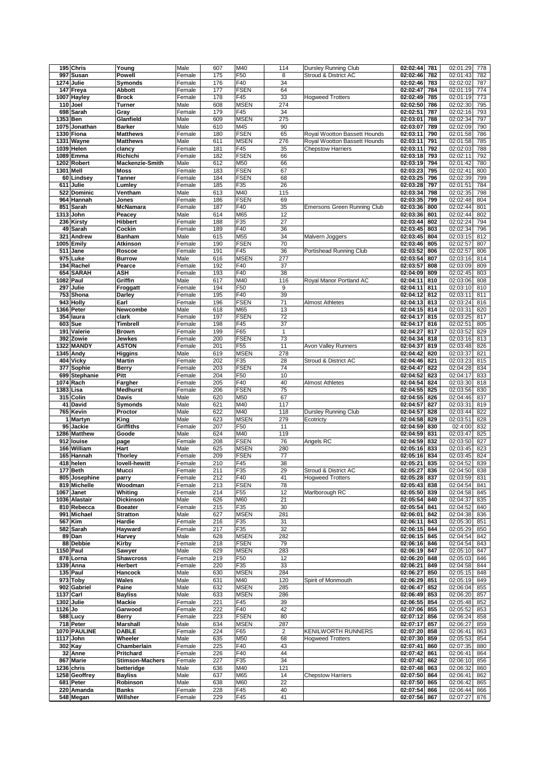|         | 195 Chris             | Young                  | Male   | 607        | M40             | 114            | Dursley Running Club               | 02:02:44                 | 781 | 02:01:29             | 778 |
|---------|-----------------------|------------------------|--------|------------|-----------------|----------------|------------------------------------|--------------------------|-----|----------------------|-----|
| 997     | Susan                 | Powell                 | Female | 175        | F50             | 8              | Stroud & District AC               | 02:02:46                 | 782 | 02:01:43             | 782 |
|         | 1274 Julie            | Symonds                | Female | 176        | F40             | 34             |                                    | 02:02:46                 | 783 | 02:02:02             | 787 |
|         | 147 Freya             | Abbott                 | Female | 177        | <b>FSEN</b>     | 64             |                                    | 02:02:47                 | 784 | 02:01:19             | 774 |
|         | 1007 Hayley           | <b>Brock</b>           | Female | 178        | F45             | 33             | <b>Hogweed Trotters</b>            | 02:02:49                 | 785 | 02:01:19             | 773 |
|         | 110 Joel              | Turner                 | Male   | 608        | <b>MSEN</b>     | 274            |                                    | 02:02:50                 | 786 | 02:02:30             | 795 |
|         |                       |                        |        |            |                 |                |                                    |                          |     |                      |     |
|         | 698 Sarah             | Gray                   | Female | 179        | F45             | 34             |                                    | 02:02:51                 | 787 | 02:02:16             | 793 |
|         | 1353 Ben              | Glanfield              | Male   | 609        | <b>MSEN</b>     | 275            |                                    | 02:03:01                 | 788 | 02:02:34             | 797 |
|         | 1075 Jonathan         | <b>Barker</b>          | Male   | 610        | M45             | 90             |                                    | 02:03:07                 | 789 | 02:02:09             | 790 |
|         | 1330 Fiona            | <b>Matthews</b>        | Female | 180        | <b>FSEN</b>     | 65             | Royal Wootton Bassett Hounds       | 02:03:11                 | 790 | 02:01:58             | 786 |
|         | 1331 Wayne            | <b>Matthews</b>        | Male   | 611        | <b>MSEN</b>     | 276            | Royal Wootton Bassett Hounds       | 02:03:11                 | 791 | 02:01:58             | 785 |
|         | 1039 Helen            | clancy                 | Female | 181        | F45             | 35             | <b>Chepstow Harriers</b>           | 02:03:11                 | 792 | 02:02:03             | 788 |
|         | 1089 Emma             | Richichi               | Female | 182        | <b>FSEN</b>     | 66             |                                    | 02:03:18                 | 793 | 02:02:11             | 792 |
|         | 1202 Robert           | Mackenzie-Smith        | Male   | 612        | M50             | 66             |                                    | 02:03:19                 | 794 | 02:01:42             | 780 |
|         | 1301 Mell             | <b>Moss</b>            | Female | 183        | <b>FSEN</b>     | 67             |                                    | 02:03:23                 | 795 | 02:02:41             | 800 |
|         | 60 Lindsey            | Tanner                 | Female | 184        | <b>FSEN</b>     | 68             |                                    | 02:03:25                 | 796 | 02:02:39             | 799 |
|         | 611 Julie             | Lumley                 | Female | 185        | F35             | 26             |                                    | 02:03:28                 | 797 | 02:01:51             | 784 |
|         | 522 Dominic           | Ventham                | Male   | 613        | M40             | 115            |                                    | 02:03:34                 | 798 | 02:02:35             | 798 |
|         | 964 Hannah            | Jones                  | Female | 186        | <b>FSEN</b>     | 69             |                                    | 02:03:35                 | 799 | 02:02:48             | 804 |
|         | 851 Sarah             | <b>McNamara</b>        | Female | 187        | F40             | 35             | <b>Emersons Green Running Club</b> | 02:03:36                 | 800 | 02:02:44             | 801 |
|         | 1313 John             | Peacey                 | Male   | 614        | M65             | 12             |                                    | 02:03:36                 | 801 | 02:02:44             | 802 |
|         | 236 Kirsty            | <b>Hibbert</b>         | Female | 188        | F35             | 27             |                                    | 02:03:44                 | 802 | 02:02:24             | 794 |
|         |                       | Cockin                 |        |            | F40             |                |                                    | 02:03:45                 | 803 | 02:02:34             | 796 |
|         | 49 Sarah              |                        | Female | 189        |                 | 36             |                                    |                          |     |                      |     |
|         | 321 Andrew            | <b>Banham</b>          | Male   | 615        | M55             | 34             | Malvern Joggers                    | 02:03:45                 | 804 | 02:03:15             | 812 |
|         | 1005 Emily            | Atkinson               | Female | 190        | <b>FSEN</b>     | 70             |                                    | 02:03:46                 | 805 | 02:02:57             | 807 |
|         | 511 Jane              | Roscoe                 | Female | 191        | F45             | 36             | Portishead Running Club            | 02:03:52                 | 806 | 02:02:57             | 806 |
|         | 975 Luke              | <b>Burrow</b>          | Male   | 616        | <b>MSEN</b>     | 277            |                                    | 02:03:54                 | 807 | 02:03:16             | 814 |
|         | 194 Rachel            | Pearce                 | Female | 192        | F40             | 37             |                                    | 02:03:57                 | 808 | 02:03:09             | 809 |
|         | 654 SARAH             | ASH                    | Female | 193        | F40             | 38             |                                    | 02:04:09                 | 809 | 02:02:45             | 803 |
|         | 1082 Paul             | Griffin                | Male   | 617        | M40             | 116            | Royal Manor Portland AC            | 02:04:11                 | 810 | 02:03:06             | 808 |
|         | 297 Julie             | Froggatt               | Female | 194        | F50             | 9              |                                    | 02:04:11                 | 811 | 02:03:10             | 810 |
|         | 753 Shona             | Darley                 | Female | 195        | F40             | 39             |                                    | 02:04:12                 | 812 | 02:03:11             | 811 |
|         | 943 Holly             | Earl                   | Female | 196        | <b>FSEN</b>     | 71             | <b>Almost Athletes</b>             | 02:04:13                 | 813 | 02:03:24             | 816 |
|         | 1366 Peter            | Newcombe               | Male   | 618        | M65             | 13             |                                    | 02:04:15                 | 814 | 02:03:31             | 820 |
|         | 354 laura             | clark                  | Female | 197        | <b>FSEN</b>     | 72             |                                    | 02:04:17                 | 815 | 02:03:25             | 817 |
|         | 603 Sue               | Timbrell               | Female | 198        | F45             | 37             |                                    | 02:04:17                 | 816 | 02:02:51             | 805 |
|         | 191 Valerie           | <b>Brown</b>           | Female | 199        | F65             | $\mathbf{1}$   |                                    | 02:04:27                 | 817 | 02:03:52             | 829 |
|         | 392 Zowie             | Jewkes                 | Female | 200        | <b>FSEN</b>     | 73             |                                    | 02:04:34                 | 818 | 02:03:16             | 813 |
|         | 1322 MANDY            | <b>ASTON</b>           | Female | 201        | F <sub>55</sub> | 11             | <b>Avon Valley Runners</b>         | 02:04:37                 | 819 | 02:03:48             | 826 |
|         |                       |                        |        |            | <b>MSEN</b>     |                |                                    |                          | 820 |                      |     |
|         | 1345 Andy             | Higgins                | Male   | 619        |                 | 278            |                                    | 02:04:42                 |     | 02:03:37             | 821 |
|         | 404 Vicky             | <b>Martin</b>          | Female | 202        | F35             | 28             | Stroud & District AC               | 02:04:46                 | 821 | 02:03:23             | 815 |
|         | 377 Sophie            | Berry                  | Female | 203        | <b>FSEN</b>     | 74             |                                    | 02:04:47                 | 822 | 02:04:28             | 834 |
|         | 699 Stephanie         | Pitt                   | Female | 204        | F50             | 10             |                                    | 02:04:52                 | 823 | 02:04:17             | 833 |
|         | 1074 Rach             | Fargher                | Female | 205        | F40             | 40             | <b>Almost Athletes</b>             | 02:04:54                 | 824 | 02:03:30             | 818 |
|         | 1383 Lisa             | <b>Medhurst</b>        | Female | 206        | <b>FSEN</b>     | 75             |                                    | 02:04:55                 | 825 | 02:03:56             | 830 |
|         | 315 Colin             | Davis                  | Male   | 620        | M50             | 67             |                                    | 02:04:55                 | 826 | 02:04:46             | 837 |
|         | 41 David              | Symonds                | Male   | 621        | M40             | 117            |                                    | 02:04:57                 | 827 | 02:03:31             | 819 |
|         | 765 Kevin             | Proctor                | Male   | 622        | M40             | 118            | Dursley Running Club               | 02:04:57                 | 828 | 02:03:44             | 822 |
|         | 1 Martyn              | King                   | Male   | 623        | <b>MSEN</b>     | 279            | Ecotricty                          | 02:04:58                 | 829 | 02:03:51             | 828 |
|         | 95 Jackie             | Griffiths              | Female | 207        | F50             | 11             |                                    | 02:04:59                 | 830 | 02:4:00              | 832 |
|         |                       |                        |        |            |                 | 119            |                                    |                          |     | 02:03:47             | 825 |
|         | 1286 Matthew          | Goode                  | Male   | 624        | M40             |                |                                    | 02:04:59                 | 831 |                      |     |
|         | 912 louise            | page                   | Female | 208        | <b>FSEN</b>     | 76             | Angels RC                          | 02:04:59                 | 832 | 02:03:50             | 827 |
|         | 166 William           | Hart                   | Male   | 625        | <b>MSEN</b>     | 280            |                                    | 02:05:16                 | 833 | 02:03:45             | 823 |
|         | 165 Hannah            | Thorley                | Female | 209        | <b>FSEN</b>     | 77             |                                    | 02:05:16                 | 834 | 02:03:45             | 824 |
|         | 418 helen             | lovell-hewitt          | Female | 210        | F45             | 38             |                                    | 02:05:21                 | 835 | 02:04:52             | 839 |
|         | $\overline{177}$ Beth | Mucci                  | Female | 211        | F35             | 29             | Stroud & District AC               | 02:05:27                 | 836 | 02:04:50             | 838 |
|         | 805 Josephine         | parry                  | Female | 212        | F40             | 41             | <b>Hogweed Trotters</b>            | 02:05:28 837             |     | 02:03:59 831         |     |
|         | 819 Michelle          | Woodman                | Female | 213        | <b>FSEN</b>     | 78             |                                    | 02:05:43 838             |     | 02:04:54             | 841 |
|         | 1067 Janet            | Whiting                | Female | 214        | F <sub>55</sub> | 12             | Marlborough RC                     | 02:05:50 839             |     | 02:04:58             | 845 |
|         | 1036 Alastair         | Dickinson              | Male   | 626        | M60             | 21             |                                    | 02:05:54 840             |     | 02:04:37             | 835 |
|         | 810 Rebecca           | <b>Boeater</b>         | Female |            | F35             | 30             |                                    |                          | 841 |                      | 840 |
|         | 991 Michael           | <b>Stratton</b>        | Male   | 215<br>627 | <b>MSEN</b>     | 281            |                                    | 02:05:54<br>02:06:01 842 |     | 02:04:52<br>02:04:38 | 836 |
|         |                       |                        | Female |            |                 |                |                                    | 02:06:11                 | 843 |                      |     |
|         | 567 Kim               | Hardie                 |        | 216        | F35             | 31             |                                    |                          |     | 02:05:30             | 851 |
|         | 582 Sarah             | Hayward                | Female | 217        | F35             | 32             |                                    | 02:06:15 844             |     | 02:05:29             | 850 |
|         | 89 Dan                | Harvey                 | Male   | 628        | <b>MSEN</b>     | 282            |                                    | 02:06:15 845             |     | 02:04:54             | 842 |
|         | 88 Debbie             | Kirby                  | Female | 218        | <b>FSEN</b>     | 79             |                                    | 02:06:16 846             |     | 02:04:54             | 843 |
|         | 1150 Paul             | Sawyer                 | Male   | 629        | <b>MSEN</b>     | 283            |                                    | 02:06:19 847             |     | 02:05:10             | 847 |
|         | 878 Lorna             | <b>Shawcross</b>       | Female | 219        | F50             | 12             |                                    | 02:06:20 848             |     | 02:05:03             | 846 |
|         | 1339 Anna             | Herbert                | Female | 220        | F35             | 33             |                                    | 02:06:21                 | 849 | 02:04:58             | 844 |
|         | 135 Paul              | Hancock                | Male   | 630        | <b>MSEN</b>     | 284            |                                    | 02:06:27                 | 850 | 02:05:15             | 848 |
|         | 973 Toby              | Wales                  | Male   | 631        | M40             | 120            | Spirit of Monmouth                 | 02:06:29 851             |     | 02:05:19 849         |     |
|         | 902 Gabriel           | Paine                  | Male   | 632        | <b>MSEN</b>     | 285            |                                    | 02:06:47 852             |     | 02:06:04             | 855 |
|         | <b>1137 Carl</b>      | <b>Bayliss</b>         | Male   | 633        | <b>MSEN</b>     | 286            |                                    | 02:06:49 853             |     | 02:06:20             | 857 |
|         | 1302 Julie            | Mackie                 | Female | 221        | F45             | 39             |                                    | 02:06:55 854             |     | 02:05:48             | 852 |
| 1126 Jo |                       | Garwood                | Female | 222        | F40             | 42             |                                    | 02:07:06 855             |     | 02:05:52             | 853 |
|         | 588 Lucy              | <b>Berry</b>           | Female | 223        | <b>FSEN</b>     | 80             |                                    | 02:07:12 856             |     | 02:06:24 858         |     |
|         | 718 Peter             | Marshall               | Male   | 634        | <b>MSEN</b>     | 287            |                                    | 02:07:17                 | 857 | 02:06:27             | 859 |
|         | 1070 PAULINE          | <b>DABLE</b>           | Female | 224        | F65             | $\overline{c}$ | KENILWORTH RUNNERS                 | 02:07:20 858             |     | 02:06:41             | 863 |
|         | 1117 John             | Wheeler                | Male   | 635        | M50             | 68             | <b>Hogweed Trotters</b>            | 02:07:30 859             |     | 02:05:53 854         |     |
|         | 302 Kay               | Chamberlain            | Female | 225        | F40             | 43             |                                    | 02:07:41                 | 860 | 02:07:35             | 880 |
|         | 32 Anne               | Pritchard              | Female | 226        | F40             | 44             |                                    | 02:07:42 861             |     | 02:06:41             | 864 |
|         | 867 Marie             | <b>Stimson-Machers</b> | Female | 227        | F35             | 34             |                                    | 02:07:42 862             |     | 02:06:10 856         |     |
|         | 1236 chris            | betteridge             | Male   | 636        | M40             | 121            |                                    | 02:07:48 863             |     | 02:06:32             | 860 |
|         | 1258 Geoffrey         | <b>Bayliss</b>         | Male   | 637        | M65             | 14             | <b>Chepstow Harriers</b>           | 02:07:50 864             |     | 02:06:41             | 862 |
|         | 681 Peter             | Robinson               | Male   | 638        | M60             | 22             |                                    | 02:07:50 865             |     | 02:06:42             | 865 |
|         | 220 Amanda            | Banks                  | Female | 228        | F45             | 40             |                                    | 02:07:54 866             |     | 02:06:44             | 866 |
|         | 548 Megan             | Willsher               | Female | 229        | F45             | 41             |                                    | 02:07:56 867             |     | 02:07:27 876         |     |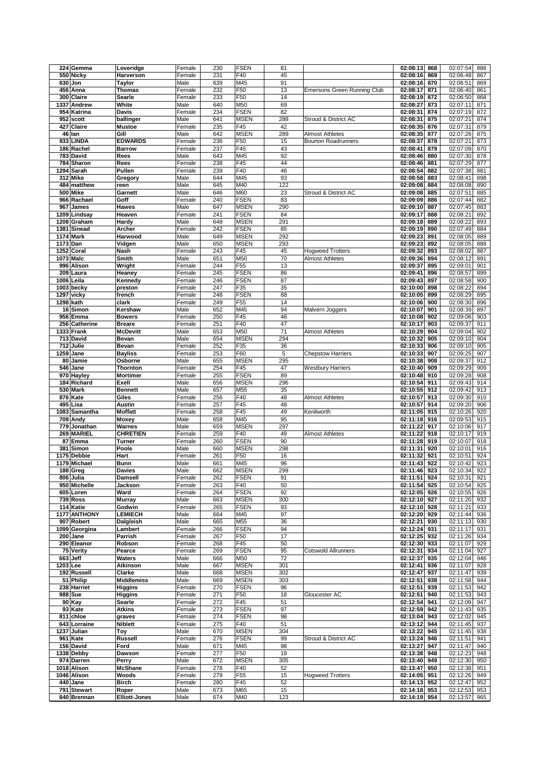|             | 224 Gemma              | Loveridge            | Female | 230 | <b>FSEN</b>     | 81  |                             | 02:08:13     | 868 | 02:07:54 | 886 |
|-------------|------------------------|----------------------|--------|-----|-----------------|-----|-----------------------------|--------------|-----|----------|-----|
|             | 550 Nicky              | Harverson            | Female | 231 | F40             | 45  |                             | 02:08:16     | 869 | 02:06:48 | 867 |
|             | 630 Jon                | Taylor               | Male   | 639 | M45             | 91  |                             | 02:08:16     | 870 | 02:06:51 | 869 |
|             |                        | Thomas               | Female | 232 | F50             | 13  |                             | 02:08:17     |     | 02:06:40 | 861 |
|             | 456 Anna               |                      |        |     |                 |     | Emersons Green Running Club |              | 871 |          |     |
|             | 300 Claire             | Searle               | Female | 233 | F50             | 14  |                             | 02:08:19     | 872 | 02:06:50 | 868 |
| 1337        | Andrew                 | White                | Male   | 640 | M50             | 69  |                             | 02:08:27     | 873 | 02:07:11 | 871 |
|             | 954 Katrina            | <b>Davis</b>         | Female | 234 | <b>FSEN</b>     | 82  |                             | 02:08:31     | 874 | 02:07:19 | 872 |
|             | 952 scott              | ballinger            | Male   | 641 | <b>MSEN</b>     | 288 | Stroud & District AC        | 02:08:31     | 875 | 02:07:21 | 874 |
|             | 427 Claire             | <b>Mustoe</b>        | Female | 235 | F45             | 42  |                             | 02:08:35     | 876 | 02:07:31 | 879 |
|             | 46 lan                 | Gill                 | Male   | 642 | <b>MSEN</b>     | 289 | <b>Almost Athletes</b>      | 02:08:35     | 877 | 02:07:26 | 875 |
|             | 933 LINDA              | <b>EDWARDS</b>       | Female | 236 | F50             | 15  | <b>Bourton Roadrunners</b>  | 02:08:37     | 878 | 02:07:21 | 873 |
|             | 186 Rachel             | <b>Barrow</b>        | Female | 237 | F45             | 43  |                             | 02:08:41     | 879 | 02:07:09 | 870 |
|             | 783 David              | Rees                 | Male   | 643 | M45             | 92  |                             | 02:08:46     | 880 | 02:07:30 | 878 |
|             |                        |                      |        |     |                 |     |                             |              |     |          |     |
|             | 784 Sharon             | Rees                 | Female | 238 | F45             | 44  |                             | 02:08:46     | 881 | 02:07:29 | 877 |
|             | 1294 Sarah             | Pullen               | Female | 239 | F40             | 46  |                             | 02:08:54     | 882 | 02:07:38 | 881 |
|             | 312 Mike               | Gregory              | Male   | 644 | M45             | 93  |                             | 02:08:58     | 883 | 02:08:41 | 898 |
|             | 484 matthew            | reen                 | Male   | 645 | M40             | 122 |                             | 02:09:08     | 884 | 02:08:08 | 890 |
|             | 500 Mike               | Garnett              | Male   | 646 | M60             | 23  | Stroud & District AC        | 02:09:08     | 885 | 02:07:51 | 885 |
|             | 966 Rachael            | Goff                 | Female | 240 | <b>FSEN</b>     | 83  |                             | 02:09:09     | 886 | 02:07:44 | 882 |
|             | 967 James              | <b>Hawes</b>         | Male   | 647 | <b>MSEN</b>     | 290 |                             | 02:09:10     | 887 | 02:07:45 | 883 |
| 1209        | Lindsay                | Heaven               | Female | 241 | <b>FSEN</b>     | 84  |                             | 02:09:17     | 888 | 02:08:21 | 892 |
|             | 1208 Graham            | Hardy                | Male   | 648 | <b>MSEN</b>     | 291 |                             | 02:09:18     | 889 | 02:08:22 | 893 |
|             | 1381 Sinead            | Archer               | Female | 242 | <b>FSEN</b>     | 85  |                             | 02:09:19     | 890 | 02:07:49 | 884 |
|             | <b>1174 Mark</b>       | Harwood              | Male   | 649 | <b>MSEN</b>     | 292 |                             | 02:09:23     | 891 | 02:08:05 | 889 |
|             |                        |                      |        |     |                 |     |                             |              |     | 02:08:05 |     |
|             | 1173 Dan               | Vidgen               | Male   | 650 | <b>MSEN</b>     | 293 |                             | 02:09:23     | 892 |          | 888 |
|             | 1252 Coral             | Nash                 | Female | 243 | F45             | 45  | <b>Hogweed Trotters</b>     | 02:09:32     | 893 | 02:08:02 | 887 |
|             | 1073 Malc              | Smith                | Male   | 651 | M50             | 70  | <b>Almost Athletes</b>      | 02:09:36     | 894 | 02:08:12 | 891 |
|             | 996 Alison             | Wright               | Female | 244 | F <sub>55</sub> | 13  |                             | 02:09:37     | 895 | 02:09:01 | 901 |
| 209         | Laura                  | Heaney               | Female | 245 | <b>FSEN</b>     | 86  |                             | 02:09:41     | 896 | 02:08:57 | 899 |
|             | 1006 Leila             | Kennedy              | Female | 246 | <b>FSEN</b>     | 87  |                             | 02:09:43     | 897 | 02:08:58 | 900 |
|             | 1003 becky             | preston              | Female | 247 | F35             | 35  |                             | 02:10:00     | 898 | 02:08:22 | 894 |
|             | 1297 vicky             | french               | Female | 248 | <b>FSEN</b>     | 88  |                             | 02:10:05     | 899 | 02:08:29 | 895 |
|             | 1298 kath              | clark                | Female | 249 | F <sub>55</sub> | 14  |                             | 02:10:06     | 900 | 02:08:30 | 896 |
|             | 16 Simon               | Kershaw              | Male   | 652 | M45             | 94  | Malvern Joggers             | 02:10:07     | 901 | 02:08:39 | 897 |
|             | 956 Emma               | <b>Bowers</b>        | Female | 250 | F45             | 46  |                             | 02:10:08     | 902 | 02:09:06 | 903 |
| 256         |                        | <b>Breare</b>        |        | 251 | F40             | 47  |                             | 02:10:17     | 903 | 02:09:37 | 911 |
|             | Catherine              |                      | Female |     |                 |     |                             |              |     |          |     |
|             | 1333 Frank             | <b>McDevitt</b>      | Male   | 653 | M50             | 71  | <b>Almost Athletes</b>      | 02:10:29     | 904 | 02:09:04 | 902 |
|             | $\overline{713}$ David | Bevan                | Male   | 654 | <b>MSEN</b>     | 294 |                             | 02:10:32     | 905 | 02:09:10 | 904 |
|             | 712 Julie              | Bevan                | Female | 252 | F35             | 36  |                             | 02:10:33     | 906 | 02:09:10 | 905 |
|             | $\overline{1259}$ Jane | <b>Bayliss</b>       | Female | 253 | F60             | 5   | <b>Chepstow Harriers</b>    | 02:10:33     | 907 | 02:09:25 | 907 |
| 80          | Jamie                  | Osborne              | Male   | 655 | <b>MSEN</b>     | 295 |                             | 02:10:38     | 908 | 02:09:37 | 912 |
|             | 546 Jane               | Thornton             | Female | 254 | F45             | 47  | <b>Westbury Harriers</b>    | 02:10:40     | 909 | 02:09:29 | 909 |
|             | 970 Hayley             | <b>Mortimer</b>      | Female | 255 | <b>FSEN</b>     | 89  |                             | 02:10:48     | 910 | 02:09:28 | 908 |
|             | 184 Richard            | Exell                | Male   | 656 | <b>MSEN</b>     | 296 |                             | 02:10:54     | 911 | 02:09:43 | 914 |
|             | 530 Mark               | <b>Bennett</b>       | Male   | 657 | M55             | 35  |                             | 02:10:55     | 912 | 02:09:42 | 913 |
|             | 876 Kate               | Giles                | Female | 256 | F40             | 48  | <b>Almost Athletes</b>      | 02:10:57     | 913 | 02:09:30 | 910 |
|             | 495 Lisa               | Austin               | Female | 257 | F45             | 48  |                             | 02:10:57     | 914 | 02:09:20 | 906 |
|             | 1083 Samantha          | <b>Moffatt</b>       | Female | 258 | F45             | 49  | Kenilworth                  | 02:11:05     | 915 | 02:10:26 | 920 |
|             | 709 Andy               | <b>Moxey</b>         | Male   | 658 | M45             | 95  |                             | 02:11:18     | 916 | 02:09:53 | 915 |
|             | 779 Jonathan           | Warnes               |        |     |                 | 297 |                             |              |     |          |     |
|             |                        |                      | Male   | 659 | <b>MSEN</b>     |     |                             | 02:11:22     | 917 | 02:10:06 | 917 |
|             | 269 MARIEL             | <b>CHRETIEN</b>      | Female | 259 | F40             | 49  | <b>Almost Athletes</b>      | 02:11:22     | 918 | 02:10:17 | 919 |
|             | 87 Emma                | <b>Turner</b>        | Female | 260 | <b>FSEN</b>     | 90  |                             | 02:11:28     | 919 | 02:10:07 | 918 |
|             | 381 Simon              | Poole                | Male   | 660 | <b>MSEN</b>     | 298 |                             | 02:11:31     | 920 | 02:10:01 | 916 |
|             | 1175 Debbie            | Hart                 | Female | 261 | F50             | 16  |                             | 02:11:32     | 921 | 02:10:51 | 924 |
|             | 1179 Michael           | <b>Bunn</b>          | Male   | 661 | M45             | 96  |                             | 02:11:43     | 922 | 02:10:42 | 923 |
|             | 188 Greg               | <b>Davies</b>        | Male   | 662 | <b>MSEN</b>     | 299 |                             | 02:11:46     | 923 | 02:10:34 | 922 |
|             | 806 Julia              | Damsell              | Female | 262 | <b>FSEN</b>     | 91  |                             | 02:11:51 924 |     | 02:10:31 | 921 |
|             | 950 Michelle           | Jackson              | Female | 263 | F40             | 50  |                             | 02:11:54     | 925 | 02:10:54 | 925 |
|             | 605 Loren              | Ward                 | Female | 264 | <b>FSEN</b>     | 92  |                             | 02:12:05 926 |     | 02:10:55 | 926 |
|             | 739 Ross               | Murray               | Male   | 663 | <b>MSEN</b>     | 300 |                             | 02:12:10 927 |     | 02:11:20 | 932 |
|             | 114 Katie              | Godwin               | Female | 265 | <b>FSEN</b>     | 93  |                             | 02:12:10 928 |     | 02:11:21 | 933 |
|             | 1177 ANTHONY           | <b>LEMIECH</b>       | Male   | 664 | M45             | 97  |                             | 02:12:20 929 |     | 02:11:44 | 936 |
|             | 907 Robert             | Dalgleish            | Male   | 665 | M55             | 36  |                             | 02:12:21     | 930 | 02:11:13 | 930 |
|             | 1099 Georgina          | Lambert              | Female | 266 | <b>FSEN</b>     | 94  |                             | 02:12:24     | 931 | 02:11:17 | 931 |
|             | 200 Jane               | Parrish              | Female | 267 | F50             | 17  |                             | 02:12:25 932 |     | 02:11:26 | 934 |
|             | 290 Eleanor            | Robson               | Female | 268 | F45             | 50  |                             | 02:12:30 933 |     | 02:11:07 | 929 |
|             |                        |                      |        |     |                 |     |                             |              |     |          |     |
|             | 75 Verity              | Pearce               | Female | 269 | <b>FSEN</b>     | 95  | <b>Cotswold Allrunners</b>  | 02:12:31     | 934 | 02:11:04 | 927 |
|             | 663 Jeff               | Waters               | Male   | 666 | M50             | 72  |                             | 02:12:37     | 935 | 02:12:04 | 946 |
|             | 1203 Lee               | Atkinson             | Male   | 667 | <b>MSEN</b>     | 301 |                             | 02:12:41     | 936 | 02:11:07 | 928 |
|             | 192 Russell            | Clarke               | Male   | 668 | <b>MSEN</b>     | 302 |                             | 02:12:47     | 937 | 02:11:47 | 939 |
|             | 51 Philip              | <b>Middlemiss</b>    | Male   | 669 | <b>MSEN</b>     | 303 |                             | 02:12:51     | 938 | 02:11:58 | 944 |
|             | 238 Harriet            | <b>Higgins</b>       | Female | 270 | <b>FSEN</b>     | 96  |                             | 02:12:51     | 939 | 02:11:53 | 942 |
|             | 988 Sue                | Higgins              | Female | 271 | F50             | 18  | Gloucester AC               | 02:12:51     | 940 | 02:11:53 | 943 |
|             | 90 Kay                 | Searle               | Female | 272 | F45             | 51  |                             | 02:12:54     | 941 | 02:12:09 | 947 |
|             | 93 Kate                | Atkins               | Female | 273 | <b>FSEN</b>     | 97  |                             | 02:12:59 942 |     | 02:11:43 | 935 |
|             | 811 chloe              | graves               | Female | 274 | <b>FSEN</b>     | 98  |                             | 02:13:04     | 943 | 02:12:02 | 945 |
|             | 643 Lorraine           | Niblett              | Female | 275 | F40             | 51  |                             | 02:13:12     | 944 | 02:11:45 | 937 |
|             | 1237 Julian            | Toy                  | Male   | 670 | <b>MSEN</b>     | 304 |                             | 02:13:22     | 945 | 02:11:45 | 938 |
|             |                        |                      |        |     |                 |     |                             | 02:13:24     |     | 02:11:51 |     |
|             | 961 Kate               | <b>Russell</b>       | Female | 276 | <b>FSEN</b>     | 99  | Stroud & District AC        |              | 946 |          | 941 |
|             | 156 David              | Ford                 | Male   | 671 | M45             | 98  |                             | 02:13:27     | 947 | 02:11:47 | 940 |
|             | 1338 Debby             | Dawson               | Female | 277 | F50             | 19  |                             | 02:13:38 948 |     | 02:12:23 | 948 |
|             | 974 Darren             | Perry                | Male   | 672 | <b>MSEN</b>     | 305 |                             | 02:13:40     | 949 | 02:12:30 | 950 |
|             | 1018 Alison            | <b>McShane</b>       | Female | 278 | F40             | 52  |                             | 02:13:47     | 950 | 02:12:38 | 951 |
| 1046 Alison |                        | Woods                | Female | 279 | F55             | 15  | <b>Hogweed Trotters</b>     | 02:14:05 951 |     | 02:12:26 | 949 |
|             |                        |                      |        |     |                 |     |                             |              |     |          |     |
|             | 440 Jane               | <b>Birch</b>         | Female | 280 | F45             | 52  |                             | 02:14:13 952 |     | 02:12:47 | 952 |
|             | 791 Stewart            | Roper                | Male   | 673 | M65             | 15  |                             | 02:14:18 953 |     | 02:12:53 | 953 |
|             | 840 Brennan            | <b>Elliott-Jones</b> | Male   | 674 | M40             | 123 |                             | 02:14:19 954 |     | 02:13:57 | 965 |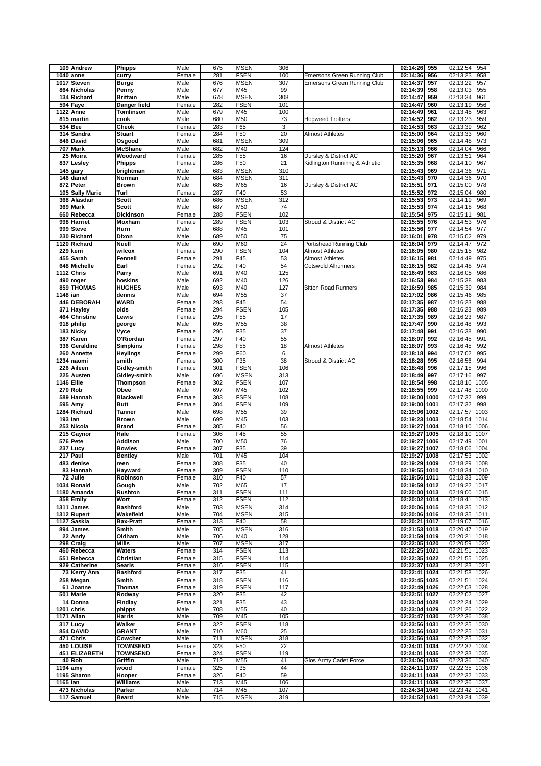|          | 109 Andrew                 | <b>Phipps</b>          | Male         | 675        | <b>MSEN</b>        | 306        |                                    | 02:14:26                       | 955  | 02:12:54<br>954                |
|----------|----------------------------|------------------------|--------------|------------|--------------------|------------|------------------------------------|--------------------------------|------|--------------------------------|
|          |                            |                        |              |            |                    |            |                                    |                                |      |                                |
|          | 1040 anne                  | curry                  | Female       | 281        | <b>FSEN</b>        | 100        | <b>Emersons Green Running Club</b> | 02:14:36                       | 956  | 02:13:23<br>958                |
|          | 1017 Steven                | <b>Burge</b>           | Male         | 676        | <b>MSEN</b>        | 307        | Emersons Green Running Club        | 02:14:37                       | 957  | 02:13:22<br>957                |
|          | 864 Nicholas               | Penny                  | Male         | 677        | M45                | 99         |                                    | 02:14:39                       | 958  | 02:13:03<br>955                |
|          | 134 Richard                | <b>Brittain</b>        | Male         | 678        | <b>MSEN</b>        | 308        |                                    | 02:14:47                       | 959  | 02:13:34<br>961                |
|          |                            |                        |              |            |                    |            |                                    |                                |      |                                |
|          | 594 Faye                   | Danger field           | Female       | 282        | <b>FSEN</b>        | 101        |                                    | 02:14:47                       | 960  | 02:13:19<br>956                |
|          | <b>1122 Anne</b>           | Tomlinson              | Male         | 679        | M45                | 100        |                                    | 02:14:49                       | 961  | 02:13:45<br>963                |
|          | 815 martin                 | cook                   | Male         | 680        | M50                | 73         | <b>Hoaweed Trotters</b>            | 02:14:52                       | 962  | 02:13:23<br>959                |
|          |                            |                        |              |            |                    |            |                                    |                                |      |                                |
|          | 534 Bee                    | Cheok                  | Female       | 283        | F65                | 3          |                                    | 02:14:53                       | 963  | 02:13:39<br>962                |
|          | 314 Sandra                 | <b>Stuart</b>          | Female       | 284        | F50                | 20         | Almost Athletes                    | 02:15:00                       | 964  | 02:13:33<br>960                |
|          | 846 David                  | Osgood                 | Male         | 681        | <b>MSEN</b>        | 309        |                                    | 02:15:06                       | 965  | 02:14:48<br>973                |
|          | 707 Mark                   | <b>McShane</b>         | Male         | 682        | M40                | 124        |                                    | 02:15:13                       | 966  | 02:14:04<br>966                |
|          |                            |                        |              |            |                    |            |                                    |                                |      |                                |
|          | $25$ Moira                 | Woodward               | Female       | 285        | F <sub>55</sub>    | 16         | Dursley & District AC              | 02:15:20                       | 967  | 02:13:51<br>964                |
|          | 837 Lesley                 | Phipps                 | Female       | 286        | F50                | 21         | Kidlington Runninng & Athletic     | 02:15:35                       | 968  | 02:14:10<br>967                |
|          | 145 gary                   | brightman              | Male         | 683        | <b>MSEN</b>        | 310        |                                    | 02:15:43                       | 969  | 02:14:36<br>971                |
|          |                            |                        |              |            |                    |            |                                    |                                |      |                                |
|          | 146 daniel                 | Norman                 | Male         | 684        | <b>MSEN</b>        | 311        |                                    | 02:15:43                       | 970  | 02:14:36<br>970                |
|          | 872 Peter                  | <b>Brown</b>           | Male         | 685        | M65                | 16         | Dursley & District AC              | 02:15:51                       | 971  | 02:15:00<br>978                |
| 105      | <b>Sally Marie</b>         | Turl                   | Female       | 287        | F40                | 53         |                                    | 02:15:52                       | 972  | 02:15:04<br>980                |
|          |                            |                        |              |            | <b>MSEN</b>        | 312        |                                    |                                |      |                                |
|          | 368 Alasdair               | <b>Scott</b>           | Male         | 686        |                    |            |                                    | 02:15:53                       | 973  | 02:14:19<br>969                |
|          | 369 Mark                   | <b>Scott</b>           | Male         | 687        | M50                | 74         |                                    | 02:15:53                       | 974  | 02:14:18<br>968                |
|          | 660 Rebecca                | <b>Dickinson</b>       | Female       | 288        | <b>FSEN</b>        | 102        |                                    | 02:15:54                       | 975  | 02:15:11<br>981                |
|          | 998 Harriet                | Moxham                 | Female       | 289        | <b>FSEN</b>        | 103        | Stroud & District AC               | 02:15:55                       | 976  | 02:14:53<br>976                |
|          |                            |                        |              |            |                    |            |                                    |                                |      |                                |
|          | 999 Steve                  | Hurn                   | Male         | 688        | M45                | 101        |                                    | 02:15:56                       | 977  | 02:14:54<br>977                |
|          | 230 Richard                | Dixon                  | Male         | 689        | M50                | 75         |                                    | 02:16:01                       | 978  | 02:15:02<br>979                |
|          | 1120 Richard               | <b>Nuell</b>           | Male         | 690        | M60                | 24         | Portishead Running Club            | 02:16:04                       | 979  | 02:14:47<br>972                |
|          | 229 kerri                  | wilcox                 | Female       | 290        | <b>FSEN</b>        | 104        | <b>Almost Athletes</b>             | 02:16:05                       | 980  | 02:15:15<br>982                |
|          |                            |                        |              |            |                    |            |                                    |                                |      |                                |
|          | 455 Sarah                  | Fennell                | Female       | 291        | F45                | 53         | <b>Almost Athletes</b>             | 02:16:15                       | 981  | 02:14:49<br>975                |
|          | 648 Michelle               | Earl                   | Female       | 292        | F40                | 54         | Cotswold Allrunners                | 02:16:15                       | 982  | 02:14:48<br>974                |
|          | 1112 Chris                 | Parry                  | Male         | 691        | M40                | 125        |                                    | 02:16:49                       | 983  | 02:16:05<br>986                |
|          |                            |                        |              |            |                    |            |                                    |                                |      |                                |
|          | 490 roger                  | hoskins                | Male         | 692        | M40                | 126        |                                    | 02:16:53                       | 984  | 02:15:38<br>983                |
|          | 859 THOMAS                 | <b>HUGHES</b>          | Male         | 693        | M40                | 127        | <b>Bitton Road Runners</b>         | 02:16:59                       | 985  | 02:15:39<br>984                |
| 1148 ian |                            | dennis                 | Male         | 694        | M55                | 37         |                                    | 02:17:02                       | 986  | 02:15:46<br>985                |
|          | 446 DEBORAH                | <b>WARD</b>            | Female       | 293        | F45                | 54         |                                    | 02:17:35                       | 987  | 02:16:23<br>988                |
|          |                            |                        |              |            |                    |            |                                    |                                |      |                                |
|          | 371 Hayley                 | olds                   | Female       | 294        | <b>FSEN</b>        | 105        |                                    | 02:17:35                       | 988  | 02:16:23<br>989                |
|          | 464 Christine              | Lewis                  | Female       | 295        | F <sub>55</sub>    | 17         |                                    | 02:17:35                       | 989  | 02:16:23<br>987                |
|          | 918 philip                 | george                 | Male         | 695        | M55                | 38         |                                    | 02:17:47                       | 990  | 02:16:48<br>993                |
|          |                            |                        |              |            |                    |            |                                    |                                |      |                                |
|          | 183 Nicky                  | Vyce                   | Female       | 296        | F35                | 37         |                                    | 02:17:48                       | 991  | 02:16:38<br>990                |
|          | 387 Karen                  | O'Riordan              | Female       | 297        | F40                | 55         |                                    | 02:18:07                       | 992  | 02:16:45<br>991                |
| 336      | Geraldine                  | <b>Simpkins</b>        | Female       | 298        | F55                | 18         | <b>Almost Athletes</b>             | 02:18:07                       | 993  | 02:16:45<br>992                |
|          |                            |                        |              |            |                    |            |                                    |                                |      |                                |
| 260      | Annette                    | <b>Heylings</b>        | Female       | 299        | F60                | 6          |                                    | 02:18:18                       | 994  | 02:17:02<br>995                |
|          | 1234 naomi                 | smith                  | Female       | 300        | F35                | 38         | Stroud & District AC               | 02:18:28                       | 995  | 02:16:56<br>994                |
|          | 226 Aileen                 | Gidley-smith           | Female       | 301        | <b>FSEN</b>        | 106        |                                    | 02:18:48                       | 996  | 02:17:15<br>996                |
| 225      | Austen                     | Gidley-smith           | Male         | 696        | <b>MSEN</b>        | 313        |                                    | 02:18:49                       | 997  | 02:17:16<br>997                |
|          |                            |                        |              |            |                    |            |                                    |                                |      |                                |
|          | 1146 Ellie                 | Thompson               | Female       | 302        | <b>FSEN</b>        | 107        |                                    | 02:18:54                       | 998  | 02:18:10<br>1005               |
|          | 270 Rob                    | Obee                   | Male         | 697        | M45                | 102        |                                    | 02:18:55                       | 999  | 02:17:48<br>1000               |
|          | 589 Hannah                 | <b>Blackwell</b>       | Female       | 303        | <b>FSEN</b>        | 108        |                                    | 02:19:00 1000                  |      | 02:17:32<br>999                |
|          | 595 Amy                    | <b>Butt</b>            | Female       | 304        | <b>FSEN</b>        | 109        |                                    | 02:19:00                       | 1001 | 02:17:32<br>998                |
|          |                            |                        |              |            |                    |            |                                    |                                |      |                                |
|          | 1284 Richard               | Tanner                 | Male         | 698        | M55                | 39         |                                    | 02:19:06 1002                  |      | 02:17:57<br>1003               |
|          | 193 Ian                    | <b>Brown</b>           | Male         | 699        | M45                | 103        |                                    | 02:19:23 1003                  |      | 02:18:54<br>1014               |
|          | 253 Nicola                 | <b>Brand</b>           | Female       | 305        | F40                | 56         |                                    | 02:19:27                       |      | 02:18:10<br>1006               |
|          | 215 Gaynor                 |                        |              |            |                    |            |                                    |                                |      |                                |
|          |                            |                        |              |            |                    |            |                                    |                                | 1004 |                                |
|          |                            | Hale                   | Female       | 306        | F45                | 55         |                                    | 02:19:27                       | 1005 | 02:18:10<br>1007               |
|          | 576 Pete                   | Addison                | Male         | 700        | M50                | 76         |                                    | 02:19:27 1006                  |      | 02:17:49<br>1001               |
|          | 237 Lucy                   | <b>Bowles</b>          | Female       | 307        | F35                | 39         |                                    | 02:19:27                       | 1007 | 02:18:06<br>1004               |
|          |                            |                        |              |            |                    |            |                                    |                                |      |                                |
|          | $217$ Paul                 | <b>Bentley</b>         | Male         | 701        | M45                | 104        |                                    | 02:19:27 1008                  |      | 02:17:53<br>1002               |
|          | 483 denise                 | reen                   | Female       | 308        | F35                | 40         |                                    | 02:19:29 1009                  |      | 02:18:29 1008                  |
|          | 83 Hannah                  | Hayward                | Female       | 309        | <b>FSEN</b>        | 110        |                                    | 02:19:55 1010                  |      | 02:18:34 1010                  |
|          | 72 Julie                   | Robinson               | Female       | 310        | F40                | 57         |                                    | 02:19:56 1011                  |      | 02:18:33 1009                  |
|          | 1034 Ronald                | Gough                  | Male         | 702        | M65                | 17         |                                    | 02:19:59 1012                  |      | 02:19:22 1017                  |
|          |                            |                        |              |            |                    |            |                                    |                                |      |                                |
|          | 1180 Amanda                | Rushton                | Female       | 311        | <b>FSEN</b>        | 111        |                                    | 02:20:00 1013                  |      | 02:19:00 1015                  |
|          | 358 Emily                  | Wort                   | Female       | 312        | <b>FSEN</b>        | 112        |                                    | 02:20:02 1014                  |      | 02:18:41 1013                  |
|          | 1311 James                 | <b>Bashford</b>        | Male         | 703        | <b>MSEN</b>        | 314        |                                    | 02:20:06 1015                  |      | 02:18:35 1012                  |
|          | 1312 Rupert                | Wakefield              | Male         | 704        | <b>MSEN</b>        | 315        |                                    | 02:20:06 1016                  |      | 02:18:35 1011                  |
|          | 1127 Saskia                |                        |              |            |                    |            |                                    |                                |      |                                |
|          |                            | <b>Bax-Pratt</b>       | Female       | 313        | F40                | 58         |                                    | 02:20:21 1017                  |      | 02:19:07 1016                  |
|          | 894 James                  | Smith                  | Male         | 705        | <b>MSEN</b>        | 316        |                                    | 02:21:53 1018                  |      | 02:20:47 1019                  |
|          | 22 Andy                    | Oldham                 | Male         | 706        | M40                | 128        |                                    | 02:21:59 1019                  |      | 02:20:21 1018                  |
|          | 298 Craig                  | Mills                  | Male         | 707        | <b>MSEN</b>        | 317        |                                    | 02:22:05 1020                  |      | 02:20:59 1020                  |
|          |                            |                        |              |            |                    |            |                                    |                                |      |                                |
|          | 460 Rebecca                | Waters                 | Female       | 314        | <b>FSEN</b>        | 113        |                                    | 02:22:25 1021                  |      | 02:21:51 1023                  |
|          | 551 Rebecca                | Christian              | Female       | 315        | <b>FSEN</b>        | 114        |                                    | 02:22:35 1022                  |      | 02:21:55 1025                  |
|          | 929 Catherine              | Searls                 | Female       | 316        | <b>FSEN</b>        | 115        |                                    | 02:22:37 1023                  |      | 02:21:23 1021                  |
|          | 73 Kerry Ann               | <b>Bashford</b>        | Female       | 317        | F35                | 41         |                                    | 02:22:41 1024                  |      | 02:21:58 1026                  |
|          |                            |                        |              |            |                    |            |                                    |                                |      |                                |
|          | 258 Megan                  | Smith                  | Female       | 318        | <b>FSEN</b>        | 116        |                                    | 02:22:45 1025                  |      | 02:21:51 1024                  |
|          | 61 Joanne                  | <b>Thomas</b>          | Female       | 319        | <b>FSEN</b>        | 117        |                                    | 02:22:49 1026                  |      | 02:22:03 1028                  |
|          | 501 Marie                  | Rodway                 | Female       | 320        | F35                | 42         |                                    | 02:22:51 1027                  |      | 02:22:02 1027                  |
|          | 14 Donna                   |                        | Female       |            | F35                | 43         |                                    |                                |      |                                |
|          |                            | Findlay                |              | 321        |                    |            |                                    | 02:23:04 1028                  |      | 02:22:24 1029                  |
|          | 1201 chris                 | phipps                 | Male         | 708        | M55                | 40         |                                    | 02:23:04 1029                  |      | 02:21:26 1022                  |
|          | 1171 Allan                 | Harris                 | Male         | 709        | M45                | 105        |                                    | 02:23:47 1030                  |      | 02:22:36 1038                  |
|          | 317 Lucy                   | Walker                 | Female       | 322        | <b>FSEN</b>        | 118        |                                    | 02:23:56 1031                  |      | 02:22:25 1030                  |
|          |                            |                        |              |            |                    |            |                                    |                                |      |                                |
|          | 854 DAVID                  | <b>GRANT</b>           | Male         | 710        | M60                | 25         |                                    | 02:23:56 1032                  |      | 02:22:25 1031                  |
|          | 471 Chris                  | Cowcher                | Male         | 711        | <b>MSEN</b>        | 318        |                                    | 02:23:56 1033                  |      | 02:22:25 1032                  |
|          | 450 LOUISE                 | <b>TOWNSEND</b>        | Female       | 323        | F50                | 22         |                                    | 02:24:01 1034                  |      | 02:22:32 1034                  |
|          | 451 ELIZABETH              | <b>TOWNSEND</b>        | Female       | 324        | <b>FSEN</b>        | 119        |                                    | 02:24:01 1035                  |      | 02:22:33 1035                  |
|          |                            |                        |              |            |                    |            |                                    |                                |      |                                |
|          | 40 Rob                     | Griffin                | Male         | 712        | M55                | 41         | Glos Army Cadet Force              | 02:24:06 1036                  |      | 02:23:36 1040                  |
|          | $1194$ amy                 | wood                   | Female       | 325        | F35                | 44         |                                    | 02:24:11 1037                  |      | 02:22:35 1036                  |
|          | 1195 Sharon                | Hooper                 | Female       | 326        | F40                | 59         |                                    | 02:24:11 1038                  |      | 02:22:32 1033                  |
| 1165 Ian |                            | <b>Williams</b>        | Male         | 713        | M45                | 106        |                                    | 02:24:11 1039                  |      | 02:22:36 1037                  |
|          |                            |                        |              |            |                    |            |                                    |                                |      |                                |
|          | 473 Nicholas<br>117 Samuel | Parker<br><b>Beard</b> | Male<br>Male | 714<br>715 | M45<br><b>MSEN</b> | 107<br>319 |                                    | 02:24:34 1040<br>02:24:52 1041 |      | 02:23:42 1041<br>02:23:24 1039 |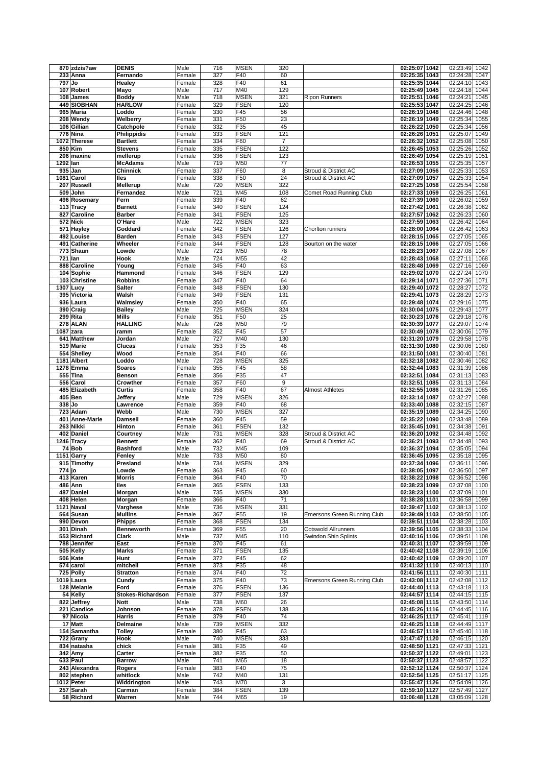|          | 870 zdzis?aw   | <b>DENIS</b>       | Male   | 716 | <b>MSEN</b>     | 320            |                                    | 02:25:07 1042 |      | 02:23:49<br>1042 |
|----------|----------------|--------------------|--------|-----|-----------------|----------------|------------------------------------|---------------|------|------------------|
|          | 233 Anna       | Fernando           | Female | 327 | F40             | 60             |                                    | 02:25:35 1043 |      | 02:24:28<br>1047 |
| 797 Jo   |                | Healey             | Female | 328 | F40             | 61             |                                    | 02:25:35 1044 |      | 02:24:10<br>1043 |
|          |                |                    |        |     |                 |                |                                    |               |      |                  |
|          | 107 Robert     | Mayo               | Male   | 717 | M40             | 129            |                                    | 02:25:49 1045 |      | 02:24:18<br>1044 |
|          | 108 James      | <b>Boddy</b>       | Male   | 718 | <b>MSEN</b>     | 321            | <b>Ripon Runners</b>               | 02:25:51      | 1046 | 02:24:21<br>1045 |
|          | 449 SIOBHAN    | <b>HARLOW</b>      | Female | 329 | <b>FSEN</b>     | 120            |                                    | 02:25:53 1047 |      | 02:24:25<br>1046 |
|          | 965 Maria      | Loddo              | Female | 330 | F45             | 56             |                                    | 02:26:19 1048 |      | 02:24:46<br>1048 |
|          | 208 Wendy      | Welberry           | Female | 331 | F50             | 23             |                                    | 02:26:19 1049 |      | 02:25:34<br>1055 |
|          | 106 Gillian    | Catchpole          | Female | 332 | F35             | 45             |                                    | 02:26:22 1050 |      | 02:25:34<br>1056 |
|          | 776 Nina       |                    | Female | 333 | <b>FSEN</b>     | 121            |                                    | 02:26:26      | 1051 | 02:25:07<br>1049 |
|          |                | <b>Philippidis</b> |        |     |                 |                |                                    |               |      |                  |
|          | 1072 Therese   | <b>Bartlett</b>    | Female | 334 | F60             | $\overline{7}$ |                                    | 02:26:32      | 1052 | 02:25:08<br>1050 |
|          | 850 Kim        | <b>Stevens</b>     | Female | 335 | <b>FSEN</b>     | 122            |                                    | 02:26:45 1053 |      | 02:25:26<br>1052 |
|          | 206 maxine     | mellerup           | Female | 336 | <b>FSEN</b>     | 123            |                                    | 02:26:49 1054 |      | 02:25:19<br>1051 |
| 1292 Ian |                | <b>McAdams</b>     | Male   | 719 | M50             | 77             |                                    | 02:26:53 1055 |      | 02:25:35<br>1057 |
|          | 935 Jan        | <b>Chinnick</b>    | Female | 337 | F60             | 8              | Stroud & District AC               | 02:27:09 1056 |      | 02:25:33<br>1053 |
|          | 1081 Carol     | lles               | Female | 338 | F50             | 24             | Stroud & District AC               | 02:27:09 1057 |      | 02:25:33<br>1054 |
|          |                |                    |        |     |                 |                |                                    |               |      |                  |
| 207      | Russell        | Mellerup           | Male   | 720 | <b>MSEN</b>     | 322            |                                    | 02:27:25 1058 |      | 02:25:54<br>1058 |
|          | 509 John       | Fernandez          | Male   | 721 | M45             | 108            | Comet Road Running Club            | 02:27:33 1059 |      | 02:26:25<br>1061 |
|          | 496 Rosemary   | Fern               | Female | 339 | F40             | 62             |                                    | 02:27:39 1060 |      | 02:26:02<br>1059 |
|          | 113 Tracy      | <b>Barnett</b>     | Female | 340 | <b>FSEN</b>     | 124            |                                    | 02:27:42 1061 |      | 02:26:38<br>1062 |
|          | 827 Caroline   | <b>Barber</b>      | Female | 341 | <b>FSEN</b>     | 125            |                                    | 02:27:57      | 1062 | 02:26:23<br>1060 |
|          | 572 Nick       | O'Hare             | Male   | 722 | <b>MSEN</b>     | 323            |                                    | 02:27:59 1063 |      | 02:26:42<br>1064 |
|          | 571 Hayley     | Goddard            | Female | 342 | <b>FSEN</b>     | 126            | Chorlton runners                   | 02:28:00 1064 |      | 02:26:42<br>1063 |
|          | 492 Louise     | <b>Barden</b>      | Female | 343 | <b>FSEN</b>     | 127            |                                    | 02:28:15 1065 |      | 02:27:05<br>1065 |
|          | 491 Catherine  | Wheeler            |        | 344 | <b>FSEN</b>     | 128            |                                    | 02:28:15 1066 |      | 02:27:05<br>1066 |
|          |                |                    | Female |     |                 |                | Bourton on the water               |               |      |                  |
|          | 773 Shaun      | Lowde              | Male   | 723 | M50             | 78             |                                    | 02:28:23 1067 |      | 02:27:08<br>1067 |
|          | <b>721 Ian</b> | Hook               | Male   | 724 | M55             | 42             |                                    | 02:28:43 1068 |      | 02:27:11<br>1068 |
|          | 888 Caroline   | Young              | Female | 345 | F40             | 63             |                                    | 02:28:48 1069 |      | 02:27:16<br>1069 |
|          | 104 Sophie     | Hammond            | Female | 346 | <b>FSEN</b>     | 129            |                                    | 02:29:02 1070 |      | 02:27:24<br>1070 |
|          | 103 Christine  | <b>Robbins</b>     | Female | 347 | F40             | 64             |                                    | 02:29:14 1071 |      | 02:27:36<br>1071 |
|          | 1307 Lucy      | <b>Salter</b>      | Female | 348 | <b>FSEN</b>     | 130            |                                    | 02:29:40 1072 |      | 02:28:27<br>1072 |
|          |                | Walsh              |        | 349 | <b>FSEN</b>     | 131            |                                    | 02:29:41 1073 |      | 02:28:29<br>1073 |
|          | 395 Victoria   |                    | Female |     |                 |                |                                    |               |      |                  |
|          | 936 Laura      | Walmsley           | Female | 350 | F40             | 65             |                                    | 02:29:48 1074 |      | 02:29:16<br>1075 |
|          | 390 Craig      | <b>Bailey</b>      | Male   | 725 | <b>MSEN</b>     | 324            |                                    | 02:30:04 1075 |      | 02:29:43<br>1077 |
|          | 299 Rita       | <b>Mills</b>       | Female | 351 | F50             | 25             |                                    | 02:30:23 1076 |      | 02:29:18<br>1076 |
|          | 278 ALAN       | <b>HALLING</b>     | Male   | 726 | M50             | 79             |                                    | 02:30:39 1077 |      | 02:29:07<br>1074 |
|          | 1087 zara      | ramm               | Female | 352 | F45             | 57             |                                    | 02:30:49 1078 |      | 02:30:06<br>1079 |
|          | 641 Matthew    | Jordan             | Male   | 727 | M40             | 130            |                                    | 02:31:20 1079 |      | 02:29:58<br>1078 |
|          | 519 Marie      | Clucas             | Female | 353 | F35             | 46             |                                    | 02:31:30 1080 |      | 02:30:06<br>1080 |
|          | 554 Shelley    |                    |        |     | F40             | 66             |                                    |               |      |                  |
|          |                | Wood               | Female | 354 |                 |                |                                    | 02:31:50      | 1081 | 02:30:40<br>1081 |
|          | 1181 Albert    | Loddo              | Male   | 728 | <b>MSEN</b>     | 325            |                                    | 02:32:18 1082 |      | 02:30:46<br>1082 |
|          | 1278 Emma      | <b>Soares</b>      | Female | 355 | F45             | 58             |                                    | 02:32:44 1083 |      | 02:31:39<br>1086 |
|          | 555 Tina       | <b>Benson</b>      | Female | 356 | F35             | 47             |                                    | 02:32:51      | 1084 | 02:31:13<br>1083 |
|          | 556 Carol      | Crowther           | Female | 357 | F60             | 9              |                                    | 02:32:51 1085 |      | 02:31:13<br>1084 |
|          |                |                    |        |     |                 |                |                                    |               |      |                  |
|          |                |                    |        |     |                 |                |                                    |               |      |                  |
|          | 485 Elizabeth  | <b>Curtis</b>      | Female | 358 | F40             | 67             | Almost Athletes                    | 02:32:55 1086 |      | 02:31:26<br>1085 |
|          | 405 Ben        | Jeffery            | Male   | 729 | <b>MSEN</b>     | 326            |                                    | 02:33:14 1087 |      | 02:32:27<br>1088 |
| 338 Jo   |                | Lawrence           | Female | 359 | F40             | 68             |                                    | 02:33:40 1088 |      | 02:32:15<br>1087 |
|          | 723 Adam       | Webb               | Male   | 730 | <b>MSEN</b>     | 327            |                                    | 02:35:19 1089 |      | 02:34:25<br>1090 |
|          | 401 Anne-Marie | <b>Damsell</b>     | Female | 360 | F45             | 59             |                                    | 02:35:22      | 1090 | 02:33:48<br>1089 |
|          | 263 Nikki      | Hinton             | Female | 361 | <b>FSEN</b>     | 132            |                                    | 02:35:45 1091 |      | 02:34:38<br>1091 |
|          | 402 Daniel     | Courtney           | Male   | 731 | <b>MSEN</b>     | 328            | Stroud & District AC               | 02:36:20 1092 |      | 02:34:48<br>1092 |
|          | 1246 Tracy     | <b>Bennett</b>     | Female | 362 | F40             | 69             | Stroud & District AC               | 02:36:21      | 1093 | 02:34:48<br>1093 |
|          |                |                    |        |     |                 |                |                                    |               |      |                  |
|          | 74 Bob         | <b>Bashford</b>    | Male   | 732 | M45             | 109            |                                    | 02:36:37 1094 |      | 02:35:05<br>1094 |
|          | 1151 Garry     | Fenley             | Male   | 733 | M50             | 80             |                                    | 02:36:45      | 1095 | 02:35:18<br>1095 |
|          | 915 Timothy    | Presland           | Male   | 734 | <b>MSEN</b>     | 329            |                                    | 02:37:34 1096 |      | 02:36:11<br>1096 |
| 774 io   |                | Lowde              | Female | 363 | F45             | 60             |                                    | 02:38:05 1097 |      | 02:36:50 1097    |
|          | 413 Karen      | <b>Morris</b>      | Female | 364 | F40             | 70             |                                    | 02:38:22 1098 |      | 02:36:52 1098    |
|          | 486 Ann        | lles               | Female | 365 | <b>FSEN</b>     | 133            |                                    | 02:38:23 1099 |      | 02:37:08 1100    |
|          | 487 Daniel     | Morgan             | Male   | 735 | <b>MSEN</b>     | 330            |                                    | 02:38:23 1100 |      | 02:37:09 1101    |
|          | 408 Helen      | Morgan             | Female | 366 | F40             | 71             |                                    | 02:38:28 1101 |      | 02:36:58 1099    |
|          | 1121 Naval     | Varghese           | Male   | 736 | <b>MSEN</b>     | 331            |                                    | 02:39:47 1102 |      | 02:38:13 1102    |
|          | 564 Susan      | <b>Mullins</b>     | Female | 367 | F <sub>55</sub> | 19             | Emersons Green Running Club        | 02:39:49 1103 |      | 02:38:50 1105    |
|          |                |                    |        |     |                 |                |                                    |               |      |                  |
|          | 990 Devon      | <b>Phipps</b>      | Female | 368 | <b>FSEN</b>     | 134            |                                    | 02:39:51 1104 |      | 02:38:28 1103    |
|          | 301 Dinah      | <b>Benneworth</b>  | Female | 369 | F55             | 20             | <b>Cotswold Allrunners</b>         | 02:39:56 1105 |      | 02:38:33 1104    |
|          | 553 Richard    | Clark              | Male   | 737 | M45             | 110            | Swindon Shin Splints               | 02:40:16 1106 |      | 02:39:51<br>1108 |
|          | 788 Jennifer   | East               | Female | 370 | F45             | 61             |                                    | 02:40:31 1107 |      | 02:39:59 1109    |
|          | 505 Kelly      | <b>Marks</b>       | Female | 371 | <b>FSEN</b>     | 135            |                                    | 02:40:42 1108 |      | 02:39:19 1106    |
|          | 506 Kate       | Hunt               | Female | 372 | F45             | 62             |                                    | 02:40:42 1109 |      | 02:39:20<br>1107 |
|          | 574 carol      | mitchell           | Female | 373 | F35             | 48             |                                    | 02:41:32 1110 |      | 02:40:13 1110    |
|          | 725 Polly      | <b>Stratton</b>    | Female | 374 | F40             | 72             |                                    | 02:41:56 1111 |      | 02:40:30 1111    |
|          | 1019 Laura     | Cundy              | Female | 375 | F40             | 73             | <b>Emersons Green Running Club</b> | 02:43:08 1112 |      |                  |
|          |                |                    |        |     |                 |                |                                    |               |      | 02:42:08 1112    |
|          | 128 Melanie    | Ford               | Female | 376 | <b>FSEN</b>     | 136            |                                    | 02:44:40 1113 |      | 02:43:18 1113    |
|          | 54 Kelly       | Stokes-Richardson  | Female | 377 | <b>FSEN</b>     | 137            |                                    | 02:44:57 1114 |      | 02:44:15 1115    |
|          | 822 Jeffrey    | <b>Nott</b>        | Male   | 738 | M60             | 26             |                                    | 02:45:08 1115 |      | 02:43:50 1114    |
|          | 221 Candice    | Johnson            | Female | 378 | <b>FSEN</b>     | 138            |                                    | 02:45:26 1116 |      | 02:44:45 1116    |
|          | 97 Nicola      | Harris             | Female | 379 | F40             | 74             |                                    | 02:46:25 1117 |      | 02:45:41 1119    |
|          | 17 Matt        | Delmaine           | Male   | 739 | <b>MSEN</b>     | 332            |                                    | 02:46:25 1118 |      | 02:44:49 1117    |
|          | 154 Samantha   | <b>Tolley</b>      | Female | 380 | F45             | 63             |                                    | 02:46:57 1119 |      | 02:45:40 1118    |
|          |                | Hook               |        |     |                 |                |                                    |               |      |                  |
|          | 722 Grany      |                    | Male   | 740 | <b>MSEN</b>     | 333            |                                    | 02:47:47 1120 |      | 02:46:15 1120    |
|          | 834 natasha    | chick              | Female | 381 | F35             | 49             |                                    | 02:48:50 1121 |      | 02:47:33 1121    |
|          | 342 Amy        | Carter             | Female | 382 | F35             | 50             |                                    | 02:50:37 1122 |      | 02:49:01 1123    |
|          | 633 Paul       | <b>Barrow</b>      | Male   | 741 | M65             | 18             |                                    | 02:50:37 1123 |      | 02:48:57 1122    |
|          | 243 Alexandra  | Rogers             | Female | 383 | F40             | 75             |                                    | 02:52:12 1124 |      | 02:50:37<br>1124 |
|          | 802 stephen    | whitlock           | Male   | 742 | M40             | 131            |                                    | 02:52:54 1125 |      | 02:51:17 1125    |
|          | 1012 Peter     | Widdrington        | Male   | 743 | M70             | 3              |                                    | 02:55:47 1126 |      | 02:54:09 1126    |
|          | 257 Sarah      | Carman             | Female | 384 | <b>FSEN</b>     | 139            |                                    | 02:59:10 1127 |      | 02:57:49 1127    |
|          | 58 Richard     | Warren             | Male   | 744 | M65             | 19             |                                    | 03:06:48 1128 |      | 03:05:09 1128    |